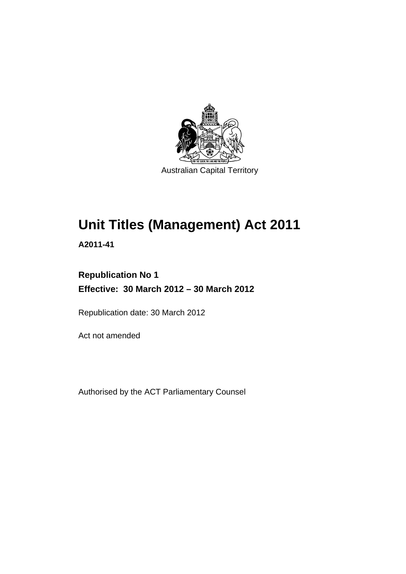

# **Unit Titles (Management) Act 2011**

**A2011-41** 

## **Republication No 1 Effective: 30 March 2012 – 30 March 2012**

Republication date: 30 March 2012

Act not amended

Authorised by the ACT Parliamentary Counsel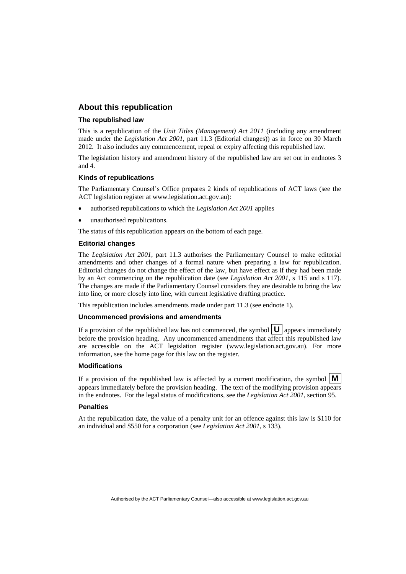### **About this republication**

#### **The republished law**

This is a republication of the *Unit Titles (Management) Act 2011* (including any amendment made under the *Legislation Act 2001*, part 11.3 (Editorial changes)) as in force on 30 March 2012*.* It also includes any commencement, repeal or expiry affecting this republished law.

The legislation history and amendment history of the republished law are set out in endnotes 3 and 4.

#### **Kinds of republications**

The Parliamentary Counsel's Office prepares 2 kinds of republications of ACT laws (see the ACT legislation register at www.legislation.act.gov.au):

- authorised republications to which the *Legislation Act 2001* applies
- unauthorised republications.

The status of this republication appears on the bottom of each page.

#### **Editorial changes**

The *Legislation Act 2001*, part 11.3 authorises the Parliamentary Counsel to make editorial amendments and other changes of a formal nature when preparing a law for republication. Editorial changes do not change the effect of the law, but have effect as if they had been made by an Act commencing on the republication date (see *Legislation Act 2001*, s 115 and s 117). The changes are made if the Parliamentary Counsel considers they are desirable to bring the law into line, or more closely into line, with current legislative drafting practice.

This republication includes amendments made under part 11.3 (see endnote 1).

#### **Uncommenced provisions and amendments**

If a provision of the republished law has not commenced, the symbol  $\mathbf{U}$  appears immediately before the provision heading. Any uncommenced amendments that affect this republished law are accessible on the ACT legislation register (www.legislation.act.gov.au). For more information, see the home page for this law on the register.

#### **Modifications**

If a provision of the republished law is affected by a current modification, the symbol  $\mathbf{M}$ appears immediately before the provision heading. The text of the modifying provision appears in the endnotes. For the legal status of modifications, see the *Legislation Act 2001*, section 95.

#### **Penalties**

At the republication date, the value of a penalty unit for an offence against this law is \$110 for an individual and \$550 for a corporation (see *Legislation Act 2001*, s 133).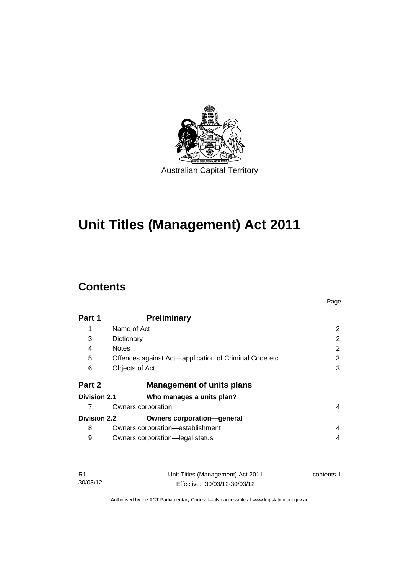

# **Unit Titles (Management) Act 2011**

### **Contents**

|                     |                                                       | Page |
|---------------------|-------------------------------------------------------|------|
| Part 1              | <b>Preliminary</b>                                    |      |
| 1                   | Name of Act                                           | 2    |
| 3                   | Dictionary                                            | 2    |
| 4                   | <b>Notes</b>                                          | 2    |
| 5                   | Offences against Act—application of Criminal Code etc | 3    |
| 6                   | Objects of Act                                        | 3    |
| Part 2              | <b>Management of units plans</b>                      |      |
| Division 2.1        | Who manages a units plan?                             |      |
|                     | Owners corporation                                    | 4    |
| <b>Division 2.2</b> | <b>Owners corporation-general</b>                     |      |
| 8                   | Owners corporation-establishment                      | 4    |
| 9                   | Owners corporation-legal status                       | 4    |

| - R1     | Unit Titles (Management) Act 2011 | contents 1 |
|----------|-----------------------------------|------------|
| 30/03/12 | Effective: 30/03/12-30/03/12      |            |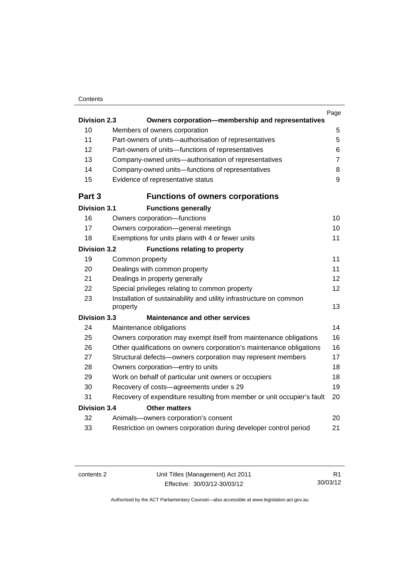### **Contents**

|                                             |                                                                                 | Page           |  |
|---------------------------------------------|---------------------------------------------------------------------------------|----------------|--|
| <b>Division 2.3</b>                         | Owners corporation-membership and representatives                               |                |  |
| 10                                          | Members of owners corporation                                                   | 5              |  |
| 11                                          | Part-owners of units-authorisation of representatives                           | 5              |  |
| 12                                          | Part-owners of units-functions of representatives                               | 6              |  |
| 13                                          | Company-owned units-authorisation of representatives                            | $\overline{7}$ |  |
| 14                                          | Company-owned units-functions of representatives                                | 8              |  |
| 15                                          | Evidence of representative status                                               | $\mathsf g$    |  |
| Part 3                                      | <b>Functions of owners corporations</b>                                         |                |  |
| <b>Division 3.1</b>                         | <b>Functions generally</b>                                                      |                |  |
| 16                                          | Owners corporation-functions                                                    | 10             |  |
| 17                                          | Owners corporation-general meetings                                             | 10             |  |
| 18                                          | Exemptions for units plans with 4 or fewer units                                | 11             |  |
| <b>Division 3.2</b>                         | <b>Functions relating to property</b>                                           |                |  |
| 19                                          | Common property                                                                 | 11             |  |
| 20                                          | Dealings with common property                                                   | 11             |  |
| 21                                          | Dealings in property generally                                                  | 12             |  |
| 22                                          | Special privileges relating to common property                                  | 12             |  |
| 23                                          | Installation of sustainability and utility infrastructure on common<br>property | 13             |  |
| <b>Division 3.3</b>                         | <b>Maintenance and other services</b>                                           |                |  |
| 24                                          | Maintenance obligations                                                         | 14             |  |
| 25                                          | Owners corporation may exempt itself from maintenance obligations               | 16             |  |
| 26                                          | Other qualifications on owners corporation's maintenance obligations            | 16             |  |
| 27                                          | Structural defects-owners corporation may represent members                     | 17             |  |
| 28                                          | Owners corporation-entry to units                                               | 18             |  |
| 29                                          | Work on behalf of particular unit owners or occupiers                           | 18             |  |
| 30                                          | Recovery of costs-agreements under s 29                                         | 19             |  |
| 31                                          | Recovery of expenditure resulting from member or unit occupier's fault          | 20             |  |
| <b>Division 3.4</b><br><b>Other matters</b> |                                                                                 |                |  |
| 32                                          | Animals-owners corporation's consent                                            | 20             |  |
| 33                                          | Restriction on owners corporation during developer control period               | 21             |  |
|                                             |                                                                                 |                |  |

contents 2 Unit Titles (Management) Act 2011 Effective: 30/03/12-30/03/12

R1 30/03/12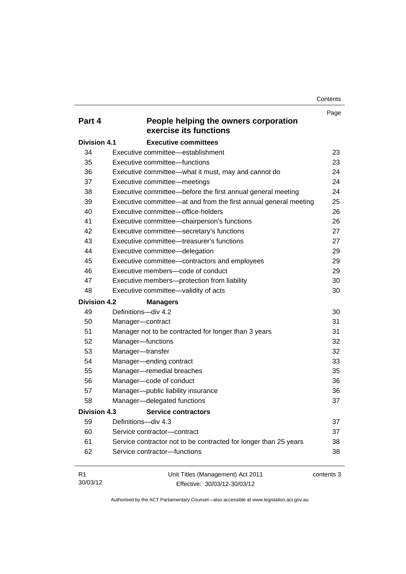**Contents** 

|                     |                                                                  | Page       |
|---------------------|------------------------------------------------------------------|------------|
| Part 4              | People helping the owners corporation<br>exercise its functions  |            |
| <b>Division 4.1</b> | <b>Executive committees</b>                                      |            |
| 34                  | Executive committee—establishment                                | 23         |
| 35                  | Executive committee—functions                                    | 23         |
| 36                  | Executive committee-what it must, may and cannot do              | 24         |
| 37                  | Executive committee-meetings                                     | 24         |
| 38                  | Executive committee-before the first annual general meeting      | 24         |
| 39                  | Executive committee—at and from the first annual general meeting | 25         |
| 40                  | Executive committee-office-holders                               | 26         |
| 41                  | Executive committee-chairperson's functions                      | 26         |
| 42                  | Executive committee-secretary's functions                        | 27         |
| 43                  | Executive committee—treasurer's functions                        | 27         |
| 44                  | Executive committee-delegation                                   | 29         |
| 45                  | Executive committee-contractors and employees                    | 29         |
| 46                  | Executive members-code of conduct                                | 29         |
| 47                  | Executive members-protection from liability                      | 30         |
| 48                  | Executive committee-validity of acts                             | 30         |
| <b>Division 4.2</b> | <b>Managers</b>                                                  |            |
| 49                  | Definitions-div 4.2                                              | 30         |
| 50                  | Manager-contract                                                 | 31         |
| 51                  | Manager not to be contracted for longer than 3 years             | 31         |
| 52                  | Manager-functions                                                | 32         |
| 53                  | Manager-transfer                                                 | 32         |
| 54                  | Manager-ending contract                                          | 33         |
| 55                  | Manager-remedial breaches                                        | 35         |
| 56                  | Manager-code of conduct                                          | 36         |
| 57                  | Manager-public liability insurance                               | 36         |
| 58                  | Manager-delegated functions                                      | 37         |
| <b>Division 4.3</b> | <b>Service contractors</b>                                       |            |
| 59                  | Definitions-div 4.3                                              | 37         |
| 60                  | Service contractor-contract                                      | 37         |
| 61                  | Service contractor not to be contracted for longer than 25 years | 38         |
| 62                  | Service contractor-functions                                     | 38         |
| R <sub>1</sub>      | Unit Titles (Management) Act 2011                                | contents 3 |

Authorised by the ACT Parliamentary Counsel—also accessible at www.legislation.act.gov.au

Effective: 30/03/12-30/03/12

30/03/12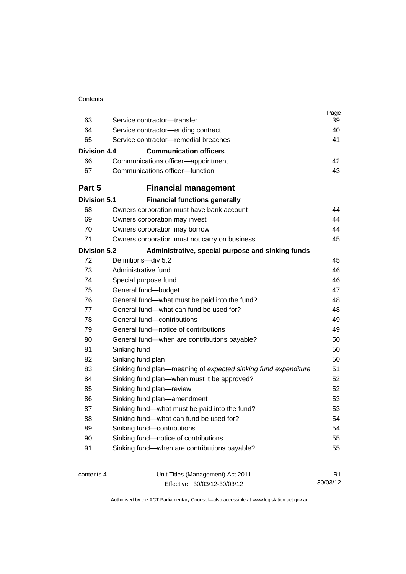| Contents |
|----------|
|----------|

|                     |                                                                | Page           |
|---------------------|----------------------------------------------------------------|----------------|
| 63                  | Service contractor-transfer                                    | 39             |
| 64                  | Service contractor-ending contract                             | 40             |
| 65                  | Service contractor-remedial breaches                           | 41             |
| Division 4.4        | <b>Communication officers</b>                                  |                |
| 66                  | Communications officer-appointment                             | 42             |
| 67                  | Communications officer-function                                | 43             |
| Part 5              | <b>Financial management</b>                                    |                |
| <b>Division 5.1</b> | <b>Financial functions generally</b>                           |                |
| 68                  | Owners corporation must have bank account                      | 44             |
| 69                  | Owners corporation may invest                                  | 44             |
| 70                  | Owners corporation may borrow                                  | 44             |
| 71                  | Owners corporation must not carry on business                  | 45             |
| <b>Division 5.2</b> | Administrative, special purpose and sinking funds              |                |
| 72                  | Definitions-div 5.2                                            | 45             |
| 73                  | Administrative fund                                            | 46             |
| 74                  | Special purpose fund                                           | 46             |
| 75                  | General fund-budget                                            | 47             |
| 76                  | General fund—what must be paid into the fund?                  | 48             |
| 77                  | General fund—what can fund be used for?                        | 48             |
| 78                  | General fund-contributions                                     | 49             |
| 79                  | General fund-notice of contributions                           | 49             |
| 80                  | General fund—when are contributions payable?                   | 50             |
| 81                  | Sinking fund                                                   | 50             |
| 82                  | Sinking fund plan                                              | 50             |
| 83                  | Sinking fund plan—meaning of expected sinking fund expenditure | 51             |
| 84                  | Sinking fund plan—when must it be approved?                    | 52             |
| 85                  | Sinking fund plan-review                                       | 52             |
| 86                  | Sinking fund plan-amendment                                    | 53             |
| 87                  | Sinking fund-what must be paid into the fund?                  | 53             |
| 88                  | Sinking fund-what can fund be used for?                        | 54             |
| 89                  | Sinking fund-contributions                                     | 54             |
| 90                  | Sinking fund-notice of contributions                           | 55             |
| 91                  | Sinking fund-when are contributions payable?                   | 55             |
| contents 4          | Unit Titles (Management) Act 2011                              | R <sub>1</sub> |

Effective: 30/03/12-30/03/12

30/03/12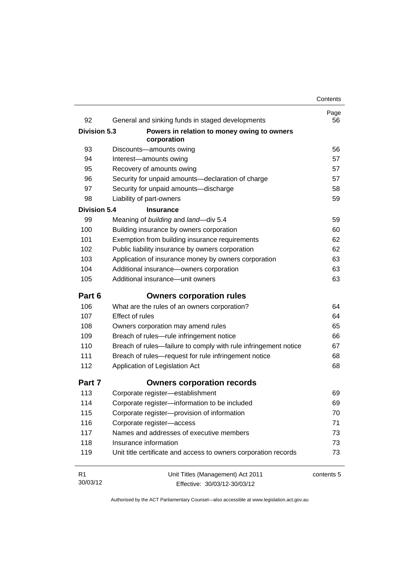| 92                  | General and sinking funds in staged developments                | Page<br>56 |
|---------------------|-----------------------------------------------------------------|------------|
| <b>Division 5.3</b> | Powers in relation to money owing to owners<br>corporation      |            |
| 93                  | Discounts-amounts owing                                         | 56         |
| 94                  | Interest-amounts owing                                          | 57         |
| 95                  | Recovery of amounts owing                                       | 57         |
| 96                  | Security for unpaid amounts-declaration of charge               | 57         |
| 97                  | Security for unpaid amounts-discharge                           | 58         |
| 98                  | Liability of part-owners                                        | 59         |
| <b>Division 5.4</b> | <b>Insurance</b>                                                |            |
| 99                  | Meaning of building and land-div 5.4                            | 59         |
| 100                 | Building insurance by owners corporation                        | 60         |
| 101                 | Exemption from building insurance requirements                  | 62         |
| 102                 | Public liability insurance by owners corporation                | 62         |
| 103                 | Application of insurance money by owners corporation            | 63         |
| 104                 | Additional insurance-owners corporation                         | 63         |
| 105                 | Additional insurance-unit owners                                | 63         |
| Part 6              | <b>Owners corporation rules</b>                                 |            |
| 106                 | What are the rules of an owners corporation?                    | 64         |
| 107                 | <b>Effect of rules</b>                                          | 64         |
| 108                 | Owners corporation may amend rules                              | 65         |
| 109                 | Breach of rules-rule infringement notice                        | 66         |
| 110                 | Breach of rules-failure to comply with rule infringement notice | 67         |
| 111                 | Breach of rules-request for rule infringement notice            | 68         |
| 112                 | Application of Legislation Act                                  | 68         |
| Part 7              | <b>Owners corporation records</b>                               |            |
| 113                 | Corporate register-establishment                                | 69         |
| 114                 | Corporate register-information to be included                   | 69         |
| 115                 | Corporate register-provision of information                     | 70         |
| 116                 | Corporate register-access                                       | 71         |
| 117                 | Names and addresses of executive members                        | 73         |
| 118                 | Insurance information                                           | 73         |
| 119                 | Unit title certificate and access to owners corporation records | 73         |
| R <sub>1</sub>      | Unit Titles (Management) Act 2011                               | contents 5 |
| 30/03/12            | Effective: 30/03/12-30/03/12                                    |            |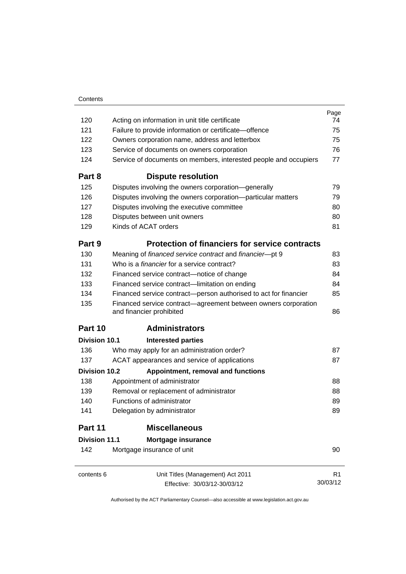|                      |                                                                                            | Page     |
|----------------------|--------------------------------------------------------------------------------------------|----------|
| 120                  | Acting on information in unit title certificate                                            | 74       |
| 121                  | Failure to provide information or certificate-offence                                      | 75       |
| 122                  | Owners corporation name, address and letterbox                                             | 75       |
| 123                  | Service of documents on owners corporation                                                 | 76       |
| 124                  | Service of documents on members, interested people and occupiers                           | 77       |
| Part 8               | <b>Dispute resolution</b>                                                                  |          |
| 125                  | Disputes involving the owners corporation-generally                                        | 79       |
| 126                  | Disputes involving the owners corporation-particular matters                               | 79       |
| 127                  | Disputes involving the executive committee                                                 | 80       |
| 128                  | Disputes between unit owners                                                               | 80       |
| 129                  | Kinds of ACAT orders                                                                       | 81       |
| Part 9               | <b>Protection of financiers for service contracts</b>                                      |          |
| 130                  | Meaning of financed service contract and financier-pt 9                                    | 83       |
| 131                  | Who is a <i>financier</i> for a service contract?                                          | 83       |
| 132                  | Financed service contract-notice of change                                                 | 84       |
| 133                  | Financed service contract-limitation on ending                                             | 84       |
| 134                  | Financed service contract-person authorised to act for financier                           | 85       |
| 135                  | Financed service contract—agreement between owners corporation<br>and financier prohibited | 86       |
| Part 10              | <b>Administrators</b>                                                                      |          |
| Division 10.1        | <b>Interested parties</b>                                                                  |          |
| 136                  | Who may apply for an administration order?                                                 | 87       |
| 137                  | ACAT appearances and service of applications                                               | 87       |
| Division 10.2        | Appointment, removal and functions                                                         |          |
| 138                  | Appointment of administrator                                                               | 88       |
| 139                  | Removal or replacement of administrator                                                    | 88       |
| 140                  | Functions of administrator                                                                 | 89       |
| 141                  | Delegation by administrator                                                                | 89       |
| Part 11              | <b>Miscellaneous</b>                                                                       |          |
| <b>Division 11.1</b> | <b>Mortgage insurance</b>                                                                  |          |
| 142                  | Mortgage insurance of unit                                                                 | 90       |
| contents 6           | Unit Titles (Management) Act 2011                                                          | R1       |
|                      | Effective: 30/03/12-30/03/12                                                               | 30/03/12 |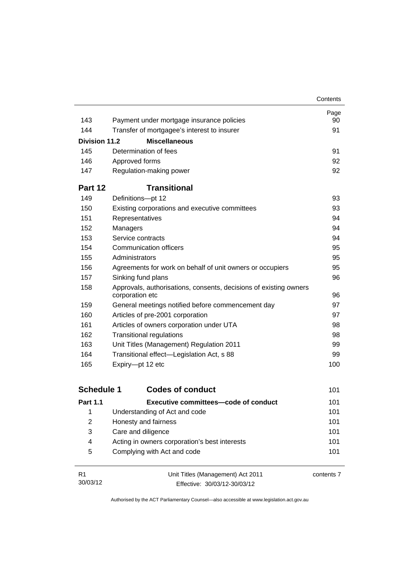|               |                                                                                      | Contents |
|---------------|--------------------------------------------------------------------------------------|----------|
|               |                                                                                      | Page     |
| 143           | Payment under mortgage insurance policies                                            | 90       |
| 144           | Transfer of mortgagee's interest to insurer                                          | 91       |
| Division 11.2 | <b>Miscellaneous</b>                                                                 |          |
| 145           | Determination of fees                                                                | 91       |
| 146           | Approved forms                                                                       | 92       |
| 147           | Regulation-making power                                                              | 92       |
| Part 12       | <b>Transitional</b>                                                                  |          |
| 149           | Definitions-pt 12                                                                    | 93       |
| 150           | Existing corporations and executive committees                                       | 93       |
| 151           | Representatives                                                                      | 94       |
| 152           | Managers                                                                             | 94       |
| 153           | Service contracts                                                                    | 94       |
| 154           | Communication officers                                                               | 95       |
| 155           | Administrators                                                                       | 95       |
| 156           | Agreements for work on behalf of unit owners or occupiers                            | 95       |
| 157           | Sinking fund plans                                                                   | 96       |
| 158           | Approvals, authorisations, consents, decisions of existing owners<br>corporation etc | 96       |
| 159           | General meetings notified before commencement day                                    | 97       |
| 160           | Articles of pre-2001 corporation                                                     | 97       |
| 161           | Articles of owners corporation under UTA                                             | 98       |
| 162           | <b>Transitional regulations</b>                                                      | 98       |
| 163           | Unit Titles (Management) Regulation 2011                                             | 99       |
| 164           | Transitional effect-Legislation Act, s 88                                            | 99       |
| 165           | Expiry-pt 12 etc                                                                     | 100      |
|               |                                                                                      |          |

| <b>Schedule 1</b> | <b>Codes of conduct</b>                       | 101 |
|-------------------|-----------------------------------------------|-----|
| <b>Part 1.1</b>   | Executive committees—code of conduct          | 101 |
| 1                 | Understanding of Act and code                 | 101 |
| 2                 | Honesty and fairness                          | 101 |
| 3                 | Care and diligence                            | 101 |
| 4                 | Acting in owners corporation's best interests | 101 |
| 5                 | Complying with Act and code                   | 101 |

| - R1     | Unit Titles (Management) Act 2011 | contents 7 |
|----------|-----------------------------------|------------|
| 30/03/12 | Effective: 30/03/12-30/03/12      |            |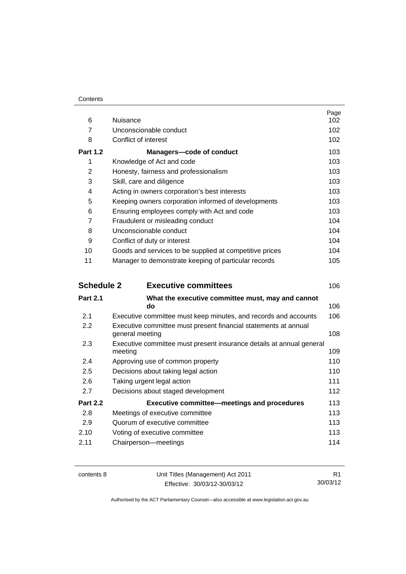### **Contents**

| 6                 | Nuisance                                                                           | Page<br>102 |
|-------------------|------------------------------------------------------------------------------------|-------------|
| $\overline{7}$    | Unconscionable conduct                                                             | 102         |
| 8                 | Conflict of interest                                                               | 102         |
| <b>Part 1.2</b>   | Managers-code of conduct                                                           | 103         |
| 1                 | Knowledge of Act and code                                                          | 103         |
| $\overline{2}$    | Honesty, fairness and professionalism                                              | 103         |
| 3                 | Skill, care and diligence                                                          | 103         |
| 4                 | Acting in owners corporation's best interests                                      | 103         |
| 5                 | Keeping owners corporation informed of developments                                | 103         |
| 6                 | Ensuring employees comply with Act and code                                        | 103         |
| 7                 | Fraudulent or misleading conduct                                                   | 104         |
| 8                 | Unconscionable conduct                                                             | 104         |
| 9                 | Conflict of duty or interest                                                       | 104         |
| 10                | Goods and services to be supplied at competitive prices                            | 104         |
| 11                | Manager to demonstrate keeping of particular records                               | 105         |
| <b>Schedule 2</b> | <b>Executive committees</b>                                                        | 106         |
| <b>Part 2.1</b>   | What the executive committee must, may and cannot<br>do                            | 106         |
| 2.1               | Executive committee must keep minutes, and records and accounts                    | 106         |
| 2.2               | Executive committee must present financial statements at annual<br>general meeting | 108         |
| 2.3               | Executive committee must present insurance details at annual general               |             |
|                   | meeting                                                                            | 109         |
| 2.4               | Approving use of common property                                                   | 110         |
| 2.5               | Decisions about taking legal action                                                | 110         |
| 2.6               | Taking urgent legal action                                                         | 111         |
| 2.7               | Decisions about staged development                                                 | 112         |
| <b>Part 2.2</b>   | <b>Executive committee–meetings and procedures</b>                                 | 113         |
| 2.8               | Meetings of executive committee                                                    | 113         |
| 2.9               | Quorum of executive committee                                                      | 113         |
| 2.10              | Voting of executive committee                                                      | 113         |
| 2.11              | Chairperson-meetings                                                               | 114         |

contents 8 Unit Titles (Management) Act 2011 Effective: 30/03/12-30/03/12

R1 30/03/12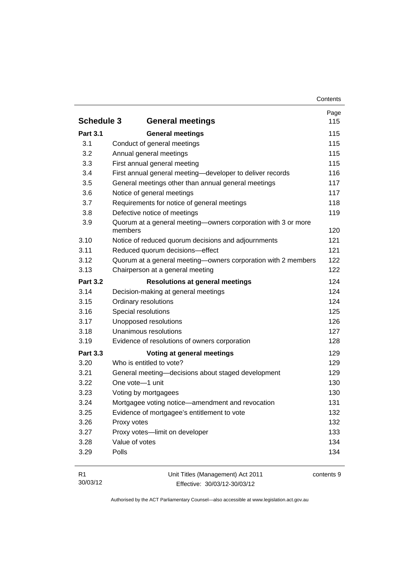|                   |                                                                          | Page |
|-------------------|--------------------------------------------------------------------------|------|
| <b>Schedule 3</b> | <b>General meetings</b>                                                  | 115  |
| <b>Part 3.1</b>   | <b>General meetings</b>                                                  | 115  |
| 3.1               | Conduct of general meetings                                              | 115  |
| 3.2               | Annual general meetings                                                  | 115  |
| 3.3               | First annual general meeting                                             | 115  |
| 3.4               | First annual general meeting-developer to deliver records                | 116  |
| 3.5               | General meetings other than annual general meetings                      | 117  |
| 3.6               | Notice of general meetings                                               | 117  |
| 3.7               | Requirements for notice of general meetings                              | 118  |
| 3.8               | Defective notice of meetings                                             | 119  |
| 3.9               | Quorum at a general meeting-owners corporation with 3 or more<br>members | 120  |
| 3.10              | Notice of reduced quorum decisions and adjournments                      | 121  |
| 3.11              | Reduced quorum decisions-effect                                          | 121  |
| 3.12              | Quorum at a general meeting-owners corporation with 2 members            | 122  |
| 3.13              | Chairperson at a general meeting                                         | 122  |
| <b>Part 3.2</b>   | <b>Resolutions at general meetings</b>                                   | 124  |
| 3.14              | Decision-making at general meetings                                      | 124  |
| 3.15              | Ordinary resolutions                                                     | 124  |
| 3.16              | Special resolutions                                                      | 125  |
| 3.17              | Unopposed resolutions                                                    | 126  |
| 3.18              | Unanimous resolutions                                                    | 127  |
| 3.19              | Evidence of resolutions of owners corporation                            | 128  |
| <b>Part 3.3</b>   | Voting at general meetings                                               | 129  |
| 3.20              | Who is entitled to vote?                                                 | 129  |
| 3.21              | General meeting-decisions about staged development                       | 129  |
| 3.22              | One vote-1 unit                                                          | 130  |
| 3.23              | Voting by mortgagees                                                     | 130  |
| 3.24              | Mortgagee voting notice—amendment and revocation                         | 131  |
| 3.25              | Evidence of mortgagee's entitlement to vote                              | 132  |
| 3.26              | Proxy votes                                                              | 132  |
| 3.27              | Proxy votes-limit on developer                                           | 133  |
| 3.28              | Value of votes                                                           | 134  |
| 3.29              | Polls                                                                    | 134  |

| – R1     | Unit Titles (Management) Act 2011 | contents 9 |
|----------|-----------------------------------|------------|
| 30/03/12 | Effective: 30/03/12-30/03/12      |            |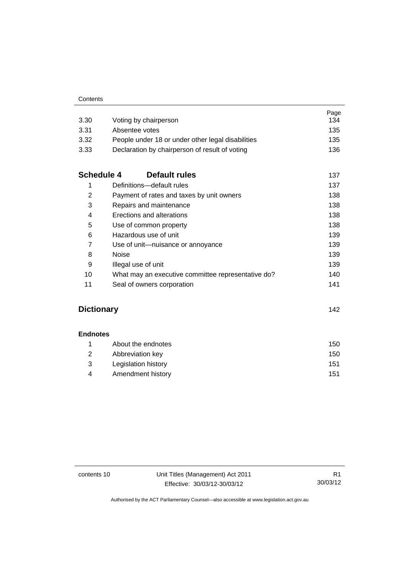| 3.30              | Voting by chairperson                              | Page<br>134 |
|-------------------|----------------------------------------------------|-------------|
| 3.31              | Absentee votes                                     | 135         |
| 3.32              | People under 18 or under other legal disabilities  | 135         |
| 3.33              | Declaration by chairperson of result of voting     | 136         |
| <b>Schedule 4</b> | Default rules                                      | 137         |
| 1                 | Definitions-default rules                          | 137         |
| 2                 | Payment of rates and taxes by unit owners          | 138         |
| 3                 | Repairs and maintenance                            | 138         |
| 4                 | Erections and alterations                          | 138         |
| 5                 | Use of common property                             | 138         |
| 6                 | Hazardous use of unit                              | 139         |
| $\overline{7}$    | Use of unit-nuisance or annoyance                  | 139         |
| 8                 | Noise                                              | 139         |
| 9                 | Illegal use of unit                                | 139         |
| 10                | What may an executive committee representative do? | 140         |
| 11                | Seal of owners corporation                         | 141         |

### **[Dictionary](#page-153-0)** [142](#page-153-0)

| <b>Endnotes</b> |
|-----------------|
|-----------------|

|      | About the endnotes  | 150 |
|------|---------------------|-----|
| -2   | Abbreviation key    | 150 |
| $-3$ | Legislation history | 151 |
| 4    | Amendment history   | 151 |

contents 10 Unit Titles (Management) Act 2011 Effective: 30/03/12-30/03/12

R1 30/03/12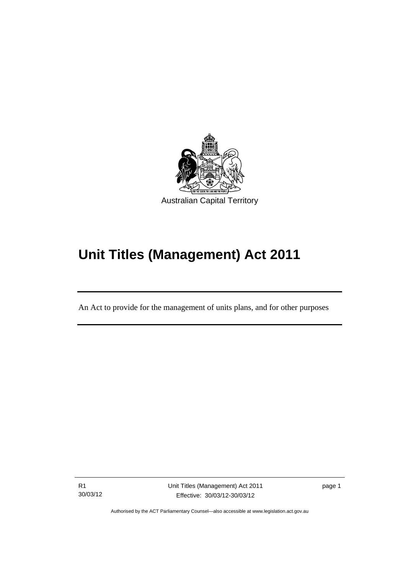

## **Unit Titles (Management) Act 2011**

An Act to provide for the management of units plans, and for other purposes

R1 30/03/12

l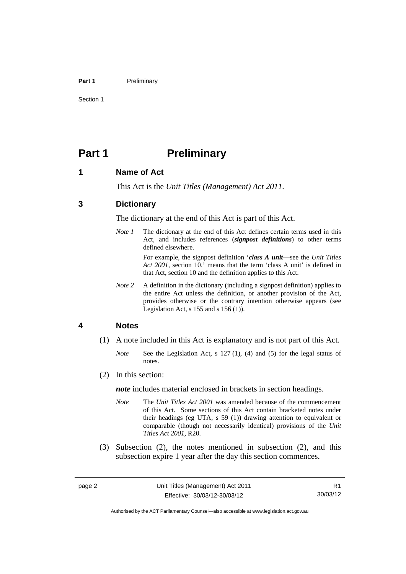#### Part 1 **Preliminary**

Section 1

### <span id="page-13-0"></span>**Part 1** Preliminary

### <span id="page-13-1"></span>**1 Name of Act**

This Act is the *Unit Titles (Management) Act 2011*.

### <span id="page-13-2"></span>**3 Dictionary**

The dictionary at the end of this Act is part of this Act.

*Note 1* The dictionary at the end of this Act defines certain terms used in this Act, and includes references (*signpost definitions*) to other terms defined elsewhere.

> For example, the signpost definition '*class A unit*—see the *Unit Titles Act 2001*, section 10.' means that the term 'class A unit' is defined in that Act, section 10 and the definition applies to this Act.

*Note* 2 A definition in the dictionary (including a signpost definition) applies to the entire Act unless the definition, or another provision of the Act, provides otherwise or the contrary intention otherwise appears (see Legislation Act, s 155 and s 156 (1)).

### <span id="page-13-3"></span>**4 Notes**

- (1) A note included in this Act is explanatory and is not part of this Act.
	- *Note* See the Legislation Act, s 127 (1), (4) and (5) for the legal status of notes.
- (2) In this section:

*note* includes material enclosed in brackets in section headings.

- *Note* The *Unit Titles Act 2001* was amended because of the commencement of this Act. Some sections of this Act contain bracketed notes under their headings (eg UTA, s 59 (1)) drawing attention to equivalent or comparable (though not necessarily identical) provisions of the *Unit Titles Act 2001*, R20.
- (3) Subsection (2), the notes mentioned in subsection (2), and this subsection expire 1 year after the day this section commences.

Authorised by the ACT Parliamentary Counsel—also accessible at www.legislation.act.gov.au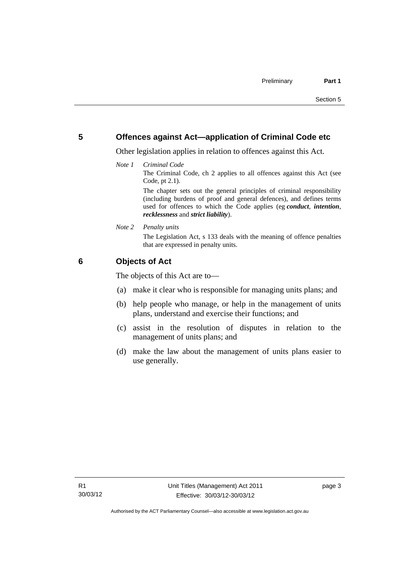### <span id="page-14-0"></span>**5 Offences against Act—application of Criminal Code etc**

Other legislation applies in relation to offences against this Act.

*Note 1 Criminal Code*

The Criminal Code, ch 2 applies to all offences against this Act (see Code, pt 2.1).

The chapter sets out the general principles of criminal responsibility (including burdens of proof and general defences), and defines terms used for offences to which the Code applies (eg *conduct*, *intention*, *recklessness* and *strict liability*).

*Note 2 Penalty units* 

The Legislation Act, s 133 deals with the meaning of offence penalties that are expressed in penalty units.

### <span id="page-14-1"></span>**6 Objects of Act**

The objects of this Act are to—

- (a) make it clear who is responsible for managing units plans; and
- (b) help people who manage, or help in the management of units plans, understand and exercise their functions; and
- (c) assist in the resolution of disputes in relation to the management of units plans; and
- (d) make the law about the management of units plans easier to use generally.

page 3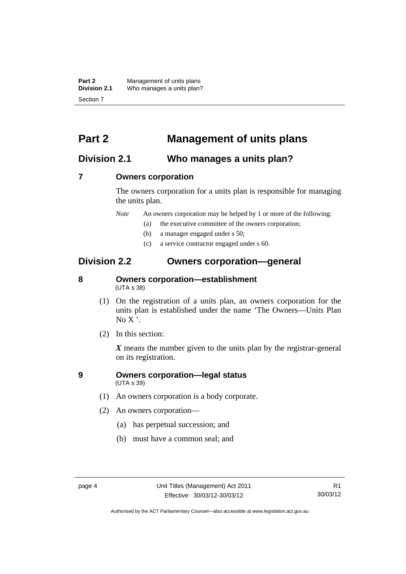**Part 2** Management of units plans<br>**Division 2.1** Who manages a units plan? Who manages a units plan? Section 7

### <span id="page-15-0"></span>**Part 2 Management of units plans**

### <span id="page-15-1"></span>**Division 2.1 Who manages a units plan?**

### <span id="page-15-2"></span>**7 Owners corporation**

The owners corporation for a units plan is responsible for managing the units plan.

*Note* An owners corporation may be helped by 1 or more of the following:

- (a) the executive committee of the owners corporation;
- (b) a manager engaged under s 50;
- (c) a service contractor engaged under s 60.

### <span id="page-15-3"></span>**Division 2.2 Owners corporation—general**

### <span id="page-15-4"></span>**8 Owners corporation—establishment**  (UTA s 38)

- (1) On the registration of a units plan, an owners corporation for the units plan is established under the name 'The Owners—Units Plan  $No X'.$
- (2) In this section:

*X* means the number given to the units plan by the registrar-general on its registration.

### <span id="page-15-5"></span>**9 Owners corporation—legal status**  (UTA s 39)

- (1) An owners corporation is a body corporate.
- (2) An owners corporation—
	- (a) has perpetual succession; and
	- (b) must have a common seal; and

Authorised by the ACT Parliamentary Counsel—also accessible at www.legislation.act.gov.au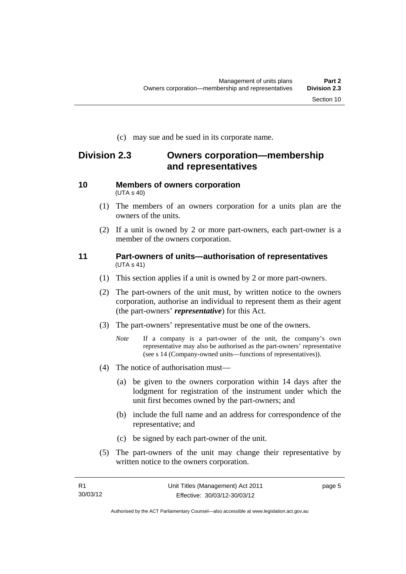(c) may sue and be sued in its corporate name.

### <span id="page-16-0"></span>**Division 2.3 Owners corporation—membership and representatives**

### <span id="page-16-1"></span>**10 Members of owners corporation**  (UTA s 40)

- (1) The members of an owners corporation for a units plan are the owners of the units.
- (2) If a unit is owned by 2 or more part-owners, each part-owner is a member of the owners corporation.

### <span id="page-16-2"></span>**11 Part-owners of units—authorisation of representatives**  (UTA s 41)

- (1) This section applies if a unit is owned by 2 or more part-owners.
- (2) The part-owners of the unit must, by written notice to the owners corporation, authorise an individual to represent them as their agent (the part-owners' *representative*) for this Act.
- (3) The part-owners' representative must be one of the owners.
	- *Note* If a company is a part-owner of the unit, the company's own representative may also be authorised as the part-owners' representative (see s 14 (Company-owned units—functions of representatives)).
- (4) The notice of authorisation must—
	- (a) be given to the owners corporation within 14 days after the lodgment for registration of the instrument under which the unit first becomes owned by the part-owners; and
	- (b) include the full name and an address for correspondence of the representative; and
	- (c) be signed by each part-owner of the unit.
- (5) The part-owners of the unit may change their representative by written notice to the owners corporation.

page 5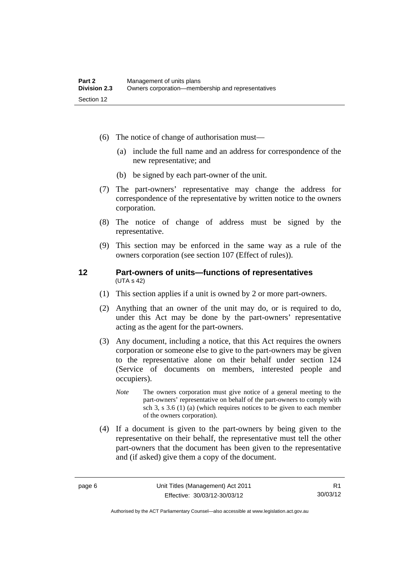- (6) The notice of change of authorisation must—
	- (a) include the full name and an address for correspondence of the new representative; and
	- (b) be signed by each part-owner of the unit.
- (7) The part-owners' representative may change the address for correspondence of the representative by written notice to the owners corporation.
- (8) The notice of change of address must be signed by the representative.
- (9) This section may be enforced in the same way as a rule of the owners corporation (see section 107 (Effect of rules)).

### <span id="page-17-0"></span>**12 Part-owners of units—functions of representatives**  (UTA s 42)

- (1) This section applies if a unit is owned by 2 or more part-owners.
- (2) Anything that an owner of the unit may do, or is required to do, under this Act may be done by the part-owners' representative acting as the agent for the part-owners.
- (3) Any document, including a notice, that this Act requires the owners corporation or someone else to give to the part-owners may be given to the representative alone on their behalf under section 124 (Service of documents on members, interested people and occupiers).
	- *Note* The owners corporation must give notice of a general meeting to the part-owners' representative on behalf of the part-owners to comply with sch 3, s 3.6 (1) (a) (which requires notices to be given to each member of the owners corporation).
- (4) If a document is given to the part-owners by being given to the representative on their behalf, the representative must tell the other part-owners that the document has been given to the representative and (if asked) give them a copy of the document.

Authorised by the ACT Parliamentary Counsel—also accessible at www.legislation.act.gov.au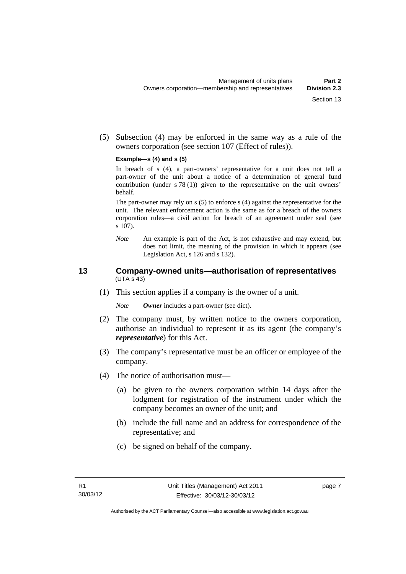(5) Subsection (4) may be enforced in the same way as a rule of the owners corporation (see section 107 (Effect of rules)).

#### **Example—s (4) and s (5)**

In breach of s (4), a part-owners' representative for a unit does not tell a part-owner of the unit about a notice of a determination of general fund contribution (under s 78 (1)) given to the representative on the unit owners' behalf.

The part-owner may rely on s (5) to enforce s (4) against the representative for the unit. The relevant enforcement action is the same as for a breach of the owners corporation rules—a civil action for breach of an agreement under seal (see s 107).

*Note* An example is part of the Act, is not exhaustive and may extend, but does not limit, the meaning of the provision in which it appears (see Legislation Act, s 126 and s 132).

### <span id="page-18-0"></span>**13 Company-owned units—authorisation of representatives**  (UTA s 43)

(1) This section applies if a company is the owner of a unit.

*Note Owner* includes a part-owner (see dict).

- (2) The company must, by written notice to the owners corporation, authorise an individual to represent it as its agent (the company's *representative*) for this Act.
- (3) The company's representative must be an officer or employee of the company.
- (4) The notice of authorisation must—
	- (a) be given to the owners corporation within 14 days after the lodgment for registration of the instrument under which the company becomes an owner of the unit; and
	- (b) include the full name and an address for correspondence of the representative; and
	- (c) be signed on behalf of the company.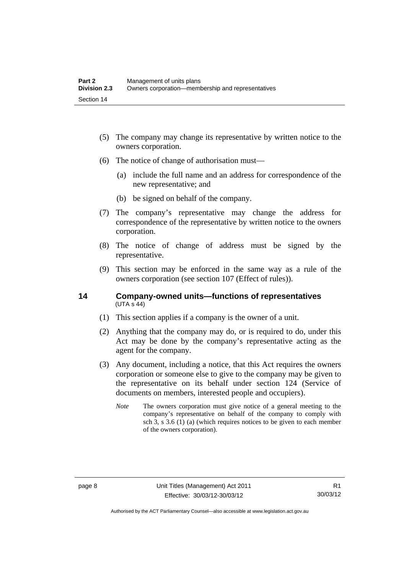- (5) The company may change its representative by written notice to the owners corporation.
- (6) The notice of change of authorisation must—
	- (a) include the full name and an address for correspondence of the new representative; and
	- (b) be signed on behalf of the company.
- (7) The company's representative may change the address for correspondence of the representative by written notice to the owners corporation.
- (8) The notice of change of address must be signed by the representative.
- (9) This section may be enforced in the same way as a rule of the owners corporation (see section 107 (Effect of rules)).

### <span id="page-19-0"></span>**14 Company-owned units—functions of representatives**   $(UTA S 44)$

- (1) This section applies if a company is the owner of a unit.
- (2) Anything that the company may do, or is required to do, under this Act may be done by the company's representative acting as the agent for the company.
- (3) Any document, including a notice, that this Act requires the owners corporation or someone else to give to the company may be given to the representative on its behalf under section 124 (Service of documents on members, interested people and occupiers).
	- *Note* The owners corporation must give notice of a general meeting to the company's representative on behalf of the company to comply with sch 3, s 3.6 (1) (a) (which requires notices to be given to each member of the owners corporation).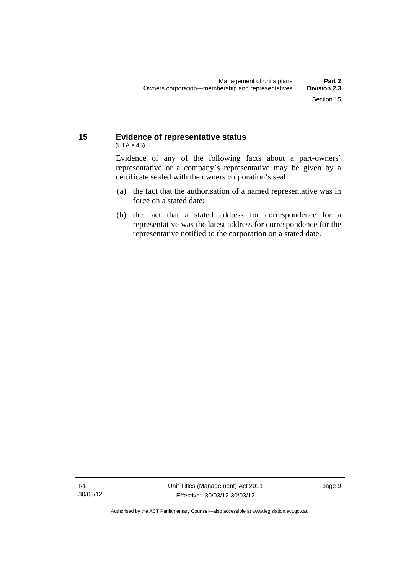### <span id="page-20-0"></span>**15 Evidence of representative status**  (UTA s 45)

Evidence of any of the following facts about a part-owners' representative or a company's representative may be given by a certificate sealed with the owners corporation's seal:

- (a) the fact that the authorisation of a named representative was in force on a stated date;
- (b) the fact that a stated address for correspondence for a representative was the latest address for correspondence for the representative notified to the corporation on a stated date.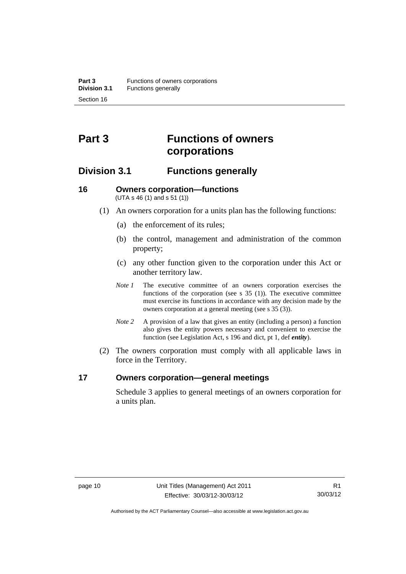## <span id="page-21-0"></span>**Part 3 Functions of owners corporations**

### <span id="page-21-1"></span>**Division 3.1 Functions generally**

### <span id="page-21-2"></span>**16 Owners corporation—functions**  (UTA s 46 (1) and s 51 (1))

- (1) An owners corporation for a units plan has the following functions:
	- (a) the enforcement of its rules;
	- (b) the control, management and administration of the common property;
	- (c) any other function given to the corporation under this Act or another territory law.
	- *Note 1* The executive committee of an owners corporation exercises the functions of the corporation (see s 35 (1)). The executive committee must exercise its functions in accordance with any decision made by the owners corporation at a general meeting (see s 35 (3)).
	- *Note 2* A provision of a law that gives an entity (including a person) a function also gives the entity powers necessary and convenient to exercise the function (see Legislation Act, s 196 and dict, pt 1, def *entity*).
- (2) The owners corporation must comply with all applicable laws in force in the Territory.

### <span id="page-21-3"></span>**17 Owners corporation—general meetings**

Schedule 3 applies to general meetings of an owners corporation for a units plan.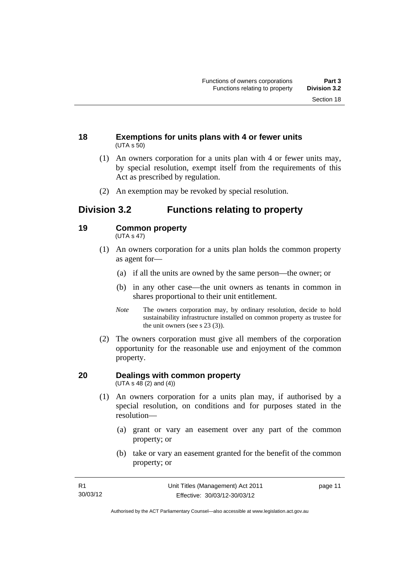### <span id="page-22-0"></span>**18 Exemptions for units plans with 4 or fewer units**  (UTA s 50)

- (1) An owners corporation for a units plan with 4 or fewer units may, by special resolution, exempt itself from the requirements of this Act as prescribed by regulation.
- (2) An exemption may be revoked by special resolution.

### <span id="page-22-1"></span>**Division 3.2 Functions relating to property**

### <span id="page-22-2"></span>**19 Common property**

(UTA s 47)

- (1) An owners corporation for a units plan holds the common property as agent for—
	- (a) if all the units are owned by the same person—the owner; or
	- (b) in any other case—the unit owners as tenants in common in shares proportional to their unit entitlement.
	- *Note* The owners corporation may, by ordinary resolution, decide to hold sustainability infrastructure installed on common property as trustee for the unit owners (see s 23 (3)).
- (2) The owners corporation must give all members of the corporation opportunity for the reasonable use and enjoyment of the common property.

#### <span id="page-22-3"></span>**20 Dealings with common property**  (UTA s  $48(2)$  and  $(4)$ )

- (1) An owners corporation for a units plan may, if authorised by a special resolution, on conditions and for purposes stated in the resolution—
	- (a) grant or vary an easement over any part of the common property; or
	- (b) take or vary an easement granted for the benefit of the common property; or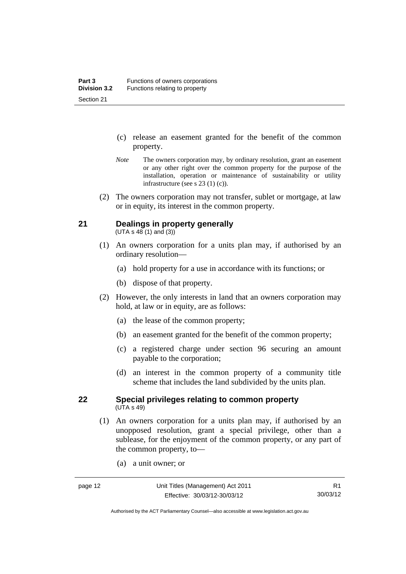- (c) release an easement granted for the benefit of the common property.
- *Note* The owners corporation may, by ordinary resolution, grant an easement or any other right over the common property for the purpose of the installation, operation or maintenance of sustainability or utility infrastructure (see s 23 (1) (c)).
- (2) The owners corporation may not transfer, sublet or mortgage, at law or in equity, its interest in the common property.

### <span id="page-23-0"></span>**21 Dealings in property generally**

 $(UTA s 48 (1) and (3))$ 

- (1) An owners corporation for a units plan may, if authorised by an ordinary resolution—
	- (a) hold property for a use in accordance with its functions; or
	- (b) dispose of that property.
- (2) However, the only interests in land that an owners corporation may hold, at law or in equity, are as follows:
	- (a) the lease of the common property;
	- (b) an easement granted for the benefit of the common property;
	- (c) a registered charge under section 96 securing an amount payable to the corporation;
	- (d) an interest in the common property of a community title scheme that includes the land subdivided by the units plan.

### <span id="page-23-1"></span>**22 Special privileges relating to common property**  (UTA s 49)

- (1) An owners corporation for a units plan may, if authorised by an unopposed resolution, grant a special privilege, other than a sublease, for the enjoyment of the common property, or any part of the common property, to—
	- (a) a unit owner; or

Authorised by the ACT Parliamentary Counsel—also accessible at www.legislation.act.gov.au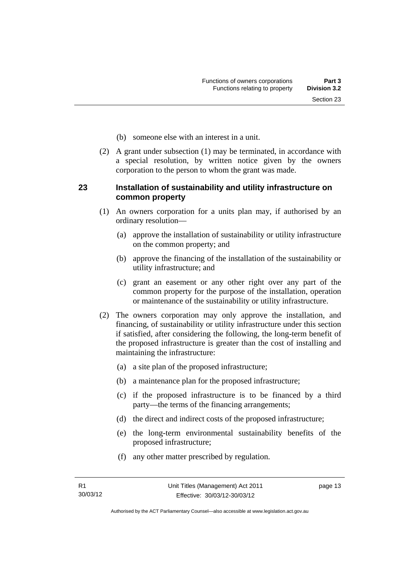- (b) someone else with an interest in a unit.
- (2) A grant under subsection (1) may be terminated, in accordance with a special resolution, by written notice given by the owners corporation to the person to whom the grant was made.

### <span id="page-24-0"></span>**23 Installation of sustainability and utility infrastructure on common property**

- (1) An owners corporation for a units plan may, if authorised by an ordinary resolution—
	- (a) approve the installation of sustainability or utility infrastructure on the common property; and
	- (b) approve the financing of the installation of the sustainability or utility infrastructure; and
	- (c) grant an easement or any other right over any part of the common property for the purpose of the installation, operation or maintenance of the sustainability or utility infrastructure.
- (2) The owners corporation may only approve the installation, and financing, of sustainability or utility infrastructure under this section if satisfied, after considering the following, the long-term benefit of the proposed infrastructure is greater than the cost of installing and maintaining the infrastructure:
	- (a) a site plan of the proposed infrastructure;
	- (b) a maintenance plan for the proposed infrastructure;
	- (c) if the proposed infrastructure is to be financed by a third party—the terms of the financing arrangements;
	- (d) the direct and indirect costs of the proposed infrastructure;
	- (e) the long-term environmental sustainability benefits of the proposed infrastructure;
	- (f) any other matter prescribed by regulation.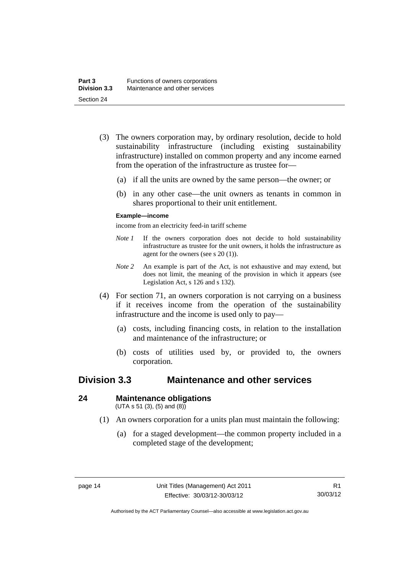- (3) The owners corporation may, by ordinary resolution, decide to hold sustainability infrastructure (including existing sustainability infrastructure) installed on common property and any income earned from the operation of the infrastructure as trustee for—
	- (a) if all the units are owned by the same person—the owner; or
	- (b) in any other case—the unit owners as tenants in common in shares proportional to their unit entitlement.

### **Example—income**

income from an electricity feed-in tariff scheme

- *Note 1* If the owners corporation does not decide to hold sustainability infrastructure as trustee for the unit owners, it holds the infrastructure as agent for the owners (see s 20 (1)).
- *Note 2* An example is part of the Act, is not exhaustive and may extend, but does not limit, the meaning of the provision in which it appears (see Legislation Act, s 126 and s 132).
- (4) For section 71, an owners corporation is not carrying on a business if it receives income from the operation of the sustainability infrastructure and the income is used only to pay—
	- (a) costs, including financing costs, in relation to the installation and maintenance of the infrastructure; or
	- (b) costs of utilities used by, or provided to, the owners corporation.

### <span id="page-25-0"></span>**Division 3.3 Maintenance and other services**

### <span id="page-25-1"></span>**24 Maintenance obligations**

 $(UTA s 51 (3), (5) and (8))$ 

- (1) An owners corporation for a units plan must maintain the following:
	- (a) for a staged development—the common property included in a completed stage of the development;

Authorised by the ACT Parliamentary Counsel—also accessible at www.legislation.act.gov.au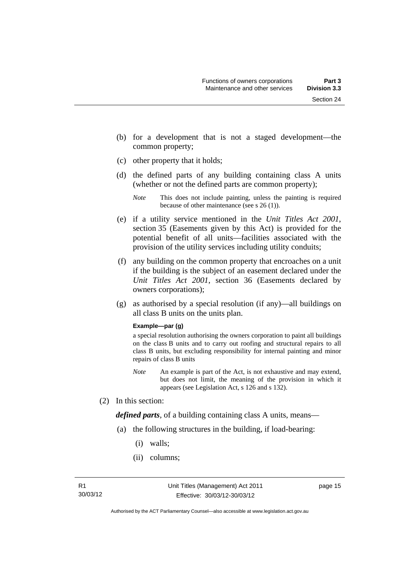- (b) for a development that is not a staged development—the common property;
- (c) other property that it holds;
- (d) the defined parts of any building containing class A units (whether or not the defined parts are common property);

- (e) if a utility service mentioned in the *Unit Titles Act 2001*, section 35 (Easements given by this Act) is provided for the potential benefit of all units—facilities associated with the provision of the utility services including utility conduits;
- (f) any building on the common property that encroaches on a unit if the building is the subject of an easement declared under the *Unit Titles Act 2001*, section 36 (Easements declared by owners corporations);
- (g) as authorised by a special resolution (if any)—all buildings on all class B units on the units plan.

#### **Example—par (g)**

a special resolution authorising the owners corporation to paint all buildings on the class B units and to carry out roofing and structural repairs to all class B units, but excluding responsibility for internal painting and minor repairs of class B units

- *Note* An example is part of the Act, is not exhaustive and may extend, but does not limit, the meaning of the provision in which it appears (see Legislation Act, s 126 and s 132).
- (2) In this section:

*defined parts*, of a building containing class A units, means—

- (a) the following structures in the building, if load-bearing:
	- (i) walls;
	- (ii) columns;

*Note* This does not include painting, unless the painting is required because of other maintenance (see s 26 (1)).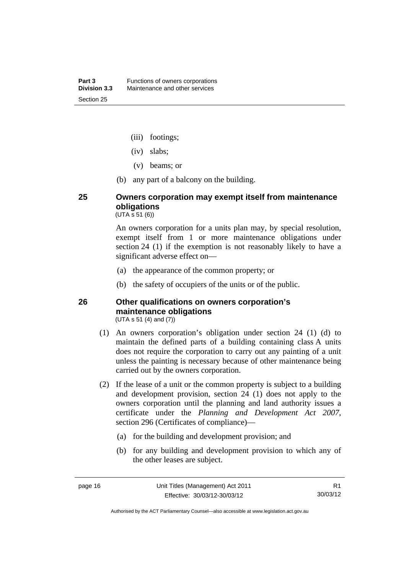- (iii) footings;
- (iv) slabs;
- (v) beams; or
- (b) any part of a balcony on the building.

### <span id="page-27-0"></span>**25 Owners corporation may exempt itself from maintenance obligations**

 $(UTA \, \bar{s} \, 51 \, (6))$ 

An owners corporation for a units plan may, by special resolution, exempt itself from 1 or more maintenance obligations under section 24 (1) if the exemption is not reasonably likely to have a significant adverse effect on—

- (a) the appearance of the common property; or
- (b) the safety of occupiers of the units or of the public.

### <span id="page-27-1"></span>**26 Other qualifications on owners corporation's maintenance obligations**  (UTA s 51 (4) and (7))

- (1) An owners corporation's obligation under section 24 (1) (d) to maintain the defined parts of a building containing class A units does not require the corporation to carry out any painting of a unit unless the painting is necessary because of other maintenance being carried out by the owners corporation.
- (2) If the lease of a unit or the common property is subject to a building and development provision, section 24 (1) does not apply to the owners corporation until the planning and land authority issues a certificate under the *Planning and Development Act 2007*, section 296 (Certificates of compliance)—
	- (a) for the building and development provision; and
	- (b) for any building and development provision to which any of the other leases are subject.

Authorised by the ACT Parliamentary Counsel—also accessible at www.legislation.act.gov.au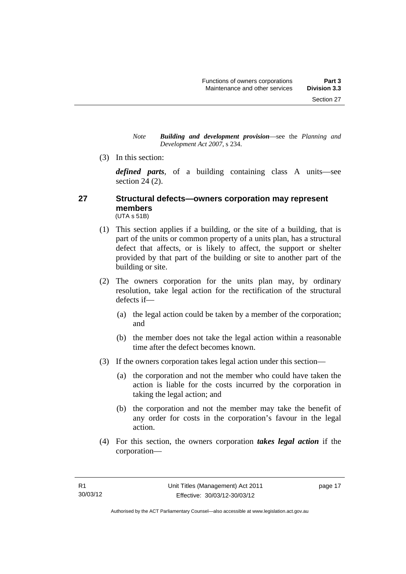*Note Building and development provision*—see the *Planning and Development Act 2007*, s 234.

(3) In this section:

*defined parts*, of a building containing class A units—see section 24 (2).

### <span id="page-28-0"></span>**27 Structural defects—owners corporation may represent members**  (UTA s 51B)

- (1) This section applies if a building, or the site of a building, that is part of the units or common property of a units plan, has a structural defect that affects, or is likely to affect, the support or shelter provided by that part of the building or site to another part of the building or site.
- (2) The owners corporation for the units plan may, by ordinary resolution, take legal action for the rectification of the structural defects if—
	- (a) the legal action could be taken by a member of the corporation; and
	- (b) the member does not take the legal action within a reasonable time after the defect becomes known.
- (3) If the owners corporation takes legal action under this section—
	- (a) the corporation and not the member who could have taken the action is liable for the costs incurred by the corporation in taking the legal action; and
	- (b) the corporation and not the member may take the benefit of any order for costs in the corporation's favour in the legal action.
- (4) For this section, the owners corporation *takes legal action* if the corporation—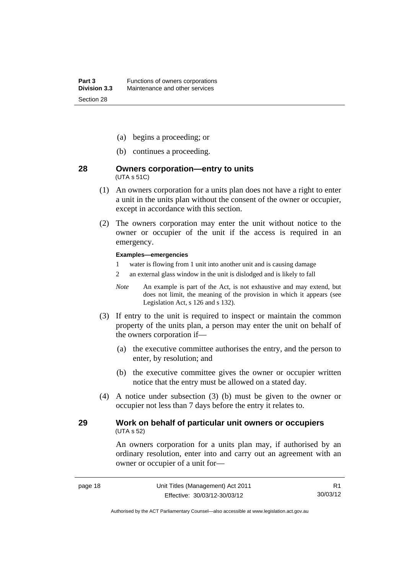- (a) begins a proceeding; or
- (b) continues a proceeding.

### <span id="page-29-0"></span>**28 Owners corporation—entry to units**  (UTA s 51C)

- (1) An owners corporation for a units plan does not have a right to enter a unit in the units plan without the consent of the owner or occupier, except in accordance with this section.
- (2) The owners corporation may enter the unit without notice to the owner or occupier of the unit if the access is required in an emergency.

#### **Examples—emergencies**

- 1 water is flowing from 1 unit into another unit and is causing damage
- 2 an external glass window in the unit is dislodged and is likely to fall
- *Note* An example is part of the Act, is not exhaustive and may extend, but does not limit, the meaning of the provision in which it appears (see Legislation Act, s 126 and s 132).
- (3) If entry to the unit is required to inspect or maintain the common property of the units plan, a person may enter the unit on behalf of the owners corporation if—
	- (a) the executive committee authorises the entry, and the person to enter, by resolution; and
	- (b) the executive committee gives the owner or occupier written notice that the entry must be allowed on a stated day.
- (4) A notice under subsection (3) (b) must be given to the owner or occupier not less than 7 days before the entry it relates to.

### <span id="page-29-1"></span>**29 Work on behalf of particular unit owners or occupiers**  (UTA s 52)

An owners corporation for a units plan may, if authorised by an ordinary resolution, enter into and carry out an agreement with an owner or occupier of a unit for—

Authorised by the ACT Parliamentary Counsel—also accessible at www.legislation.act.gov.au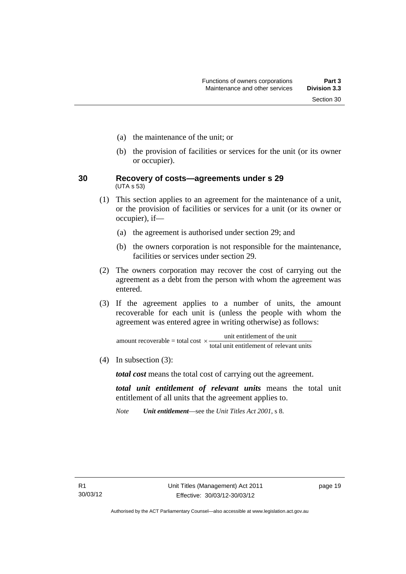- (a) the maintenance of the unit; or
- (b) the provision of facilities or services for the unit (or its owner or occupier).
- <span id="page-30-0"></span>**30 Recovery of costs—agreements under s 29**  (UTA s 53)
	- (1) This section applies to an agreement for the maintenance of a unit, or the provision of facilities or services for a unit (or its owner or occupier), if—
		- (a) the agreement is authorised under section 29; and
		- (b) the owners corporation is not responsible for the maintenance, facilities or services under section 29.
	- (2) The owners corporation may recover the cost of carrying out the agreement as a debt from the person with whom the agreement was entered.
	- (3) If the agreement applies to a number of units, the amount recoverable for each unit is (unless the people with whom the agreement was entered agree in writing otherwise) as follows:

total unit entitlement of relevant units amount recoverable = total cost  $\times$  unit entitlement of the unit

(4) In subsection (3):

*total cost* means the total cost of carrying out the agreement.

*total unit entitlement of relevant units* means the total unit entitlement of all units that the agreement applies to.

*Note Unit entitlement*—see the *Unit Titles Act 2001*, s 8.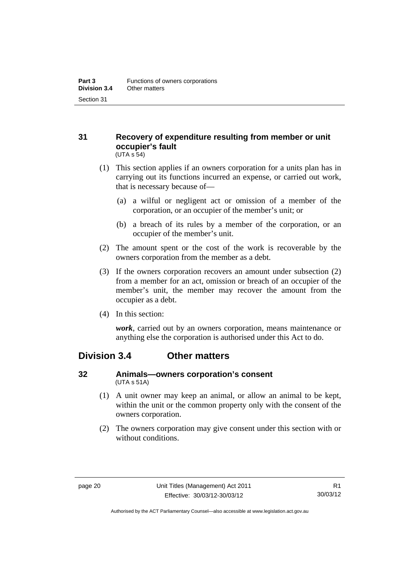### <span id="page-31-0"></span>**31 Recovery of expenditure resulting from member or unit occupier's fault**  (UTA s 54)

- (1) This section applies if an owners corporation for a units plan has in carrying out its functions incurred an expense, or carried out work, that is necessary because of—
	- (a) a wilful or negligent act or omission of a member of the corporation, or an occupier of the member's unit; or
	- (b) a breach of its rules by a member of the corporation, or an occupier of the member's unit.
- (2) The amount spent or the cost of the work is recoverable by the owners corporation from the member as a debt.
- (3) If the owners corporation recovers an amount under subsection (2) from a member for an act, omission or breach of an occupier of the member's unit, the member may recover the amount from the occupier as a debt.
- (4) In this section:

*work*, carried out by an owners corporation, means maintenance or anything else the corporation is authorised under this Act to do.

### <span id="page-31-1"></span>**Division 3.4 Other matters**

### <span id="page-31-2"></span>**32 Animals—owners corporation's consent**  (UTA s 51A)

- (1) A unit owner may keep an animal, or allow an animal to be kept, within the unit or the common property only with the consent of the owners corporation.
- (2) The owners corporation may give consent under this section with or without conditions.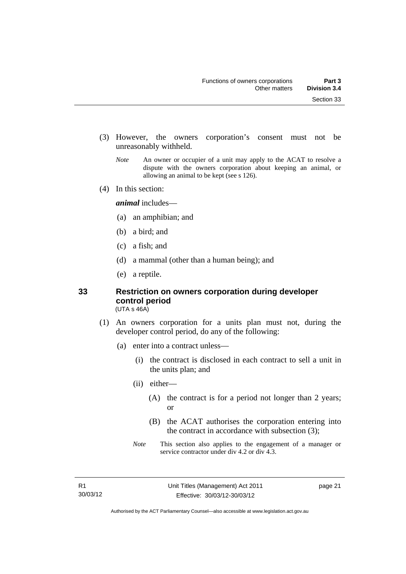- (3) However, the owners corporation's consent must not be unreasonably withheld.
	- *Note* An owner or occupier of a unit may apply to the ACAT to resolve a dispute with the owners corporation about keeping an animal, or allowing an animal to be kept (see s 126).
- (4) In this section:

*animal* includes—

- (a) an amphibian; and
- (b) a bird; and
- (c) a fish; and
- (d) a mammal (other than a human being); and
- (e) a reptile.

### <span id="page-32-0"></span>**33 Restriction on owners corporation during developer control period**

(UTA s 46A)

- (1) An owners corporation for a units plan must not, during the developer control period, do any of the following:
	- (a) enter into a contract unless—
		- (i) the contract is disclosed in each contract to sell a unit in the units plan; and
		- (ii) either—
			- (A) the contract is for a period not longer than 2 years; or
			- (B) the ACAT authorises the corporation entering into the contract in accordance with subsection (3);
		- *Note* This section also applies to the engagement of a manager or service contractor under div 4.2 or div 4.3.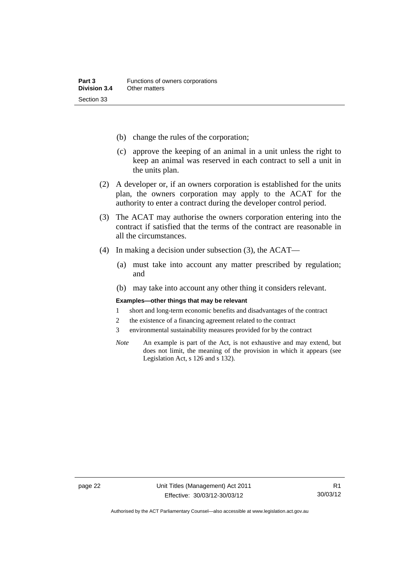- (b) change the rules of the corporation;
- (c) approve the keeping of an animal in a unit unless the right to keep an animal was reserved in each contract to sell a unit in the units plan.
- (2) A developer or, if an owners corporation is established for the units plan, the owners corporation may apply to the ACAT for the authority to enter a contract during the developer control period.
- (3) The ACAT may authorise the owners corporation entering into the contract if satisfied that the terms of the contract are reasonable in all the circumstances.
- (4) In making a decision under subsection (3), the ACAT—
	- (a) must take into account any matter prescribed by regulation; and
	- (b) may take into account any other thing it considers relevant.

#### **Examples—other things that may be relevant**

- 1 short and long-term economic benefits and disadvantages of the contract
- 2 the existence of a financing agreement related to the contract
- 3 environmental sustainability measures provided for by the contract
- *Note* An example is part of the Act, is not exhaustive and may extend, but does not limit, the meaning of the provision in which it appears (see Legislation Act, s 126 and s 132).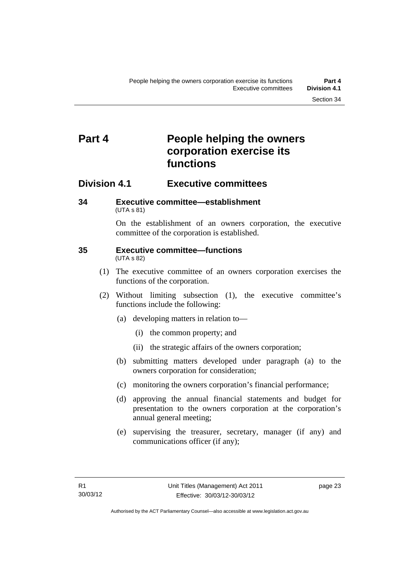### <span id="page-34-0"></span>**Part 4 People helping the owners corporation exercise its functions**

### <span id="page-34-1"></span>**Division 4.1 Executive committees**

### <span id="page-34-2"></span>**34 Executive committee—establishment**  (UTA s 81)

On the establishment of an owners corporation, the executive committee of the corporation is established.

### <span id="page-34-3"></span>**35 Executive committee—functions**  (UTA s 82)

- (1) The executive committee of an owners corporation exercises the functions of the corporation.
- (2) Without limiting subsection (1), the executive committee's functions include the following:
	- (a) developing matters in relation to—
		- (i) the common property; and
		- (ii) the strategic affairs of the owners corporation;
	- (b) submitting matters developed under paragraph (a) to the owners corporation for consideration;
	- (c) monitoring the owners corporation's financial performance;
	- (d) approving the annual financial statements and budget for presentation to the owners corporation at the corporation's annual general meeting;
	- (e) supervising the treasurer, secretary, manager (if any) and communications officer (if any);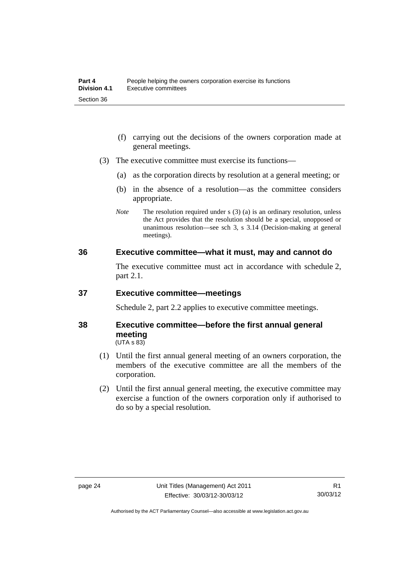- (f) carrying out the decisions of the owners corporation made at general meetings.
- (3) The executive committee must exercise its functions—
	- (a) as the corporation directs by resolution at a general meeting; or
	- (b) in the absence of a resolution—as the committee considers appropriate.
	- *Note* The resolution required under s (3) (a) is an ordinary resolution, unless the Act provides that the resolution should be a special, unopposed or unanimous resolution—see sch 3, s 3.14 (Decision-making at general meetings).

### <span id="page-35-0"></span>**36 Executive committee—what it must, may and cannot do**

The executive committee must act in accordance with schedule 2, part 2.1.

### <span id="page-35-1"></span>**37 Executive committee—meetings**

Schedule 2, part 2.2 applies to executive committee meetings.

### <span id="page-35-2"></span>**38 Executive committee—before the first annual general meeting**   $(UTA S 83)$

- (1) Until the first annual general meeting of an owners corporation, the members of the executive committee are all the members of the corporation.
- (2) Until the first annual general meeting, the executive committee may exercise a function of the owners corporation only if authorised to do so by a special resolution.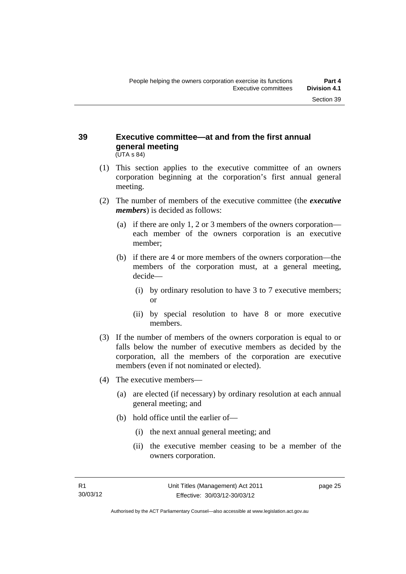#### **39 Executive committee—at and from the first annual general meeting**  (UTA s 84)

- (1) This section applies to the executive committee of an owners corporation beginning at the corporation's first annual general meeting.
- (2) The number of members of the executive committee (the *executive members*) is decided as follows:
	- (a) if there are only 1, 2 or 3 members of the owners corporation each member of the owners corporation is an executive member;
	- (b) if there are 4 or more members of the owners corporation—the members of the corporation must, at a general meeting, decide—
		- (i) by ordinary resolution to have 3 to 7 executive members; or
		- (ii) by special resolution to have 8 or more executive members.
- (3) If the number of members of the owners corporation is equal to or falls below the number of executive members as decided by the corporation, all the members of the corporation are executive members (even if not nominated or elected).
- (4) The executive members—
	- (a) are elected (if necessary) by ordinary resolution at each annual general meeting; and
	- (b) hold office until the earlier of—
		- (i) the next annual general meeting; and
		- (ii) the executive member ceasing to be a member of the owners corporation.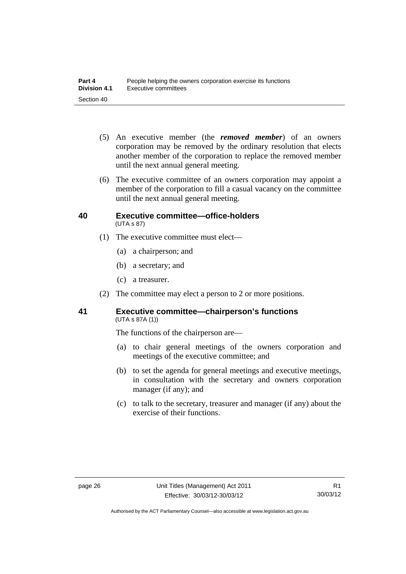- (5) An executive member (the *removed member*) of an owners corporation may be removed by the ordinary resolution that elects another member of the corporation to replace the removed member until the next annual general meeting.
- (6) The executive committee of an owners corporation may appoint a member of the corporation to fill a casual vacancy on the committee until the next annual general meeting.

#### **40 Executive committee—office-holders**  (UTA s 87)

- (1) The executive committee must elect—
	- (a) a chairperson; and
	- (b) a secretary; and
	- (c) a treasurer.
- (2) The committee may elect a person to 2 or more positions.

#### **41 Executive committee—chairperson's functions**  (UTA s 87A (1))

The functions of the chairperson are—

- (a) to chair general meetings of the owners corporation and meetings of the executive committee; and
- (b) to set the agenda for general meetings and executive meetings, in consultation with the secretary and owners corporation manager (if any); and
- (c) to talk to the secretary, treasurer and manager (if any) about the exercise of their functions.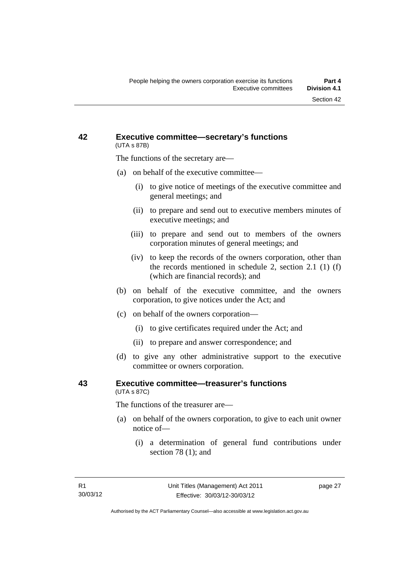#### **42 Executive committee—secretary's functions**  (UTA s 87B)

The functions of the secretary are—

- (a) on behalf of the executive committee—
	- (i) to give notice of meetings of the executive committee and general meetings; and
	- (ii) to prepare and send out to executive members minutes of executive meetings; and
	- (iii) to prepare and send out to members of the owners corporation minutes of general meetings; and
	- (iv) to keep the records of the owners corporation, other than the records mentioned in schedule 2, section 2.1 (1) (f) (which are financial records); and
- (b) on behalf of the executive committee, and the owners corporation, to give notices under the Act; and
- (c) on behalf of the owners corporation—
	- (i) to give certificates required under the Act; and
	- (ii) to prepare and answer correspondence; and
- (d) to give any other administrative support to the executive committee or owners corporation.

#### **43 Executive committee—treasurer's functions**  (UTA s 87C)

The functions of the treasurer are—

- (a) on behalf of the owners corporation, to give to each unit owner notice of—
	- (i) a determination of general fund contributions under section 78 (1); and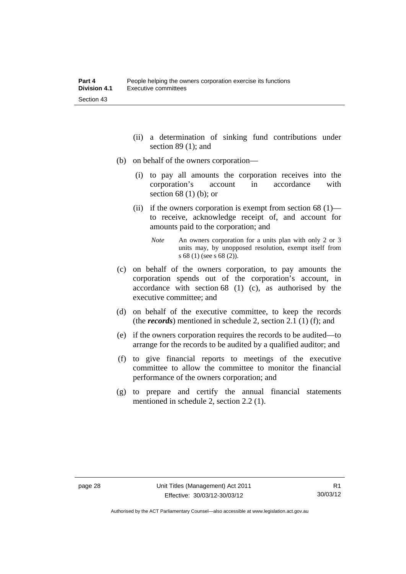- (ii) a determination of sinking fund contributions under section 89 (1); and
- (b) on behalf of the owners corporation—
	- (i) to pay all amounts the corporation receives into the corporation's account in accordance with section 68 (1) (b); or
	- (ii) if the owners corporation is exempt from section  $68(1)$  to receive, acknowledge receipt of, and account for amounts paid to the corporation; and
		- *Note* An owners corporation for a units plan with only 2 or 3 units may, by unopposed resolution, exempt itself from s 68 (1) (see s 68 (2)).
- (c) on behalf of the owners corporation, to pay amounts the corporation spends out of the corporation's account, in accordance with section 68 (1) (c), as authorised by the executive committee; and
- (d) on behalf of the executive committee, to keep the records (the *records*) mentioned in schedule 2, section 2.1 (1) (f); and
- (e) if the owners corporation requires the records to be audited—to arrange for the records to be audited by a qualified auditor; and
- (f) to give financial reports to meetings of the executive committee to allow the committee to monitor the financial performance of the owners corporation; and
- (g) to prepare and certify the annual financial statements mentioned in schedule 2, section 2.2 (1).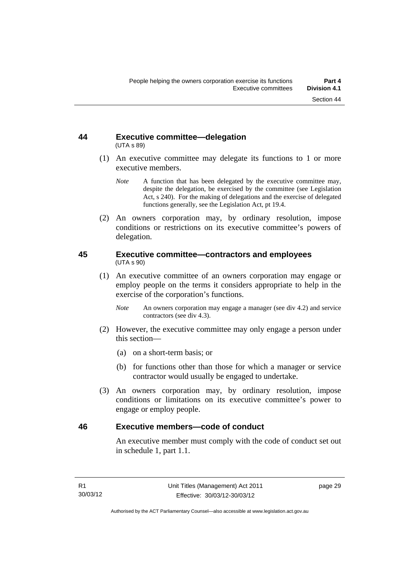#### **44 Executive committee—delegation**  (UTA s 89)

- (1) An executive committee may delegate its functions to 1 or more executive members.
	- *Note* A function that has been delegated by the executive committee may, despite the delegation, be exercised by the committee (see Legislation Act, s 240). For the making of delegations and the exercise of delegated functions generally, see the Legislation Act, pt 19.4.
- (2) An owners corporation may, by ordinary resolution, impose conditions or restrictions on its executive committee's powers of delegation.

#### **45 Executive committee—contractors and employees**  (UTA s 90)

- (1) An executive committee of an owners corporation may engage or employ people on the terms it considers appropriate to help in the exercise of the corporation's functions.
	- *Note* An owners corporation may engage a manager (see div 4.2) and service contractors (see div 4.3).
- (2) However, the executive committee may only engage a person under this section—
	- (a) on a short-term basis; or
	- (b) for functions other than those for which a manager or service contractor would usually be engaged to undertake.
- (3) An owners corporation may, by ordinary resolution, impose conditions or limitations on its executive committee's power to engage or employ people.

#### **46 Executive members—code of conduct**

An executive member must comply with the code of conduct set out in schedule 1, part 1.1.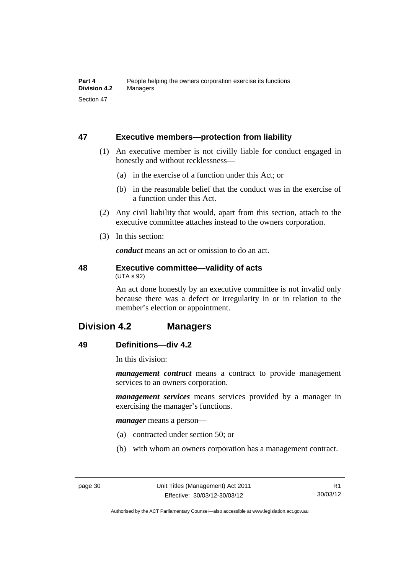### **47 Executive members—protection from liability**

- (1) An executive member is not civilly liable for conduct engaged in honestly and without recklessness—
	- (a) in the exercise of a function under this Act; or
	- (b) in the reasonable belief that the conduct was in the exercise of a function under this Act.
- (2) Any civil liability that would, apart from this section, attach to the executive committee attaches instead to the owners corporation.
- (3) In this section:

*conduct* means an act or omission to do an act.

#### **48 Executive committee—validity of acts**  (UTA s 92)

An act done honestly by an executive committee is not invalid only because there was a defect or irregularity in or in relation to the member's election or appointment.

# **Division 4.2 Managers**

### **49 Definitions—div 4.2**

In this division:

*management contract* means a contract to provide management services to an owners corporation.

*management services* means services provided by a manager in exercising the manager's functions.

*manager* means a person—

- (a) contracted under section 50; or
- (b) with whom an owners corporation has a management contract.

R1 30/03/12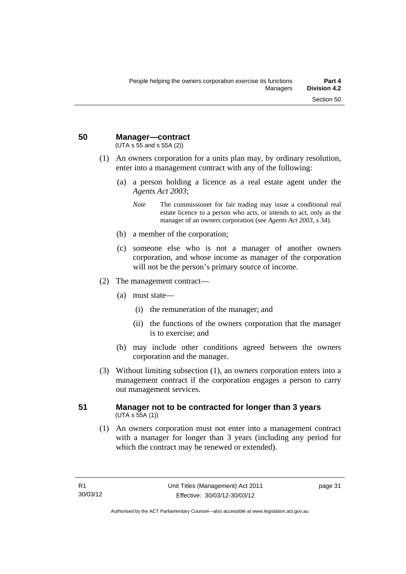**50 Manager—contract** 

(UTA s 55 and s 55A (2))

- (1) An owners corporation for a units plan may, by ordinary resolution, enter into a management contract with any of the following:
	- (a) a person holding a licence as a real estate agent under the *Agents Act 2003*;
		- *Note* The commissioner for fair trading may issue a conditional real estate licence to a person who acts, or intends to act, only as the manager of an owners corporation (see *Agents Act 2003*, s 34).
	- (b) a member of the corporation;
	- (c) someone else who is not a manager of another owners corporation, and whose income as manager of the corporation will not be the person's primary source of income.
- (2) The management contract—
	- (a) must state—
		- (i) the remuneration of the manager; and
		- (ii) the functions of the owners corporation that the manager is to exercise; and
	- (b) may include other conditions agreed between the owners corporation and the manager.
- (3) Without limiting subsection (1), an owners corporation enters into a management contract if the corporation engages a person to carry out management services.

#### **51 Manager not to be contracted for longer than 3 years**   $(UTA S 55A (1))$

 (1) An owners corporation must not enter into a management contract with a manager for longer than 3 years (including any period for which the contract may be renewed or extended).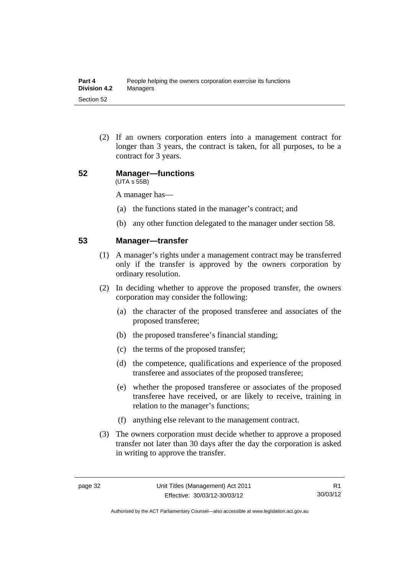(2) If an owners corporation enters into a management contract for longer than 3 years, the contract is taken, for all purposes, to be a contract for 3 years.

#### **52 Manager—functions**  (UTA s 55B)

A manager has—

- (a) the functions stated in the manager's contract; and
- (b) any other function delegated to the manager under section 58.

#### **53 Manager—transfer**

- (1) A manager's rights under a management contract may be transferred only if the transfer is approved by the owners corporation by ordinary resolution.
- (2) In deciding whether to approve the proposed transfer, the owners corporation may consider the following:
	- (a) the character of the proposed transferee and associates of the proposed transferee;
	- (b) the proposed transferee's financial standing;
	- (c) the terms of the proposed transfer;
	- (d) the competence, qualifications and experience of the proposed transferee and associates of the proposed transferee;
	- (e) whether the proposed transferee or associates of the proposed transferee have received, or are likely to receive, training in relation to the manager's functions;
	- (f) anything else relevant to the management contract.
- (3) The owners corporation must decide whether to approve a proposed transfer not later than 30 days after the day the corporation is asked in writing to approve the transfer.

Authorised by the ACT Parliamentary Counsel—also accessible at www.legislation.act.gov.au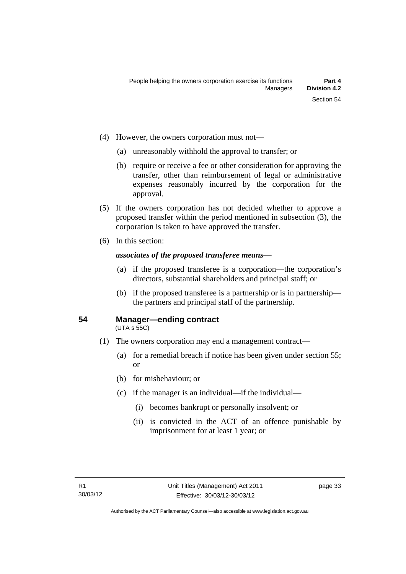- (4) However, the owners corporation must not—
	- (a) unreasonably withhold the approval to transfer; or
	- (b) require or receive a fee or other consideration for approving the transfer, other than reimbursement of legal or administrative expenses reasonably incurred by the corporation for the approval.
- (5) If the owners corporation has not decided whether to approve a proposed transfer within the period mentioned in subsection (3), the corporation is taken to have approved the transfer.
- (6) In this section:

#### *associates of the proposed transferee means*—

- (a) if the proposed transferee is a corporation—the corporation's directors, substantial shareholders and principal staff; or
- (b) if the proposed transferee is a partnership or is in partnership the partners and principal staff of the partnership.

#### **54 Manager—ending contract**

(UTA s 55C)

- (1) The owners corporation may end a management contract—
	- (a) for a remedial breach if notice has been given under section 55; or
	- (b) for misbehaviour; or
	- (c) if the manager is an individual—if the individual—
		- (i) becomes bankrupt or personally insolvent; or
		- (ii) is convicted in the ACT of an offence punishable by imprisonment for at least 1 year; or

page 33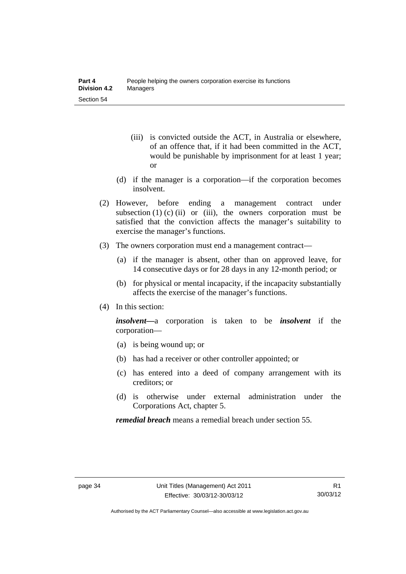- (iii) is convicted outside the ACT, in Australia or elsewhere, of an offence that, if it had been committed in the ACT, would be punishable by imprisonment for at least 1 year; or
- (d) if the manager is a corporation—if the corporation becomes insolvent.
- (2) However, before ending a management contract under subsection  $(1)$   $(c)$   $(ii)$  or  $(iii)$ , the owners corporation must be satisfied that the conviction affects the manager's suitability to exercise the manager's functions.
- (3) The owners corporation must end a management contract—
	- (a) if the manager is absent, other than on approved leave, for 14 consecutive days or for 28 days in any 12-month period; or
	- (b) for physical or mental incapacity, if the incapacity substantially affects the exercise of the manager's functions.
- (4) In this section:

*insolvent—*a corporation is taken to be *insolvent* if the corporation—

- (a) is being wound up; or
- (b) has had a receiver or other controller appointed; or
- (c) has entered into a deed of company arrangement with its creditors; or
- (d) is otherwise under external administration under the Corporations Act, chapter 5.

*remedial breach* means a remedial breach under section 55.

Authorised by the ACT Parliamentary Counsel—also accessible at www.legislation.act.gov.au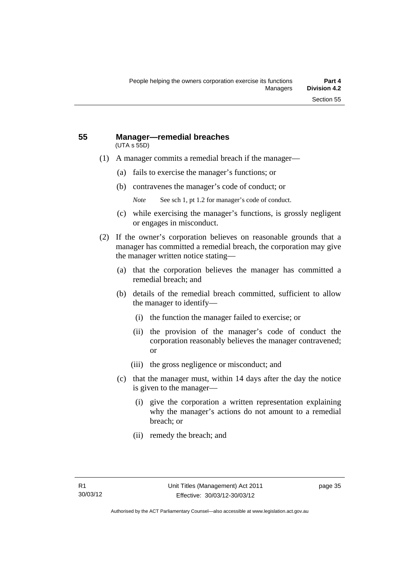#### **55 Manager—remedial breaches**  (UTA s 55D)

- (1) A manager commits a remedial breach if the manager—
	- (a) fails to exercise the manager's functions; or
	- (b) contravenes the manager's code of conduct; or
		- *Note* See sch 1, pt 1.2 for manager's code of conduct.
	- (c) while exercising the manager's functions, is grossly negligent or engages in misconduct.
- (2) If the owner's corporation believes on reasonable grounds that a manager has committed a remedial breach, the corporation may give the manager written notice stating—
	- (a) that the corporation believes the manager has committed a remedial breach; and
	- (b) details of the remedial breach committed, sufficient to allow the manager to identify—
		- (i) the function the manager failed to exercise; or
		- (ii) the provision of the manager's code of conduct the corporation reasonably believes the manager contravened; or
		- (iii) the gross negligence or misconduct; and
	- (c) that the manager must, within 14 days after the day the notice is given to the manager—
		- (i) give the corporation a written representation explaining why the manager's actions do not amount to a remedial breach; or
		- (ii) remedy the breach; and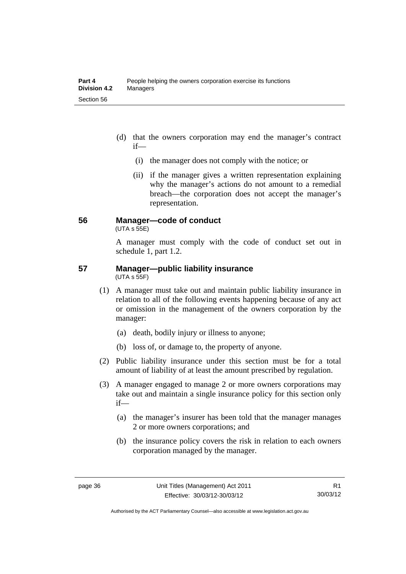- (d) that the owners corporation may end the manager's contract if—
	- (i) the manager does not comply with the notice; or
	- (ii) if the manager gives a written representation explaining why the manager's actions do not amount to a remedial breach—the corporation does not accept the manager's representation.

#### **56 Manager—code of conduct**

 $(UTA s 55E)$ 

A manager must comply with the code of conduct set out in schedule 1, part 1.2.

#### **57 Manager—public liability insurance**  (UTA s 55F)

- (1) A manager must take out and maintain public liability insurance in relation to all of the following events happening because of any act or omission in the management of the owners corporation by the manager:
	- (a) death, bodily injury or illness to anyone;
	- (b) loss of, or damage to, the property of anyone.
- (2) Public liability insurance under this section must be for a total amount of liability of at least the amount prescribed by regulation.
- (3) A manager engaged to manage 2 or more owners corporations may take out and maintain a single insurance policy for this section only if—
	- (a) the manager's insurer has been told that the manager manages 2 or more owners corporations; and
	- (b) the insurance policy covers the risk in relation to each owners corporation managed by the manager.

Authorised by the ACT Parliamentary Counsel—also accessible at www.legislation.act.gov.au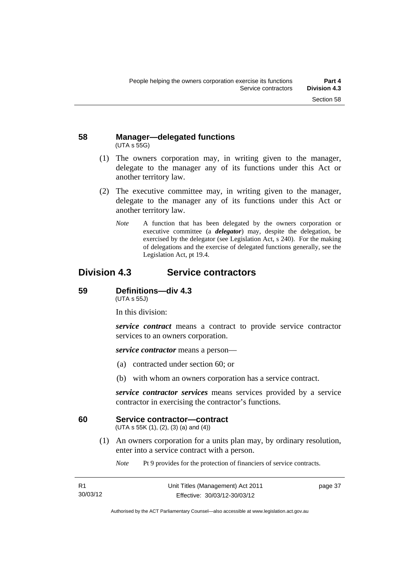#### **58 Manager—delegated functions**  (UTA s 55G)

- (1) The owners corporation may, in writing given to the manager, delegate to the manager any of its functions under this Act or another territory law.
- (2) The executive committee may, in writing given to the manager, delegate to the manager any of its functions under this Act or another territory law.
	- *Note* A function that has been delegated by the owners corporation or executive committee (a *delegator*) may, despite the delegation, be exercised by the delegator (see Legislation Act, s 240). For the making of delegations and the exercise of delegated functions generally, see the Legislation Act, pt 19.4.

# **Division 4.3 Service contractors**

#### **59 Definitions—div 4.3**

(UTA s 55J)

In this division:

*service contract* means a contract to provide service contractor services to an owners corporation.

*service contractor* means a person—

- (a) contracted under section 60; or
- (b) with whom an owners corporation has a service contract.

*service contractor services* means services provided by a service contractor in exercising the contractor's functions.

#### **60 Service contractor—contract**

(UTA s 55K (1), (2), (3) (a) and (4))

 (1) An owners corporation for a units plan may, by ordinary resolution, enter into a service contract with a person.

*Note* Pt 9 provides for the protection of financiers of service contracts.

| R1       | Unit Titles (Management) Act 2011 | page 37 |
|----------|-----------------------------------|---------|
| 30/03/12 | Effective: 30/03/12-30/03/12      |         |

Authorised by the ACT Parliamentary Counsel—also accessible at www.legislation.act.gov.au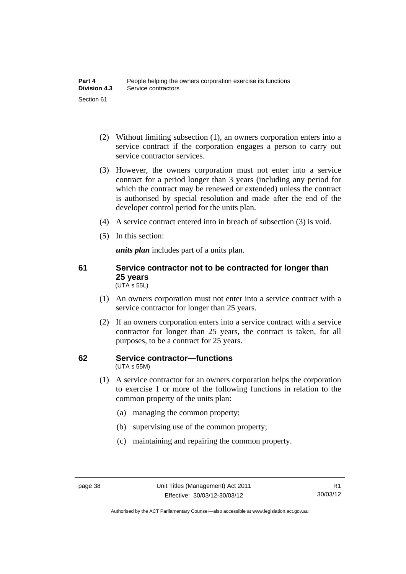- (2) Without limiting subsection (1), an owners corporation enters into a service contract if the corporation engages a person to carry out service contractor services.
- (3) However, the owners corporation must not enter into a service contract for a period longer than 3 years (including any period for which the contract may be renewed or extended) unless the contract is authorised by special resolution and made after the end of the developer control period for the units plan.
- (4) A service contract entered into in breach of subsection (3) is void.
- (5) In this section:

*units plan* includes part of a units plan.

#### **61 Service contractor not to be contracted for longer than 25 years**  (UTA s 55L)

- (1) An owners corporation must not enter into a service contract with a service contractor for longer than 25 years.
- (2) If an owners corporation enters into a service contract with a service contractor for longer than 25 years, the contract is taken, for all purposes, to be a contract for 25 years.

#### **62 Service contractor—functions**  (UTA s 55M)

- (1) A service contractor for an owners corporation helps the corporation to exercise 1 or more of the following functions in relation to the common property of the units plan:
	- (a) managing the common property;
	- (b) supervising use of the common property;
	- (c) maintaining and repairing the common property.

Authorised by the ACT Parliamentary Counsel—also accessible at www.legislation.act.gov.au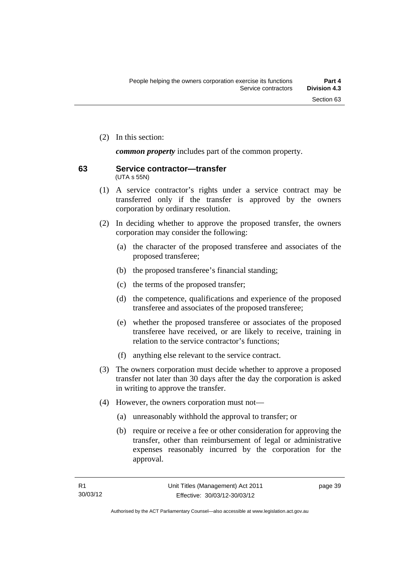(2) In this section:

*common property* includes part of the common property.

#### **63 Service contractor—transfer**  (UTA s 55N)

- (1) A service contractor's rights under a service contract may be transferred only if the transfer is approved by the owners corporation by ordinary resolution.
- (2) In deciding whether to approve the proposed transfer, the owners corporation may consider the following:
	- (a) the character of the proposed transferee and associates of the proposed transferee;
	- (b) the proposed transferee's financial standing;
	- (c) the terms of the proposed transfer;
	- (d) the competence, qualifications and experience of the proposed transferee and associates of the proposed transferee;
	- (e) whether the proposed transferee or associates of the proposed transferee have received, or are likely to receive, training in relation to the service contractor's functions;
	- (f) anything else relevant to the service contract.
- (3) The owners corporation must decide whether to approve a proposed transfer not later than 30 days after the day the corporation is asked in writing to approve the transfer.
- (4) However, the owners corporation must not—
	- (a) unreasonably withhold the approval to transfer; or
	- (b) require or receive a fee or other consideration for approving the transfer, other than reimbursement of legal or administrative expenses reasonably incurred by the corporation for the approval.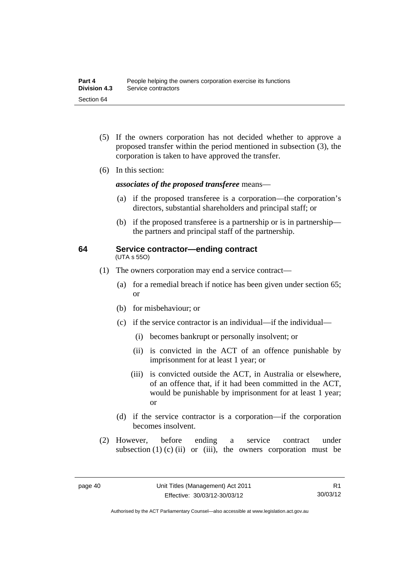- (5) If the owners corporation has not decided whether to approve a proposed transfer within the period mentioned in subsection (3), the corporation is taken to have approved the transfer.
- (6) In this section:

*associates of the proposed transferee* means—

- (a) if the proposed transferee is a corporation—the corporation's directors, substantial shareholders and principal staff; or
- (b) if the proposed transferee is a partnership or is in partnership the partners and principal staff of the partnership.

#### **64 Service contractor—ending contract**  (UTA s 55O)

- (1) The owners corporation may end a service contract—
	- (a) for a remedial breach if notice has been given under section 65; or
	- (b) for misbehaviour; or
	- (c) if the service contractor is an individual—if the individual—
		- (i) becomes bankrupt or personally insolvent; or
		- (ii) is convicted in the ACT of an offence punishable by imprisonment for at least 1 year; or
		- (iii) is convicted outside the ACT, in Australia or elsewhere, of an offence that, if it had been committed in the ACT, would be punishable by imprisonment for at least 1 year; or
	- (d) if the service contractor is a corporation—if the corporation becomes insolvent.
- (2) However, before ending a service contract under subsection  $(1)$   $(c)$   $(ii)$  or  $(iii)$ , the owners corporation must be

Authorised by the ACT Parliamentary Counsel—also accessible at www.legislation.act.gov.au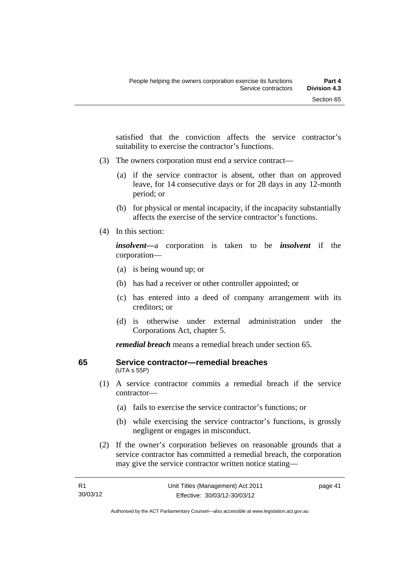satisfied that the conviction affects the service contractor's suitability to exercise the contractor's functions.

- (3) The owners corporation must end a service contract—
	- (a) if the service contractor is absent, other than on approved leave, for 14 consecutive days or for 28 days in any 12-month period; or
	- (b) for physical or mental incapacity, if the incapacity substantially affects the exercise of the service contractor's functions.
- (4) In this section:

*insolvent—*a corporation is taken to be *insolvent* if the corporation—

- (a) is being wound up; or
- (b) has had a receiver or other controller appointed; or
- (c) has entered into a deed of company arrangement with its creditors; or
- (d) is otherwise under external administration under the Corporations Act, chapter 5.

*remedial breach* means a remedial breach under section 65.

#### **65 Service contractor—remedial breaches**  (UTA s 55P)

- (1) A service contractor commits a remedial breach if the service contractor—
	- (a) fails to exercise the service contractor's functions; or
	- (b) while exercising the service contractor's functions, is grossly negligent or engages in misconduct.
- (2) If the owner's corporation believes on reasonable grounds that a service contractor has committed a remedial breach, the corporation may give the service contractor written notice stating—

Authorised by the ACT Parliamentary Counsel—also accessible at www.legislation.act.gov.au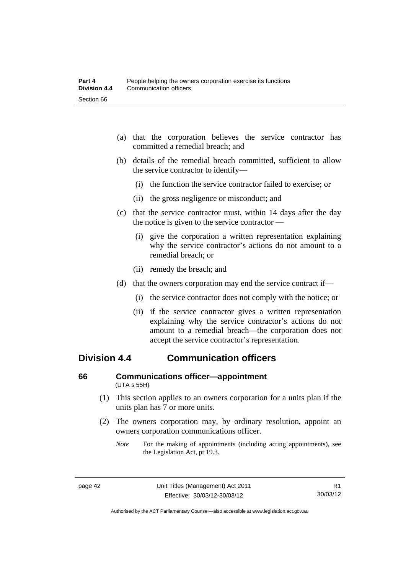- (a) that the corporation believes the service contractor has committed a remedial breach; and
- (b) details of the remedial breach committed, sufficient to allow the service contractor to identify—
	- (i) the function the service contractor failed to exercise; or
	- (ii) the gross negligence or misconduct; and
- (c) that the service contractor must, within 14 days after the day the notice is given to the service contractor —
	- (i) give the corporation a written representation explaining why the service contractor's actions do not amount to a remedial breach; or
	- (ii) remedy the breach; and
- (d) that the owners corporation may end the service contract if—
	- (i) the service contractor does not comply with the notice; or
	- (ii) if the service contractor gives a written representation explaining why the service contractor's actions do not amount to a remedial breach—the corporation does not accept the service contractor's representation.

# **Division 4.4 Communication officers**

#### **66 Communications officer—appointment**  (UTA s 55H)

- (1) This section applies to an owners corporation for a units plan if the units plan has 7 or more units.
- (2) The owners corporation may, by ordinary resolution, appoint an owners corporation communications officer.
	- *Note* For the making of appointments (including acting appointments), see the Legislation Act, pt 19.3.

Authorised by the ACT Parliamentary Counsel—also accessible at www.legislation.act.gov.au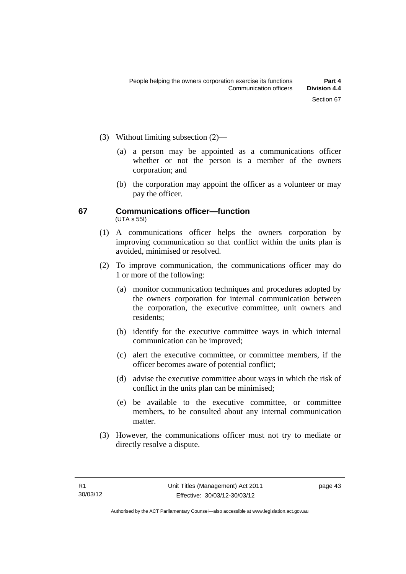- (3) Without limiting subsection (2)—
	- (a) a person may be appointed as a communications officer whether or not the person is a member of the owners corporation; and
	- (b) the corporation may appoint the officer as a volunteer or may pay the officer.

#### **67 Communications officer—function**  (UTA s 55I)

- (1) A communications officer helps the owners corporation by improving communication so that conflict within the units plan is avoided, minimised or resolved.
- (2) To improve communication, the communications officer may do 1 or more of the following:
	- (a) monitor communication techniques and procedures adopted by the owners corporation for internal communication between the corporation, the executive committee, unit owners and residents;
	- (b) identify for the executive committee ways in which internal communication can be improved;
	- (c) alert the executive committee, or committee members, if the officer becomes aware of potential conflict;
	- (d) advise the executive committee about ways in which the risk of conflict in the units plan can be minimised;
	- (e) be available to the executive committee, or committee members, to be consulted about any internal communication matter.
- (3) However, the communications officer must not try to mediate or directly resolve a dispute.

page 43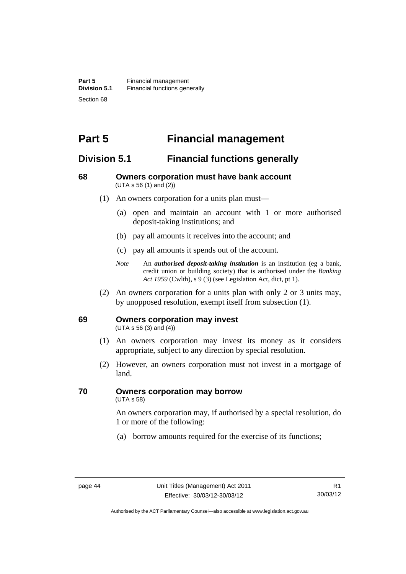# **Part 5 Financial management**

# **Division 5.1 Financial functions generally**

#### **68 Owners corporation must have bank account**  (UTA s 56 (1) and (2))

- (1) An owners corporation for a units plan must—
	- (a) open and maintain an account with 1 or more authorised deposit-taking institutions; and
	- (b) pay all amounts it receives into the account; and
	- (c) pay all amounts it spends out of the account.
	- *Note* An *authorised deposit-taking institution* is an institution (eg a bank, credit union or building society) that is authorised under the *Banking Act 1959* (Cwlth), s 9 (3) (see Legislation Act, dict, pt 1).
- (2) An owners corporation for a units plan with only 2 or 3 units may, by unopposed resolution, exempt itself from subsection (1).

#### **69 Owners corporation may invest**

(UTA s 56 (3) and (4))

- (1) An owners corporation may invest its money as it considers appropriate, subject to any direction by special resolution.
- (2) However, an owners corporation must not invest in a mortgage of land.

# **70 Owners corporation may borrow**

(UTA s 58)

An owners corporation may, if authorised by a special resolution, do 1 or more of the following:

(a) borrow amounts required for the exercise of its functions;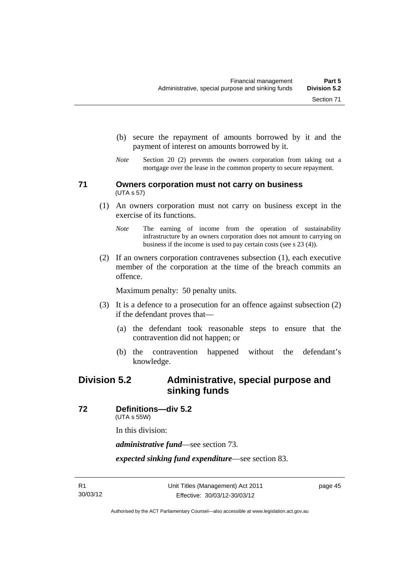- (b) secure the repayment of amounts borrowed by it and the
- payment of interest on amounts borrowed by it.
- *Note* Section 20 (2) prevents the owners corporation from taking out a mortgage over the lease in the common property to secure repayment.

#### **71 Owners corporation must not carry on business**  (UTA s 57)

- (1) An owners corporation must not carry on business except in the exercise of its functions.
	- *Note* The earning of income from the operation of sustainability infrastructure by an owners corporation does not amount to carrying on business if the income is used to pay certain costs (see s 23 (4)).
- (2) If an owners corporation contravenes subsection (1), each executive member of the corporation at the time of the breach commits an offence.

Maximum penalty: 50 penalty units.

- (3) It is a defence to a prosecution for an offence against subsection (2) if the defendant proves that—
	- (a) the defendant took reasonable steps to ensure that the contravention did not happen; or
	- (b) the contravention happened without the defendant's knowledge.

# **Division 5.2 Administrative, special purpose and sinking funds**

**72 Definitions—div 5.2** 

(UTA s 55W)

In this division:

*administrative fund*—see section 73.

*expected sinking fund expenditure*—see section 83.

page 45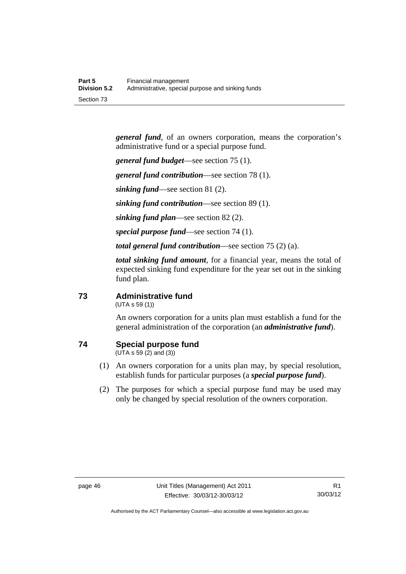*general fund*, of an owners corporation, means the corporation's administrative fund or a special purpose fund.

*general fund budget*—see section 75 (1).

*general fund contribution*—see section 78 (1).

*sinking fund*—see section 81 (2).

*sinking fund contribution*—see section 89 (1).

*sinking fund plan*—see section 82 (2).

*special purpose fund*—see section 74 (1).

*total general fund contribution*—see section 75 (2) (a).

*total sinking fund amount*, for a financial year, means the total of expected sinking fund expenditure for the year set out in the sinking fund plan.

#### **73 Administrative fund**

(UTA s 59 (1))

An owners corporation for a units plan must establish a fund for the general administration of the corporation (an *administrative fund*).

### **74 Special purpose fund**

(UTA s 59 (2) and (3))

- (1) An owners corporation for a units plan may, by special resolution, establish funds for particular purposes (a *special purpose fund*).
- (2) The purposes for which a special purpose fund may be used may only be changed by special resolution of the owners corporation.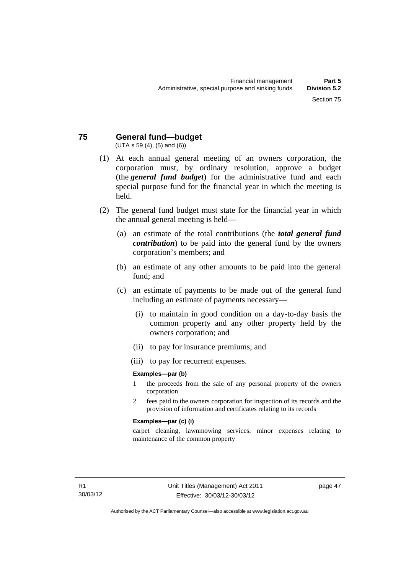#### **75 General fund—budget**  (UTA s 59 (4), (5) and (6))

held.

- (1) At each annual general meeting of an owners corporation, the corporation must, by ordinary resolution, approve a budget (the *general fund budget*) for the administrative fund and each special purpose fund for the financial year in which the meeting is
- (2) The general fund budget must state for the financial year in which the annual general meeting is held—
	- (a) an estimate of the total contributions (the *total general fund contribution*) to be paid into the general fund by the owners corporation's members; and
	- (b) an estimate of any other amounts to be paid into the general fund; and
	- (c) an estimate of payments to be made out of the general fund including an estimate of payments necessary—
		- (i) to maintain in good condition on a day-to-day basis the common property and any other property held by the owners corporation; and
		- (ii) to pay for insurance premiums; and
		- (iii) to pay for recurrent expenses.

#### **Examples—par (b)**

- 1 the proceeds from the sale of any personal property of the owners corporation
- 2 fees paid to the owners corporation for inspection of its records and the provision of information and certificates relating to its records

#### **Examples—par (c) (i)**

carpet cleaning, lawnmowing services, minor expenses relating to maintenance of the common property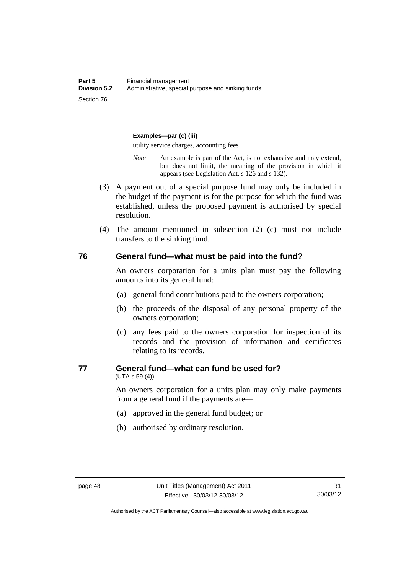#### **Examples—par (c) (iii)**

utility service charges, accounting fees

- *Note* An example is part of the Act, is not exhaustive and may extend, but does not limit, the meaning of the provision in which it appears (see Legislation Act, s 126 and s 132).
- (3) A payment out of a special purpose fund may only be included in the budget if the payment is for the purpose for which the fund was established, unless the proposed payment is authorised by special resolution.
- (4) The amount mentioned in subsection (2) (c) must not include transfers to the sinking fund.

#### **76 General fund—what must be paid into the fund?**

An owners corporation for a units plan must pay the following amounts into its general fund:

- (a) general fund contributions paid to the owners corporation;
- (b) the proceeds of the disposal of any personal property of the owners corporation;
- (c) any fees paid to the owners corporation for inspection of its records and the provision of information and certificates relating to its records.

#### **77 General fund—what can fund be used for?**

(UTA s 59 (4))

An owners corporation for a units plan may only make payments from a general fund if the payments are—

- (a) approved in the general fund budget; or
- (b) authorised by ordinary resolution.

Authorised by the ACT Parliamentary Counsel—also accessible at www.legislation.act.gov.au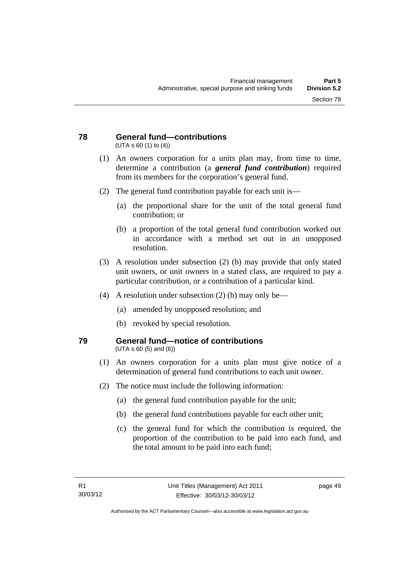#### **78 General fund—contributions**  (UTA s 60 (1) to (4))

- (1) An owners corporation for a units plan may, from time to time, determine a contribution (a *general fund contribution*) required from its members for the corporation's general fund.
- (2) The general fund contribution payable for each unit is—
	- (a) the proportional share for the unit of the total general fund contribution; or
	- (b) a proportion of the total general fund contribution worked out in accordance with a method set out in an unopposed resolution.
- (3) A resolution under subsection (2) (b) may provide that only stated unit owners, or unit owners in a stated class, are required to pay a particular contribution, or a contribution of a particular kind.
- (4) A resolution under subsection (2) (b) may only be—
	- (a) amended by unopposed resolution; and
	- (b) revoked by special resolution.

#### **79 General fund—notice of contributions**  (UTA s 60 (5) and (6))

- (1) An owners corporation for a units plan must give notice of a determination of general fund contributions to each unit owner.
- (2) The notice must include the following information:
	- (a) the general fund contribution payable for the unit;
	- (b) the general fund contributions payable for each other unit;
	- (c) the general fund for which the contribution is required, the proportion of the contribution to be paid into each fund, and the total amount to be paid into each fund;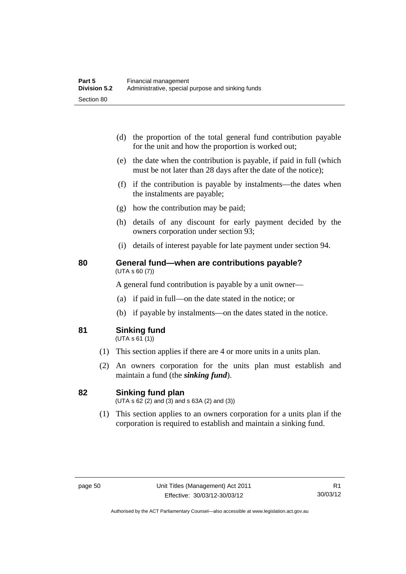- (d) the proportion of the total general fund contribution payable for the unit and how the proportion is worked out;
- (e) the date when the contribution is payable, if paid in full (which must be not later than 28 days after the date of the notice);
- (f) if the contribution is payable by instalments—the dates when the instalments are payable;
- (g) how the contribution may be paid;
- (h) details of any discount for early payment decided by the owners corporation under section 93;
- (i) details of interest payable for late payment under section 94.

#### **80 General fund—when are contributions payable?**  (UTA s 60 (7))

A general fund contribution is payable by a unit owner—

- (a) if paid in full—on the date stated in the notice; or
- (b) if payable by instalments—on the dates stated in the notice.
- **81 Sinking fund**

 $(UTA S 61(1))$ 

- (1) This section applies if there are 4 or more units in a units plan.
- (2) An owners corporation for the units plan must establish and maintain a fund (the *sinking fund*).

#### **82 Sinking fund plan**

 $(UTA \, s \, 62 \, (2)$  and  $(3)$  and  $s \, 63A \, (2)$  and  $(3)$ )

 (1) This section applies to an owners corporation for a units plan if the corporation is required to establish and maintain a sinking fund.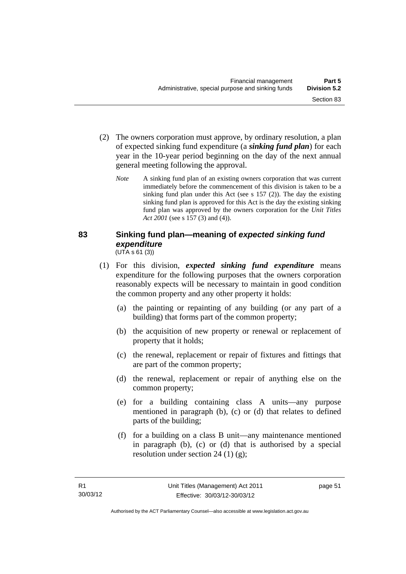- (2) The owners corporation must approve, by ordinary resolution, a plan of expected sinking fund expenditure (a *sinking fund plan*) for each year in the 10-year period beginning on the day of the next annual general meeting following the approval.
	- *Note* A sinking fund plan of an existing owners corporation that was current immediately before the commencement of this division is taken to be a sinking fund plan under this Act (see s 157 (2)). The day the existing sinking fund plan is approved for this Act is the day the existing sinking fund plan was approved by the owners corporation for the *Unit Titles Act 2001* (see s 157 (3) and (4)).

#### **83 Sinking fund plan—meaning of** *expected sinking fund expenditure* (UTA s 61 (3))

- (1) For this division, *expected sinking fund expenditure* means expenditure for the following purposes that the owners corporation reasonably expects will be necessary to maintain in good condition the common property and any other property it holds:
	- (a) the painting or repainting of any building (or any part of a building) that forms part of the common property;
	- (b) the acquisition of new property or renewal or replacement of property that it holds;
	- (c) the renewal, replacement or repair of fixtures and fittings that are part of the common property;
	- (d) the renewal, replacement or repair of anything else on the common property;
	- (e) for a building containing class A units—any purpose mentioned in paragraph (b), (c) or (d) that relates to defined parts of the building;
	- (f) for a building on a class B unit—any maintenance mentioned in paragraph (b), (c) or (d) that is authorised by a special resolution under section 24 (1) (g);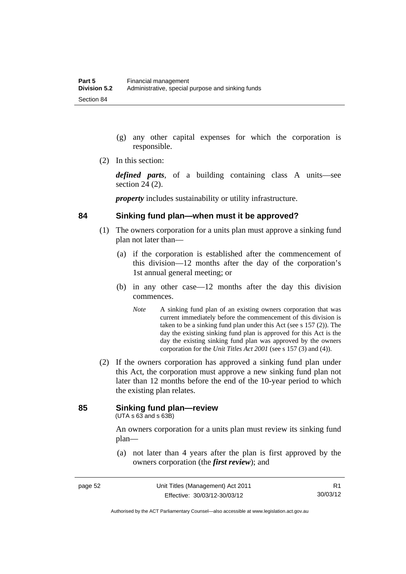- (g) any other capital expenses for which the corporation is responsible.
- (2) In this section:

*defined parts*, of a building containing class A units—see section 24 (2).

*property* includes sustainability or utility infrastructure.

#### **84 Sinking fund plan—when must it be approved?**

- (1) The owners corporation for a units plan must approve a sinking fund plan not later than—
	- (a) if the corporation is established after the commencement of this division—12 months after the day of the corporation's 1st annual general meeting; or
	- (b) in any other case—12 months after the day this division commences.
		- *Note* A sinking fund plan of an existing owners corporation that was current immediately before the commencement of this division is taken to be a sinking fund plan under this Act (see s 157 (2)). The day the existing sinking fund plan is approved for this Act is the day the existing sinking fund plan was approved by the owners corporation for the *Unit Titles Act 2001* (see s 157 (3) and (4)).
- (2) If the owners corporation has approved a sinking fund plan under this Act, the corporation must approve a new sinking fund plan not later than 12 months before the end of the 10-year period to which the existing plan relates.

### **85 Sinking fund plan—review**

(UTA s 63 and s 63B)

An owners corporation for a units plan must review its sinking fund plan—

 (a) not later than 4 years after the plan is first approved by the owners corporation (the *first review*); and

Authorised by the ACT Parliamentary Counsel—also accessible at www.legislation.act.gov.au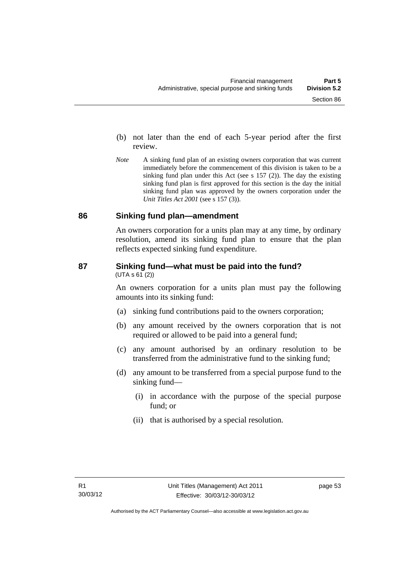- (b) not later than the end of each 5-year period after the first review.
- *Note* A sinking fund plan of an existing owners corporation that was current immediately before the commencement of this division is taken to be a sinking fund plan under this Act (see s 157 (2)). The day the existing sinking fund plan is first approved for this section is the day the initial sinking fund plan was approved by the owners corporation under the *Unit Titles Act 2001* (see s 157 (3)).

#### **86 Sinking fund plan—amendment**

An owners corporation for a units plan may at any time, by ordinary resolution, amend its sinking fund plan to ensure that the plan reflects expected sinking fund expenditure.

#### **87 Sinking fund—what must be paid into the fund?**   $(UTA S 61 (2))$

An owners corporation for a units plan must pay the following amounts into its sinking fund:

- (a) sinking fund contributions paid to the owners corporation;
- (b) any amount received by the owners corporation that is not required or allowed to be paid into a general fund;
- (c) any amount authorised by an ordinary resolution to be transferred from the administrative fund to the sinking fund;
- (d) any amount to be transferred from a special purpose fund to the sinking fund—
	- (i) in accordance with the purpose of the special purpose fund; or
	- (ii) that is authorised by a special resolution.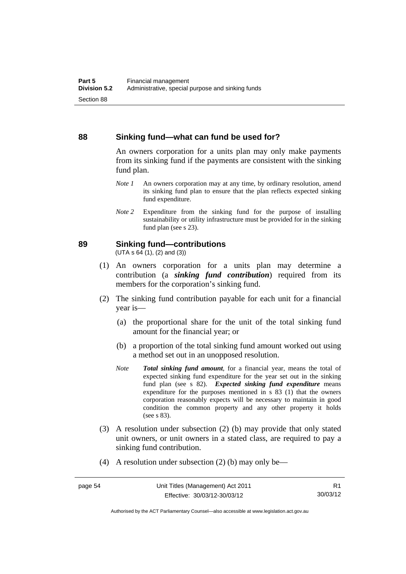#### **88 Sinking fund—what can fund be used for?**

An owners corporation for a units plan may only make payments from its sinking fund if the payments are consistent with the sinking fund plan.

- *Note 1* An owners corporation may at any time, by ordinary resolution, amend its sinking fund plan to ensure that the plan reflects expected sinking fund expenditure.
- *Note 2* Expenditure from the sinking fund for the purpose of installing sustainability or utility infrastructure must be provided for in the sinking fund plan (see s 23).

#### **89 Sinking fund—contributions**

 $(UTA S 64(1), (2) and (3))$ 

- (1) An owners corporation for a units plan may determine a contribution (a *sinking fund contribution*) required from its members for the corporation's sinking fund.
- (2) The sinking fund contribution payable for each unit for a financial year is—
	- (a) the proportional share for the unit of the total sinking fund amount for the financial year; or
	- (b) a proportion of the total sinking fund amount worked out using a method set out in an unopposed resolution.
	- *Note Total sinking fund amount*, for a financial year, means the total of expected sinking fund expenditure for the year set out in the sinking fund plan (see s 82). *Expected sinking fund expenditure* means expenditure for the purposes mentioned in s 83 (1) that the owners corporation reasonably expects will be necessary to maintain in good condition the common property and any other property it holds (see s 83).
- (3) A resolution under subsection (2) (b) may provide that only stated unit owners, or unit owners in a stated class, are required to pay a sinking fund contribution.
- (4) A resolution under subsection (2) (b) may only be—

Authorised by the ACT Parliamentary Counsel—also accessible at www.legislation.act.gov.au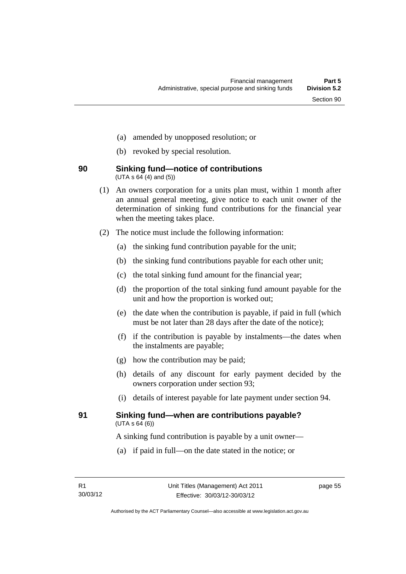- (a) amended by unopposed resolution; or
- (b) revoked by special resolution.

#### **90 Sinking fund—notice of contributions**   $(UTA \, s \, 64 \, (4) \, and \, (5))$

- (1) An owners corporation for a units plan must, within 1 month after an annual general meeting, give notice to each unit owner of the determination of sinking fund contributions for the financial year when the meeting takes place.
- (2) The notice must include the following information:
	- (a) the sinking fund contribution payable for the unit;
	- (b) the sinking fund contributions payable for each other unit;
	- (c) the total sinking fund amount for the financial year;
	- (d) the proportion of the total sinking fund amount payable for the unit and how the proportion is worked out;
	- (e) the date when the contribution is payable, if paid in full (which must be not later than 28 days after the date of the notice);
	- (f) if the contribution is payable by instalments—the dates when the instalments are payable;
	- (g) how the contribution may be paid;
	- (h) details of any discount for early payment decided by the owners corporation under section 93;
	- (i) details of interest payable for late payment under section 94.

#### **91 Sinking fund—when are contributions payable?**   $(UTA S 64(6))$

A sinking fund contribution is payable by a unit owner—

(a) if paid in full—on the date stated in the notice; or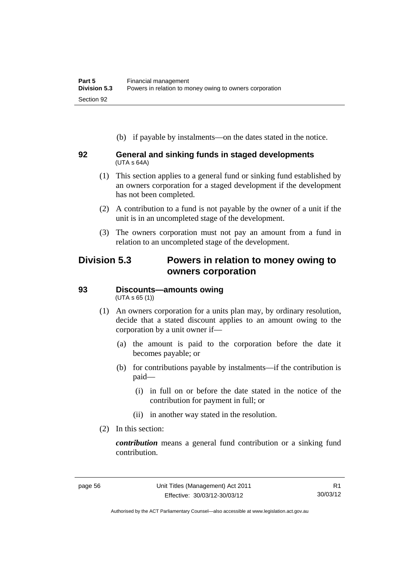(b) if payable by instalments—on the dates stated in the notice.

#### **92 General and sinking funds in staged developments**  (UTA s 64A)

- (1) This section applies to a general fund or sinking fund established by an owners corporation for a staged development if the development has not been completed.
- (2) A contribution to a fund is not payable by the owner of a unit if the unit is in an uncompleted stage of the development.
- (3) The owners corporation must not pay an amount from a fund in relation to an uncompleted stage of the development.

# **Division 5.3 Powers in relation to money owing to owners corporation**

# **93 Discounts—amounts owing**

(UTA s 65 (1))

- (1) An owners corporation for a units plan may, by ordinary resolution, decide that a stated discount applies to an amount owing to the corporation by a unit owner if—
	- (a) the amount is paid to the corporation before the date it becomes payable; or
	- (b) for contributions payable by instalments—if the contribution is paid—
		- (i) in full on or before the date stated in the notice of the contribution for payment in full; or
		- (ii) in another way stated in the resolution.
- (2) In this section:

*contribution* means a general fund contribution or a sinking fund contribution.

Authorised by the ACT Parliamentary Counsel—also accessible at www.legislation.act.gov.au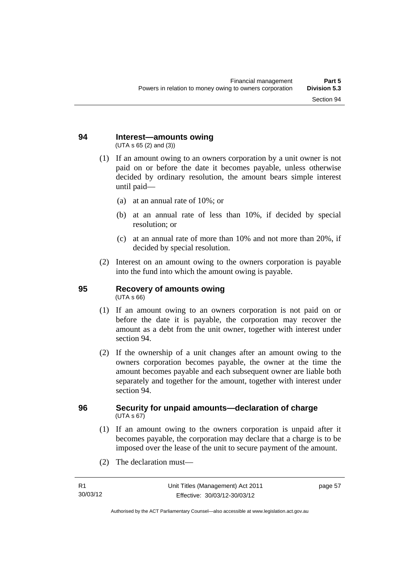#### **94 Interest—amounts owing**  (UTA s 65 (2) and (3))

- (1) If an amount owing to an owners corporation by a unit owner is not paid on or before the date it becomes payable, unless otherwise decided by ordinary resolution, the amount bears simple interest until paid—
	- (a) at an annual rate of 10%; or
	- (b) at an annual rate of less than 10%, if decided by special resolution; or
	- (c) at an annual rate of more than 10% and not more than 20%, if decided by special resolution.
- (2) Interest on an amount owing to the owners corporation is payable into the fund into which the amount owing is payable.

# **95 Recovery of amounts owing**

(UTA s 66)

- (1) If an amount owing to an owners corporation is not paid on or before the date it is payable, the corporation may recover the amount as a debt from the unit owner, together with interest under section 94.
- (2) If the ownership of a unit changes after an amount owing to the owners corporation becomes payable, the owner at the time the amount becomes payable and each subsequent owner are liable both separately and together for the amount, together with interest under section 94.

#### **96 Security for unpaid amounts—declaration of charge**   $(UTA \, s \, 67)$

- (1) If an amount owing to the owners corporation is unpaid after it becomes payable, the corporation may declare that a charge is to be imposed over the lease of the unit to secure payment of the amount.
- (2) The declaration must—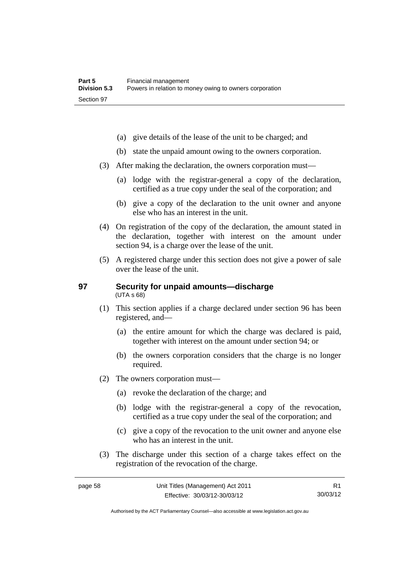- (a) give details of the lease of the unit to be charged; and
- (b) state the unpaid amount owing to the owners corporation.
- (3) After making the declaration, the owners corporation must—
	- (a) lodge with the registrar-general a copy of the declaration, certified as a true copy under the seal of the corporation; and
	- (b) give a copy of the declaration to the unit owner and anyone else who has an interest in the unit.
- (4) On registration of the copy of the declaration, the amount stated in the declaration, together with interest on the amount under section 94, is a charge over the lease of the unit.
- (5) A registered charge under this section does not give a power of sale over the lease of the unit.

#### **97 Security for unpaid amounts—discharge**  (UTA s 68)

- (1) This section applies if a charge declared under section 96 has been registered, and—
	- (a) the entire amount for which the charge was declared is paid, together with interest on the amount under section 94; or
	- (b) the owners corporation considers that the charge is no longer required.
- (2) The owners corporation must—
	- (a) revoke the declaration of the charge; and
	- (b) lodge with the registrar-general a copy of the revocation, certified as a true copy under the seal of the corporation; and
	- (c) give a copy of the revocation to the unit owner and anyone else who has an interest in the unit.
- (3) The discharge under this section of a charge takes effect on the registration of the revocation of the charge.

R1 30/03/12

Authorised by the ACT Parliamentary Counsel—also accessible at www.legislation.act.gov.au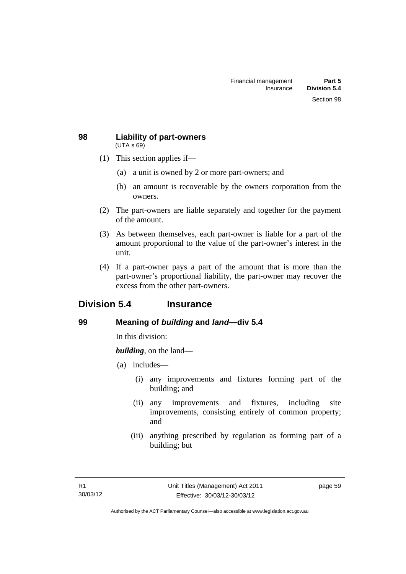#### **98 Liability of part-owners**  (UTA s 69)

- (1) This section applies if—
	- (a) a unit is owned by 2 or more part-owners; and
	- (b) an amount is recoverable by the owners corporation from the owners.
- (2) The part-owners are liable separately and together for the payment of the amount.
- (3) As between themselves, each part-owner is liable for a part of the amount proportional to the value of the part-owner's interest in the unit.
- (4) If a part-owner pays a part of the amount that is more than the part-owner's proportional liability, the part-owner may recover the excess from the other part-owners.

# **Division 5.4 Insurance**

# **99 Meaning of** *building* **and** *land***—div 5.4**

In this division:

*building*, on the land—

- (a) includes—
	- (i) any improvements and fixtures forming part of the building; and
	- (ii) any improvements and fixtures, including site improvements, consisting entirely of common property; and
	- (iii) anything prescribed by regulation as forming part of a building; but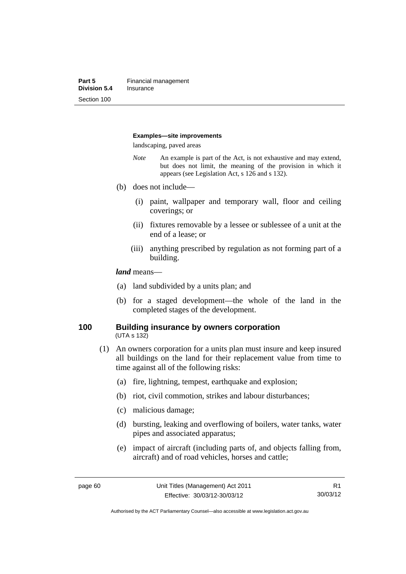#### **Examples—site improvements**

landscaping, paved areas

- *Note* An example is part of the Act, is not exhaustive and may extend, but does not limit, the meaning of the provision in which it appears (see Legislation Act, s 126 and s 132).
- (b) does not include—
	- (i) paint, wallpaper and temporary wall, floor and ceiling coverings; or
	- (ii) fixtures removable by a lessee or sublessee of a unit at the end of a lease; or
	- (iii) anything prescribed by regulation as not forming part of a building.

#### *land* means—

- (a) land subdivided by a units plan; and
- (b) for a staged development—the whole of the land in the completed stages of the development.

#### **100 Building insurance by owners corporation**  (UTA s 132)

- (1) An owners corporation for a units plan must insure and keep insured all buildings on the land for their replacement value from time to time against all of the following risks:
	- (a) fire, lightning, tempest, earthquake and explosion;
	- (b) riot, civil commotion, strikes and labour disturbances;
	- (c) malicious damage;
	- (d) bursting, leaking and overflowing of boilers, water tanks, water pipes and associated apparatus;
	- (e) impact of aircraft (including parts of, and objects falling from, aircraft) and of road vehicles, horses and cattle;

Authorised by the ACT Parliamentary Counsel—also accessible at www.legislation.act.gov.au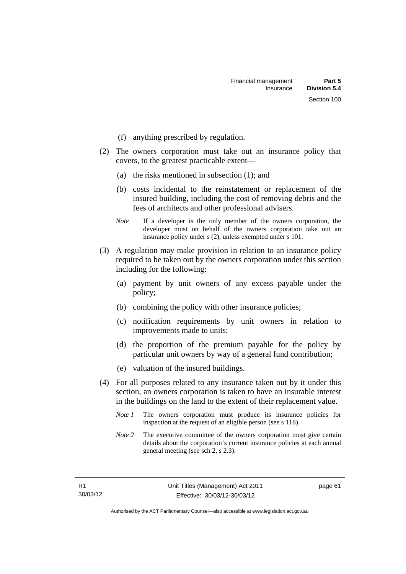- (f) anything prescribed by regulation.
- (2) The owners corporation must take out an insurance policy that covers, to the greatest practicable extent—
	- (a) the risks mentioned in subsection (1); and
	- (b) costs incidental to the reinstatement or replacement of the insured building, including the cost of removing debris and the fees of architects and other professional advisers.
	- *Note* If a developer is the only member of the owners corporation, the developer must on behalf of the owners corporation take out an insurance policy under s (2), unless exempted under s 101.
- (3) A regulation may make provision in relation to an insurance policy required to be taken out by the owners corporation under this section including for the following:
	- (a) payment by unit owners of any excess payable under the policy;
	- (b) combining the policy with other insurance policies;
	- (c) notification requirements by unit owners in relation to improvements made to units;
	- (d) the proportion of the premium payable for the policy by particular unit owners by way of a general fund contribution;
	- (e) valuation of the insured buildings.
- (4) For all purposes related to any insurance taken out by it under this section, an owners corporation is taken to have an insurable interest in the buildings on the land to the extent of their replacement value.
	- *Note 1* The owners corporation must produce its insurance policies for inspection at the request of an eligible person (see s 118).
	- *Note 2* The executive committee of the owners corporation must give certain details about the corporation's current insurance policies at each annual general meeting (see sch 2, s 2.3).

page 61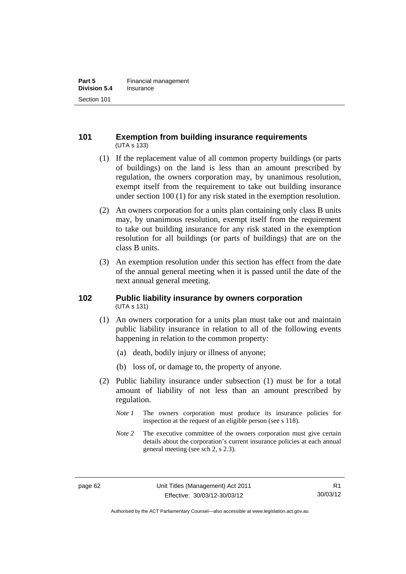## **101 Exemption from building insurance requirements**  (UTA s 133)

- (1) If the replacement value of all common property buildings (or parts of buildings) on the land is less than an amount prescribed by regulation, the owners corporation may, by unanimous resolution, exempt itself from the requirement to take out building insurance under section 100 (1) for any risk stated in the exemption resolution.
- (2) An owners corporation for a units plan containing only class B units may, by unanimous resolution, exempt itself from the requirement to take out building insurance for any risk stated in the exemption resolution for all buildings (or parts of buildings) that are on the class B units.
- (3) An exemption resolution under this section has effect from the date of the annual general meeting when it is passed until the date of the next annual general meeting.

## **102 Public liability insurance by owners corporation**  (UTA s 131)

- (1) An owners corporation for a units plan must take out and maintain public liability insurance in relation to all of the following events happening in relation to the common property:
	- (a) death, bodily injury or illness of anyone;
	- (b) loss of, or damage to, the property of anyone.
- (2) Public liability insurance under subsection (1) must be for a total amount of liability of not less than an amount prescribed by regulation.
	- *Note 1* The owners corporation must produce its insurance policies for inspection at the request of an eligible person (see s 118).
	- *Note 2* The executive committee of the owners corporation must give certain details about the corporation's current insurance policies at each annual general meeting (see sch 2, s 2.3).

Authorised by the ACT Parliamentary Counsel—also accessible at www.legislation.act.gov.au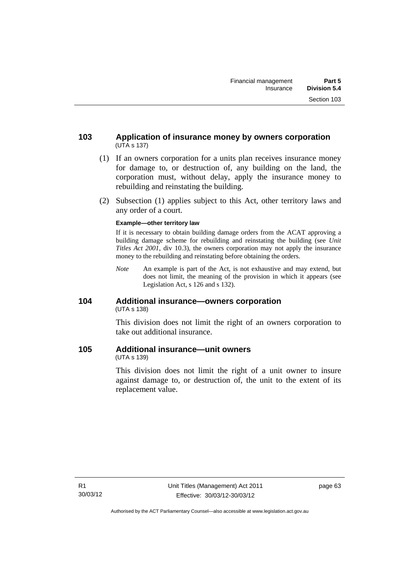- (1) If an owners corporation for a units plan receives insurance money for damage to, or destruction of, any building on the land, the corporation must, without delay, apply the insurance money to rebuilding and reinstating the building.
- (2) Subsection (1) applies subject to this Act, other territory laws and any order of a court.

#### **Example—other territory law**

If it is necessary to obtain building damage orders from the ACAT approving a building damage scheme for rebuilding and reinstating the building (see *Unit Titles Act 2001*, div 10.3), the owners corporation may not apply the insurance money to the rebuilding and reinstating before obtaining the orders.

*Note* An example is part of the Act, is not exhaustive and may extend, but does not limit, the meaning of the provision in which it appears (see Legislation Act, s 126 and s 132).

## **104 Additional insurance—owners corporation**  (UTA s 138)

This division does not limit the right of an owners corporation to take out additional insurance.

## **105 Additional insurance—unit owners**

(UTA s 139)

This division does not limit the right of a unit owner to insure against damage to, or destruction of, the unit to the extent of its replacement value.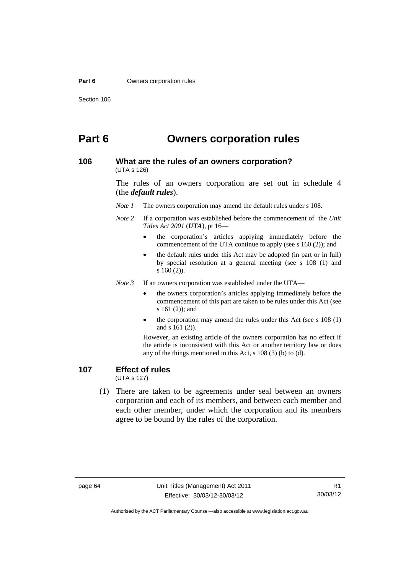#### **Part 6 Owners corporation rules**

# **Part 6 Owners corporation rules**

#### **106 What are the rules of an owners corporation?**  (UTA s 126)

The rules of an owners corporation are set out in schedule 4 (the *default rules*).

*Note 1* The owners corporation may amend the default rules under s 108.

- *Note 2* If a corporation was established before the commencement of the *Unit Titles Act 2001* (*UTA*), pt 16
	- the corporation's articles applying immediately before the commencement of the UTA continue to apply (see s 160 (2)); and
	- the default rules under this Act may be adopted (in part or in full) by special resolution at a general meeting (see s 108 (1) and s 160 (2)).

*Note 3* If an owners corporation was established under the UTA—

- the owners corporation's articles applying immediately before the commencement of this part are taken to be rules under this Act (see s 161 (2)); and
- the corporation may amend the rules under this Act (see s 108 (1) and s 161 (2)).

However, an existing article of the owners corporation has no effect if the article is inconsistent with this Act or another territory law or does any of the things mentioned in this Act, s 108 (3) (b) to (d).

## **107 Effect of rules**

(UTA s 127)

 (1) There are taken to be agreements under seal between an owners corporation and each of its members, and between each member and each other member, under which the corporation and its members agree to be bound by the rules of the corporation.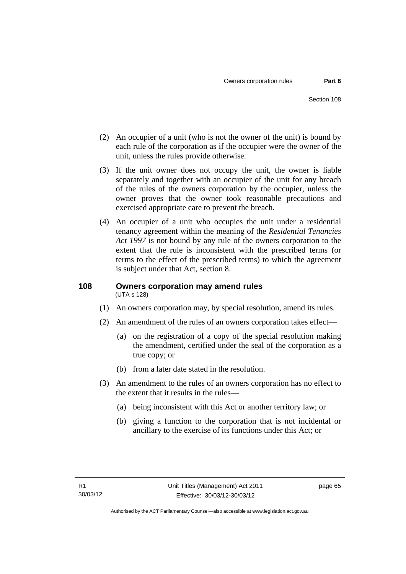- (2) An occupier of a unit (who is not the owner of the unit) is bound by each rule of the corporation as if the occupier were the owner of the unit, unless the rules provide otherwise.
- (3) If the unit owner does not occupy the unit, the owner is liable separately and together with an occupier of the unit for any breach of the rules of the owners corporation by the occupier, unless the owner proves that the owner took reasonable precautions and exercised appropriate care to prevent the breach.
- (4) An occupier of a unit who occupies the unit under a residential tenancy agreement within the meaning of the *Residential Tenancies Act 1997* is not bound by any rule of the owners corporation to the extent that the rule is inconsistent with the prescribed terms (or terms to the effect of the prescribed terms) to which the agreement is subject under that Act, section 8.

### **108 Owners corporation may amend rules**  (UTA s 128)

- (1) An owners corporation may, by special resolution, amend its rules.
- (2) An amendment of the rules of an owners corporation takes effect—
	- (a) on the registration of a copy of the special resolution making the amendment, certified under the seal of the corporation as a true copy; or
	- (b) from a later date stated in the resolution.
- (3) An amendment to the rules of an owners corporation has no effect to the extent that it results in the rules—
	- (a) being inconsistent with this Act or another territory law; or
	- (b) giving a function to the corporation that is not incidental or ancillary to the exercise of its functions under this Act; or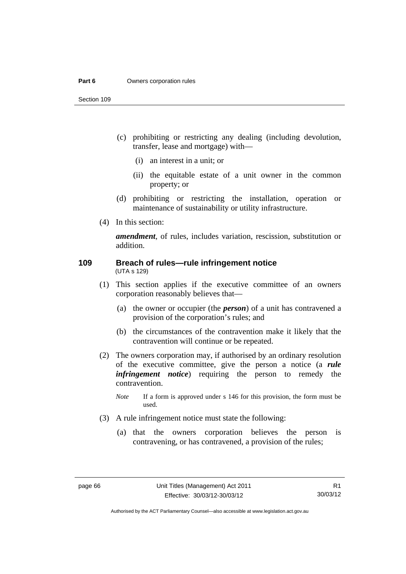#### **Part 6 Owners corporation rules**

Section 109

- (c) prohibiting or restricting any dealing (including devolution, transfer, lease and mortgage) with—
	- (i) an interest in a unit; or
	- (ii) the equitable estate of a unit owner in the common property; or
- (d) prohibiting or restricting the installation, operation or maintenance of sustainability or utility infrastructure.
- (4) In this section:

*amendment*, of rules, includes variation, rescission, substitution or addition.

#### **109 Breach of rules—rule infringement notice**  (UTA s 129)

- (1) This section applies if the executive committee of an owners corporation reasonably believes that—
	- (a) the owner or occupier (the *person*) of a unit has contravened a provision of the corporation's rules; and
	- (b) the circumstances of the contravention make it likely that the contravention will continue or be repeated.
- (2) The owners corporation may, if authorised by an ordinary resolution of the executive committee, give the person a notice (a *rule infringement notice*) requiring the person to remedy the contravention.
	- *Note* If a form is approved under s 146 for this provision, the form must be used.
- (3) A rule infringement notice must state the following:
	- (a) that the owners corporation believes the person is contravening, or has contravened, a provision of the rules;

Authorised by the ACT Parliamentary Counsel—also accessible at www.legislation.act.gov.au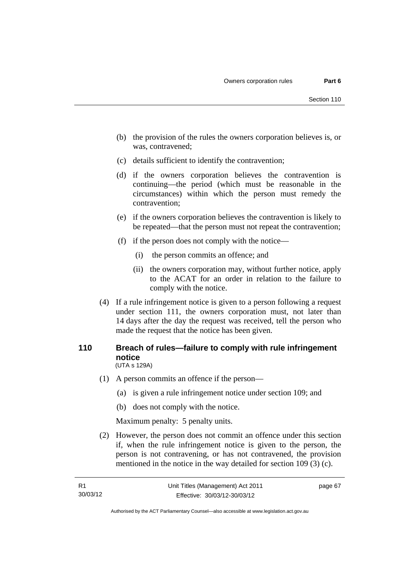- (b) the provision of the rules the owners corporation believes is, or was, contravened;
- (c) details sufficient to identify the contravention;
- (d) if the owners corporation believes the contravention is continuing—the period (which must be reasonable in the circumstances) within which the person must remedy the contravention;
- (e) if the owners corporation believes the contravention is likely to be repeated—that the person must not repeat the contravention;
- (f) if the person does not comply with the notice—
	- (i) the person commits an offence; and
	- (ii) the owners corporation may, without further notice, apply to the ACAT for an order in relation to the failure to comply with the notice.
- (4) If a rule infringement notice is given to a person following a request under section 111, the owners corporation must, not later than 14 days after the day the request was received, tell the person who made the request that the notice has been given.

### **110 Breach of rules—failure to comply with rule infringement notice**  (UTA s 129A)

- (1) A person commits an offence if the person—
	- (a) is given a rule infringement notice under section 109; and
	- (b) does not comply with the notice.

Maximum penalty: 5 penalty units.

 (2) However, the person does not commit an offence under this section if, when the rule infringement notice is given to the person, the person is not contravening, or has not contravened, the provision mentioned in the notice in the way detailed for section 109 (3) (c).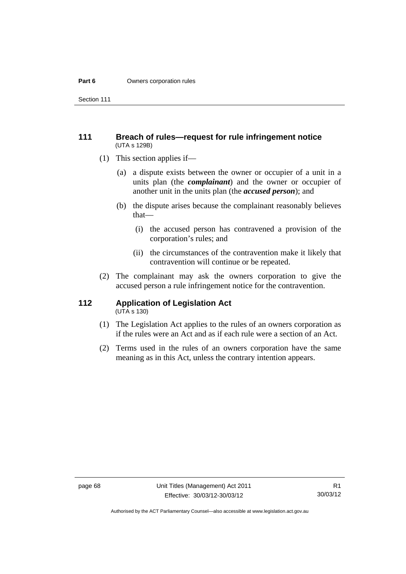#### **Part 6 Owners corporation rules**

Section 111

### **111 Breach of rules—request for rule infringement notice**  (UTA s 129B)

- (1) This section applies if—
	- (a) a dispute exists between the owner or occupier of a unit in a units plan (the *complainant*) and the owner or occupier of another unit in the units plan (the *accused person*); and
	- (b) the dispute arises because the complainant reasonably believes that—
		- (i) the accused person has contravened a provision of the corporation's rules; and
		- (ii) the circumstances of the contravention make it likely that contravention will continue or be repeated.
- (2) The complainant may ask the owners corporation to give the accused person a rule infringement notice for the contravention.

# **112 Application of Legislation Act**

- $(UTA \s{130})$
- (1) The Legislation Act applies to the rules of an owners corporation as if the rules were an Act and as if each rule were a section of an Act.
- (2) Terms used in the rules of an owners corporation have the same meaning as in this Act, unless the contrary intention appears.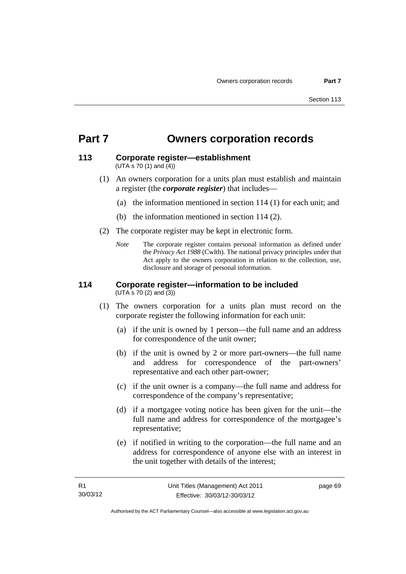# **Part 7 Owners corporation records**

#### **113 Corporate register—establishment**  (UTA s 70 (1) and (4))

- (1) An owners corporation for a units plan must establish and maintain a register (the *corporate register*) that includes—
	- (a) the information mentioned in section 114 (1) for each unit; and
	- (b) the information mentioned in section 114 (2).
- (2) The corporate register may be kept in electronic form.
	- *Note* The corporate register contains personal information as defined under the *Privacy Act 1988* (Cwlth). The national privacy principles under that Act apply to the owners corporation in relation to the collection, use, disclosure and storage of personal information.

#### **114 Corporate register—information to be included**  (UTA s 70 (2) and (3))

- (1) The owners corporation for a units plan must record on the corporate register the following information for each unit:
	- (a) if the unit is owned by 1 person—the full name and an address for correspondence of the unit owner;
	- (b) if the unit is owned by 2 or more part-owners—the full name and address for correspondence of the part-owners' representative and each other part-owner;
	- (c) if the unit owner is a company—the full name and address for correspondence of the company's representative;
	- (d) if a mortgagee voting notice has been given for the unit—the full name and address for correspondence of the mortgagee's representative;
	- (e) if notified in writing to the corporation—the full name and an address for correspondence of anyone else with an interest in the unit together with details of the interest;

page 69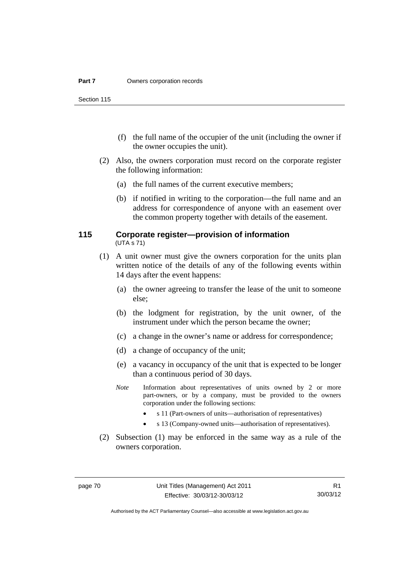Section 115

- (f) the full name of the occupier of the unit (including the owner if the owner occupies the unit).
- (2) Also, the owners corporation must record on the corporate register the following information:
	- (a) the full names of the current executive members;
	- (b) if notified in writing to the corporation—the full name and an address for correspondence of anyone with an easement over the common property together with details of the easement.

### **115 Corporate register—provision of information**  (UTA s 71)

- (1) A unit owner must give the owners corporation for the units plan written notice of the details of any of the following events within 14 days after the event happens:
	- (a) the owner agreeing to transfer the lease of the unit to someone else;
	- (b) the lodgment for registration, by the unit owner, of the instrument under which the person became the owner;
	- (c) a change in the owner's name or address for correspondence;
	- (d) a change of occupancy of the unit;
	- (e) a vacancy in occupancy of the unit that is expected to be longer than a continuous period of 30 days.
	- *Note* Information about representatives of units owned by 2 or more part-owners, or by a company, must be provided to the owners corporation under the following sections:
		- s 11 (Part-owners of units—authorisation of representatives)
		- s 13 (Company-owned units—authorisation of representatives).
- (2) Subsection (1) may be enforced in the same way as a rule of the owners corporation.

R1 30/03/12

Authorised by the ACT Parliamentary Counsel—also accessible at www.legislation.act.gov.au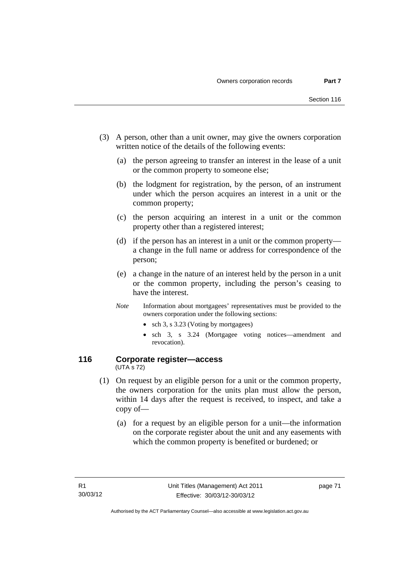- (3) A person, other than a unit owner, may give the owners corporation written notice of the details of the following events:
	- (a) the person agreeing to transfer an interest in the lease of a unit or the common property to someone else;
	- (b) the lodgment for registration, by the person, of an instrument under which the person acquires an interest in a unit or the common property;
	- (c) the person acquiring an interest in a unit or the common property other than a registered interest;
	- (d) if the person has an interest in a unit or the common property a change in the full name or address for correspondence of the person;
	- (e) a change in the nature of an interest held by the person in a unit or the common property, including the person's ceasing to have the interest.
	- *Note* Information about mortgagees' representatives must be provided to the owners corporation under the following sections:
		- sch 3, s 3.23 (Voting by mortgagees)
		- sch 3, s 3.24 (Mortgagee voting notices—amendment and revocation).

### **116 Corporate register—access**  (UTA s 72)

- (1) On request by an eligible person for a unit or the common property, the owners corporation for the units plan must allow the person, within 14 days after the request is received, to inspect, and take a copy of—
	- (a) for a request by an eligible person for a unit—the information on the corporate register about the unit and any easements with which the common property is benefited or burdened; or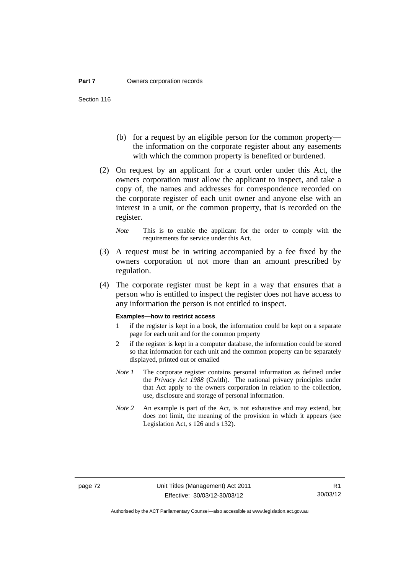- (b) for a request by an eligible person for the common property the information on the corporate register about any easements with which the common property is benefited or burdened.
- (2) On request by an applicant for a court order under this Act, the owners corporation must allow the applicant to inspect, and take a copy of, the names and addresses for correspondence recorded on the corporate register of each unit owner and anyone else with an interest in a unit, or the common property, that is recorded on the register.
	- *Note* This is to enable the applicant for the order to comply with the requirements for service under this Act.
- (3) A request must be in writing accompanied by a fee fixed by the owners corporation of not more than an amount prescribed by regulation.
- (4) The corporate register must be kept in a way that ensures that a person who is entitled to inspect the register does not have access to any information the person is not entitled to inspect.

#### **Examples—how to restrict access**

- 1 if the register is kept in a book, the information could be kept on a separate page for each unit and for the common property
- 2 if the register is kept in a computer database, the information could be stored so that information for each unit and the common property can be separately displayed, printed out or emailed
- *Note 1* The corporate register contains personal information as defined under the *Privacy Act 1988* (Cwlth). The national privacy principles under that Act apply to the owners corporation in relation to the collection, use, disclosure and storage of personal information.
- *Note 2* An example is part of the Act, is not exhaustive and may extend, but does not limit, the meaning of the provision in which it appears (see Legislation Act, s 126 and s 132).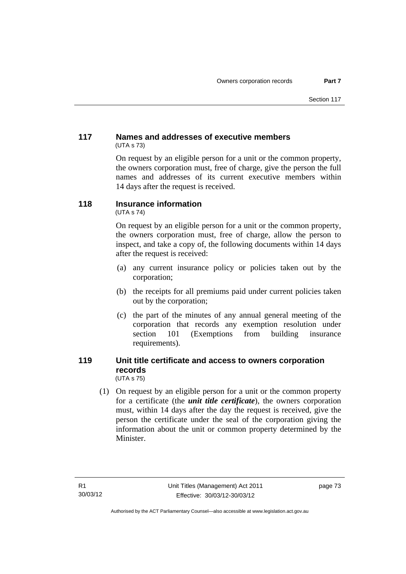## **117 Names and addresses of executive members**  (UTA s 73)

On request by an eligible person for a unit or the common property, the owners corporation must, free of charge, give the person the full names and addresses of its current executive members within 14 days after the request is received.

# **118 Insurance information**

(UTA s 74)

On request by an eligible person for a unit or the common property, the owners corporation must, free of charge, allow the person to inspect, and take a copy of, the following documents within 14 days after the request is received:

- (a) any current insurance policy or policies taken out by the corporation;
- (b) the receipts for all premiums paid under current policies taken out by the corporation;
- (c) the part of the minutes of any annual general meeting of the corporation that records any exemption resolution under section 101 (Exemptions from building insurance requirements).

#### **119 Unit title certificate and access to owners corporation records**  (UTA s 75)

 (1) On request by an eligible person for a unit or the common property for a certificate (the *unit title certificate*), the owners corporation must, within 14 days after the day the request is received, give the person the certificate under the seal of the corporation giving the information about the unit or common property determined by the Minister.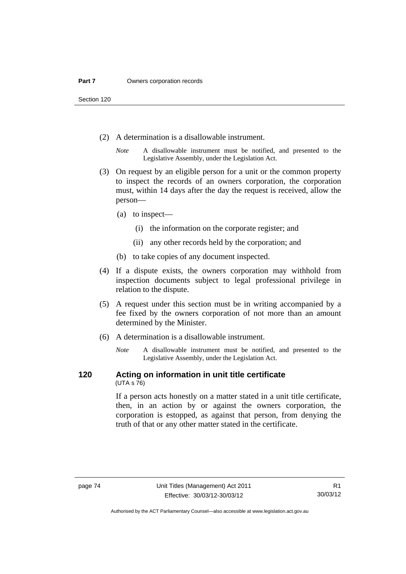Section 120

- (2) A determination is a disallowable instrument.
	- *Note* A disallowable instrument must be notified, and presented to the Legislative Assembly, under the Legislation Act.
- (3) On request by an eligible person for a unit or the common property to inspect the records of an owners corporation, the corporation must, within 14 days after the day the request is received, allow the person—
	- (a) to inspect—
		- (i) the information on the corporate register; and
		- (ii) any other records held by the corporation; and
	- (b) to take copies of any document inspected.
- (4) If a dispute exists, the owners corporation may withhold from inspection documents subject to legal professional privilege in relation to the dispute.
- (5) A request under this section must be in writing accompanied by a fee fixed by the owners corporation of not more than an amount determined by the Minister.
- (6) A determination is a disallowable instrument.
	- *Note* A disallowable instrument must be notified, and presented to the Legislative Assembly, under the Legislation Act.

#### **120 Acting on information in unit title certificate**  (UTA s 76)

If a person acts honestly on a matter stated in a unit title certificate, then, in an action by or against the owners corporation, the corporation is estopped, as against that person, from denying the truth of that or any other matter stated in the certificate.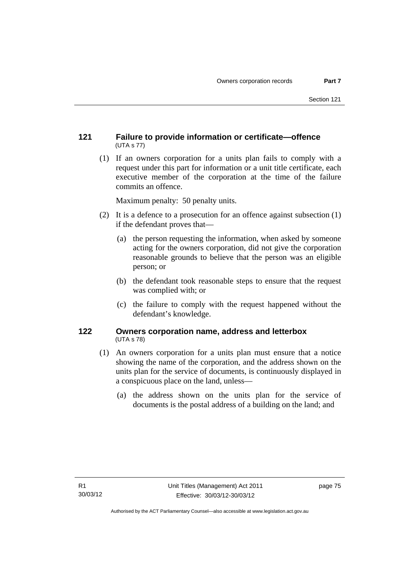## **121 Failure to provide information or certificate—offence**  (UTA s 77)

 (1) If an owners corporation for a units plan fails to comply with a request under this part for information or a unit title certificate, each executive member of the corporation at the time of the failure commits an offence.

Maximum penalty: 50 penalty units.

- (2) It is a defence to a prosecution for an offence against subsection (1) if the defendant proves that—
	- (a) the person requesting the information, when asked by someone acting for the owners corporation, did not give the corporation reasonable grounds to believe that the person was an eligible person; or
	- (b) the defendant took reasonable steps to ensure that the request was complied with; or
	- (c) the failure to comply with the request happened without the defendant's knowledge.

## **122 Owners corporation name, address and letterbox**  (UTA s 78)

- (1) An owners corporation for a units plan must ensure that a notice showing the name of the corporation, and the address shown on the units plan for the service of documents, is continuously displayed in a conspicuous place on the land, unless—
	- (a) the address shown on the units plan for the service of documents is the postal address of a building on the land; and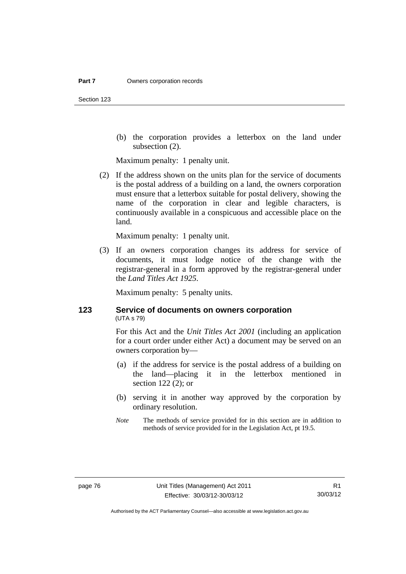Section 123

 (b) the corporation provides a letterbox on the land under subsection (2).

Maximum penalty: 1 penalty unit.

 (2) If the address shown on the units plan for the service of documents is the postal address of a building on a land, the owners corporation must ensure that a letterbox suitable for postal delivery, showing the name of the corporation in clear and legible characters, is continuously available in a conspicuous and accessible place on the land.

Maximum penalty: 1 penalty unit.

 (3) If an owners corporation changes its address for service of documents, it must lodge notice of the change with the registrar-general in a form approved by the registrar-general under the *Land Titles Act 1925*.

Maximum penalty: 5 penalty units.

## **123 Service of documents on owners corporation**  (UTA s 79)

For this Act and the *Unit Titles Act 2001* (including an application for a court order under either Act) a document may be served on an owners corporation by—

- (a) if the address for service is the postal address of a building on the land—placing it in the letterbox mentioned in section 122 (2); or
- (b) serving it in another way approved by the corporation by ordinary resolution.
- *Note* The methods of service provided for in this section are in addition to methods of service provided for in the Legislation Act, pt 19.5.

Authorised by the ACT Parliamentary Counsel—also accessible at www.legislation.act.gov.au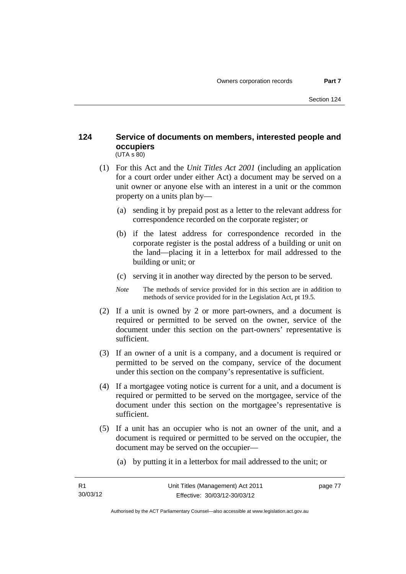### **124 Service of documents on members, interested people and occupiers**   $(UTA S 80)$

- (1) For this Act and the *Unit Titles Act 2001* (including an application for a court order under either Act) a document may be served on a unit owner or anyone else with an interest in a unit or the common property on a units plan by—
	- (a) sending it by prepaid post as a letter to the relevant address for correspondence recorded on the corporate register; or
	- (b) if the latest address for correspondence recorded in the corporate register is the postal address of a building or unit on the land—placing it in a letterbox for mail addressed to the building or unit; or
	- (c) serving it in another way directed by the person to be served.
	- *Note* The methods of service provided for in this section are in addition to methods of service provided for in the Legislation Act, pt 19.5.
- (2) If a unit is owned by 2 or more part-owners, and a document is required or permitted to be served on the owner, service of the document under this section on the part-owners' representative is sufficient.
- (3) If an owner of a unit is a company, and a document is required or permitted to be served on the company, service of the document under this section on the company's representative is sufficient.
- (4) If a mortgagee voting notice is current for a unit, and a document is required or permitted to be served on the mortgagee, service of the document under this section on the mortgagee's representative is sufficient.
- (5) If a unit has an occupier who is not an owner of the unit, and a document is required or permitted to be served on the occupier, the document may be served on the occupier—
	- (a) by putting it in a letterbox for mail addressed to the unit; or

page 77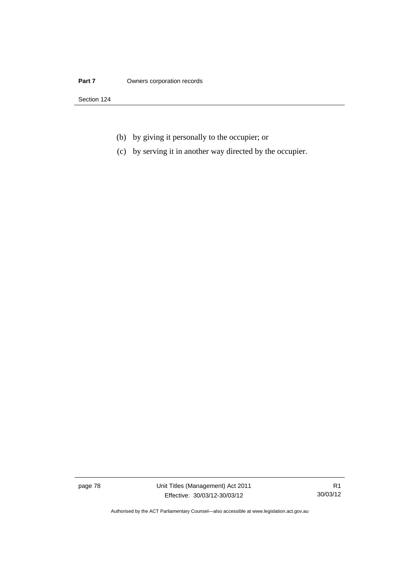#### **Part 7 Owners corporation records**

Section 124

- (b) by giving it personally to the occupier; or
- (c) by serving it in another way directed by the occupier.

page 78 Unit Titles (Management) Act 2011 Effective: 30/03/12-30/03/12

R1 30/03/12

Authorised by the ACT Parliamentary Counsel—also accessible at www.legislation.act.gov.au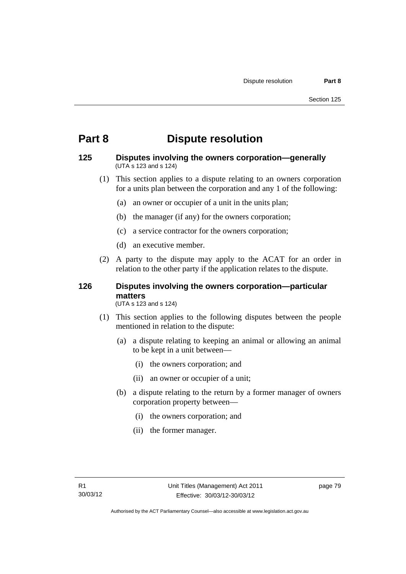# **Part 8 Dispute resolution**

### **125 Disputes involving the owners corporation—generally**  (UTA s 123 and s 124)

- (1) This section applies to a dispute relating to an owners corporation for a units plan between the corporation and any 1 of the following:
	- (a) an owner or occupier of a unit in the units plan;
	- (b) the manager (if any) for the owners corporation;
	- (c) a service contractor for the owners corporation;
	- (d) an executive member.
- (2) A party to the dispute may apply to the ACAT for an order in relation to the other party if the application relates to the dispute.

## **126 Disputes involving the owners corporation—particular matters**

(UTA s 123 and s 124)

- (1) This section applies to the following disputes between the people mentioned in relation to the dispute:
	- (a) a dispute relating to keeping an animal or allowing an animal to be kept in a unit between—
		- (i) the owners corporation; and
		- (ii) an owner or occupier of a unit;
	- (b) a dispute relating to the return by a former manager of owners corporation property between—
		- (i) the owners corporation; and
		- (ii) the former manager.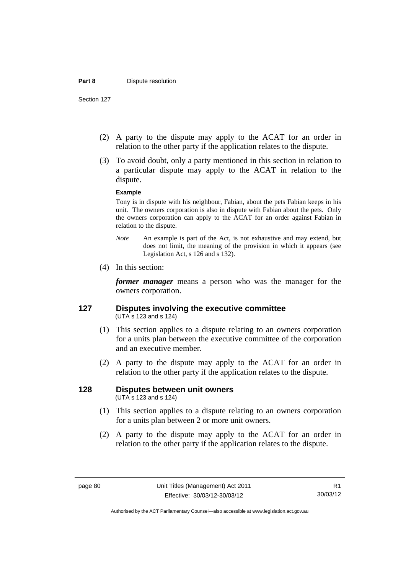- (2) A party to the dispute may apply to the ACAT for an order in relation to the other party if the application relates to the dispute.
- (3) To avoid doubt, only a party mentioned in this section in relation to a particular dispute may apply to the ACAT in relation to the dispute.

#### **Example**

Tony is in dispute with his neighbour, Fabian, about the pets Fabian keeps in his unit. The owners corporation is also in dispute with Fabian about the pets. Only the owners corporation can apply to the ACAT for an order against Fabian in relation to the dispute.

- *Note* An example is part of the Act, is not exhaustive and may extend, but does not limit, the meaning of the provision in which it appears (see Legislation Act, s 126 and s 132).
- (4) In this section:

*former manager* means a person who was the manager for the owners corporation.

### **127 Disputes involving the executive committee**  (UTA s 123 and s 124)

- (1) This section applies to a dispute relating to an owners corporation for a units plan between the executive committee of the corporation and an executive member.
- (2) A party to the dispute may apply to the ACAT for an order in relation to the other party if the application relates to the dispute.

## **128 Disputes between unit owners**

(UTA s 123 and s 124)

- (1) This section applies to a dispute relating to an owners corporation for a units plan between 2 or more unit owners.
- (2) A party to the dispute may apply to the ACAT for an order in relation to the other party if the application relates to the dispute.

Authorised by the ACT Parliamentary Counsel—also accessible at www.legislation.act.gov.au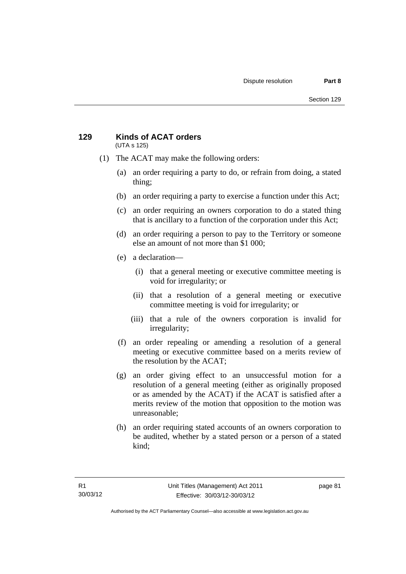#### **129 Kinds of ACAT orders**  (UTA s 125)

- (1) The ACAT may make the following orders:
	- (a) an order requiring a party to do, or refrain from doing, a stated thing;
	- (b) an order requiring a party to exercise a function under this Act;
	- (c) an order requiring an owners corporation to do a stated thing that is ancillary to a function of the corporation under this Act;
	- (d) an order requiring a person to pay to the Territory or someone else an amount of not more than \$1 000;
	- (e) a declaration—
		- (i) that a general meeting or executive committee meeting is void for irregularity; or
		- (ii) that a resolution of a general meeting or executive committee meeting is void for irregularity; or
		- (iii) that a rule of the owners corporation is invalid for irregularity;
	- (f) an order repealing or amending a resolution of a general meeting or executive committee based on a merits review of the resolution by the ACAT;
	- (g) an order giving effect to an unsuccessful motion for a resolution of a general meeting (either as originally proposed or as amended by the ACAT) if the ACAT is satisfied after a merits review of the motion that opposition to the motion was unreasonable;
	- (h) an order requiring stated accounts of an owners corporation to be audited, whether by a stated person or a person of a stated kind;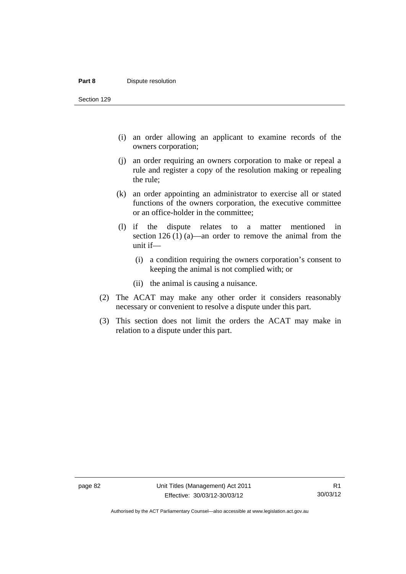#### **Part 8 Dispute resolution**

Section 129

- (i) an order allowing an applicant to examine records of the owners corporation;
- (j) an order requiring an owners corporation to make or repeal a rule and register a copy of the resolution making or repealing the rule;
- (k) an order appointing an administrator to exercise all or stated functions of the owners corporation, the executive committee or an office-holder in the committee;
- (l) if the dispute relates to a matter mentioned in section 126 (1) (a)—an order to remove the animal from the unit if—
	- (i) a condition requiring the owners corporation's consent to keeping the animal is not complied with; or
	- (ii) the animal is causing a nuisance.
- (2) The ACAT may make any other order it considers reasonably necessary or convenient to resolve a dispute under this part.
- (3) This section does not limit the orders the ACAT may make in relation to a dispute under this part.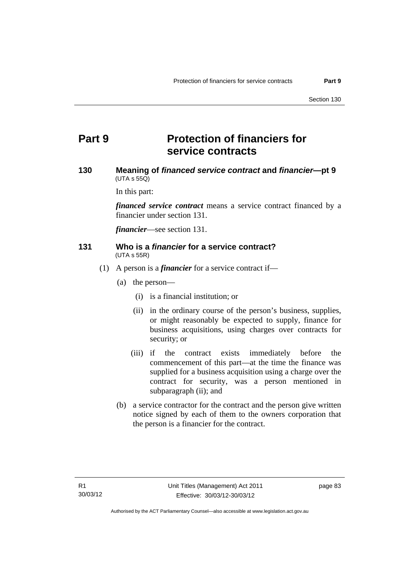# **Part 9 Protection of financiers for service contracts**

## **130 Meaning of** *financed service contract* **and** *financier***—pt 9**   $(UTA \, s \, 55Q)$

In this part:

*financed service contract* means a service contract financed by a financier under section 131.

*financier*—see section 131.

#### **131 Who is a** *financier* **for a service contract?**  (UTA s 55R)

- (1) A person is a *financier* for a service contract if—
	- (a) the person—
		- (i) is a financial institution; or
		- (ii) in the ordinary course of the person's business, supplies, or might reasonably be expected to supply, finance for business acquisitions, using charges over contracts for security; or
		- (iii) if the contract exists immediately before the commencement of this part—at the time the finance was supplied for a business acquisition using a charge over the contract for security, was a person mentioned in subparagraph (ii); and
	- (b) a service contractor for the contract and the person give written notice signed by each of them to the owners corporation that the person is a financier for the contract.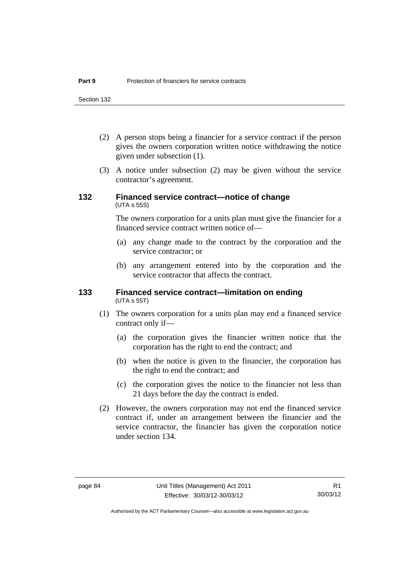Section 132

- (2) A person stops being a financier for a service contract if the person gives the owners corporation written notice withdrawing the notice given under subsection (1).
- (3) A notice under subsection (2) may be given without the service contractor's agreement.

## **132 Financed service contract—notice of change**  (UTA s 55S)

The owners corporation for a units plan must give the financier for a financed service contract written notice of—

- (a) any change made to the contract by the corporation and the service contractor; or
- (b) any arrangement entered into by the corporation and the service contractor that affects the contract.

#### **133 Financed service contract—limitation on ending**  (UTA s 55T)

- (1) The owners corporation for a units plan may end a financed service contract only if—
	- (a) the corporation gives the financier written notice that the corporation has the right to end the contract; and
	- (b) when the notice is given to the financier, the corporation has the right to end the contract; and
	- (c) the corporation gives the notice to the financier not less than 21 days before the day the contract is ended.
- (2) However, the owners corporation may not end the financed service contract if, under an arrangement between the financier and the service contractor, the financier has given the corporation notice under section 134.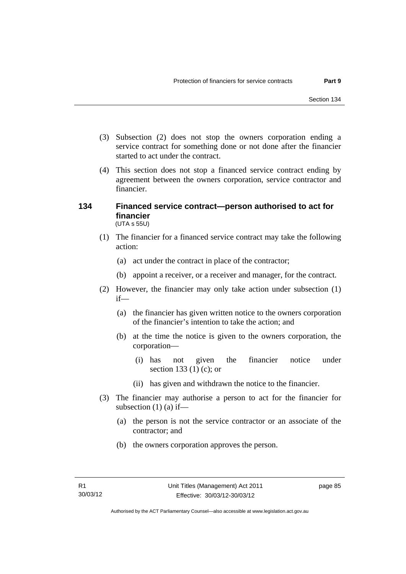- (3) Subsection (2) does not stop the owners corporation ending a service contract for something done or not done after the financier started to act under the contract.
- (4) This section does not stop a financed service contract ending by agreement between the owners corporation, service contractor and financier.

#### **134 Financed service contract—person authorised to act for financier**  (UTA s 55U)

- (1) The financier for a financed service contract may take the following action:
	- (a) act under the contract in place of the contractor;
	- (b) appoint a receiver, or a receiver and manager, for the contract.
- (2) However, the financier may only take action under subsection (1) if—
	- (a) the financier has given written notice to the owners corporation of the financier's intention to take the action; and
	- (b) at the time the notice is given to the owners corporation, the corporation—
		- (i) has not given the financier notice under section 133 (1) (c); or
		- (ii) has given and withdrawn the notice to the financier.
- (3) The financier may authorise a person to act for the financier for subsection  $(1)$  (a) if—
	- (a) the person is not the service contractor or an associate of the contractor; and
	- (b) the owners corporation approves the person.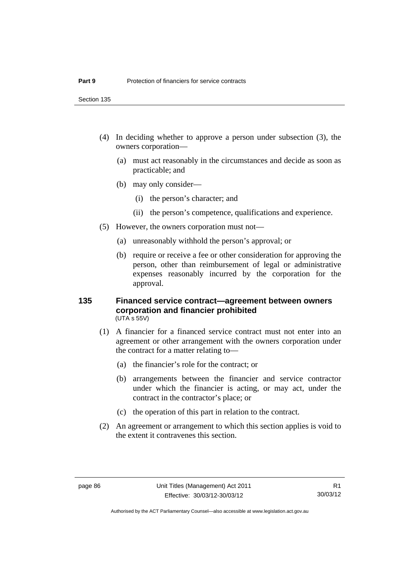Section 135

- (4) In deciding whether to approve a person under subsection (3), the owners corporation—
	- (a) must act reasonably in the circumstances and decide as soon as practicable; and
	- (b) may only consider—
		- (i) the person's character; and
		- (ii) the person's competence, qualifications and experience.
- (5) However, the owners corporation must not—
	- (a) unreasonably withhold the person's approval; or
	- (b) require or receive a fee or other consideration for approving the person, other than reimbursement of legal or administrative expenses reasonably incurred by the corporation for the approval.

#### **135 Financed service contract—agreement between owners corporation and financier prohibited**  (UTA s 55V)

- (1) A financier for a financed service contract must not enter into an agreement or other arrangement with the owners corporation under the contract for a matter relating to—
	- (a) the financier's role for the contract; or
	- (b) arrangements between the financier and service contractor under which the financier is acting, or may act, under the contract in the contractor's place; or
	- (c) the operation of this part in relation to the contract.
- (2) An agreement or arrangement to which this section applies is void to the extent it contravenes this section.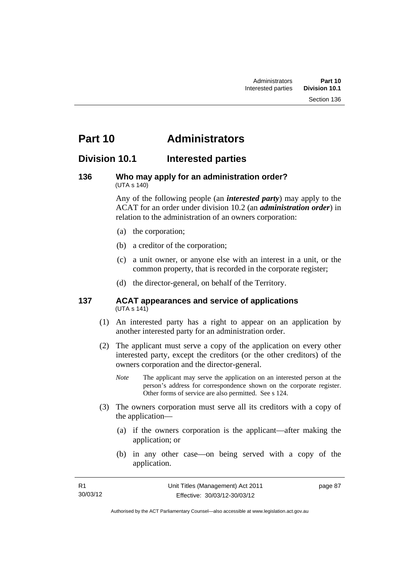# **Part 10 Administrators**

## **Division 10.1 Interested parties**

#### **136 Who may apply for an administration order?**  (UTA s 140)

Any of the following people (an *interested party*) may apply to the ACAT for an order under division 10.2 (an *administration order*) in relation to the administration of an owners corporation:

- (a) the corporation;
- (b) a creditor of the corporation;
- (c) a unit owner, or anyone else with an interest in a unit, or the common property, that is recorded in the corporate register;
- (d) the director-general, on behalf of the Territory.

#### **137 ACAT appearances and service of applications**  (UTA s 141)

- (1) An interested party has a right to appear on an application by another interested party for an administration order.
- (2) The applicant must serve a copy of the application on every other interested party, except the creditors (or the other creditors) of the owners corporation and the director-general.
	- *Note* The applicant may serve the application on an interested person at the person's address for correspondence shown on the corporate register. Other forms of service are also permitted. See s 124.
- (3) The owners corporation must serve all its creditors with a copy of the application—
	- (a) if the owners corporation is the applicant—after making the application; or
	- (b) in any other case—on being served with a copy of the application.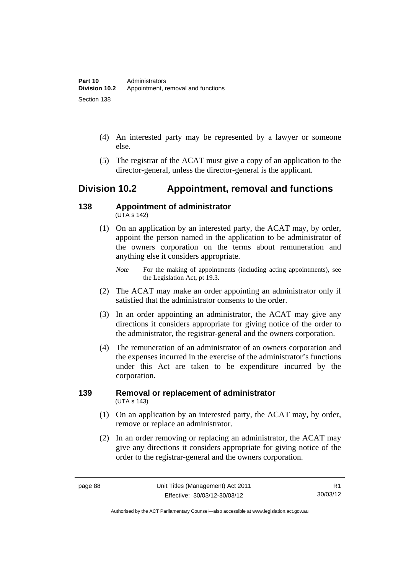- (4) An interested party may be represented by a lawyer or someone else.
- (5) The registrar of the ACAT must give a copy of an application to the director-general, unless the director-general is the applicant.

# **Division 10.2 Appointment, removal and functions**

#### **138 Appointment of administrator**   $(UTA S 142)$

 (1) On an application by an interested party, the ACAT may, by order, appoint the person named in the application to be administrator of the owners corporation on the terms about remuneration and anything else it considers appropriate.

## *Note* For the making of appointments (including acting appointments), see the Legislation Act, pt 19.3.

- (2) The ACAT may make an order appointing an administrator only if satisfied that the administrator consents to the order.
- (3) In an order appointing an administrator, the ACAT may give any directions it considers appropriate for giving notice of the order to the administrator, the registrar-general and the owners corporation.
- (4) The remuneration of an administrator of an owners corporation and the expenses incurred in the exercise of the administrator's functions under this Act are taken to be expenditure incurred by the corporation.

## **139 Removal or replacement of administrator**  (UTA s 143)

- (1) On an application by an interested party, the ACAT may, by order, remove or replace an administrator.
- (2) In an order removing or replacing an administrator, the ACAT may give any directions it considers appropriate for giving notice of the order to the registrar-general and the owners corporation.

Authorised by the ACT Parliamentary Counsel—also accessible at www.legislation.act.gov.au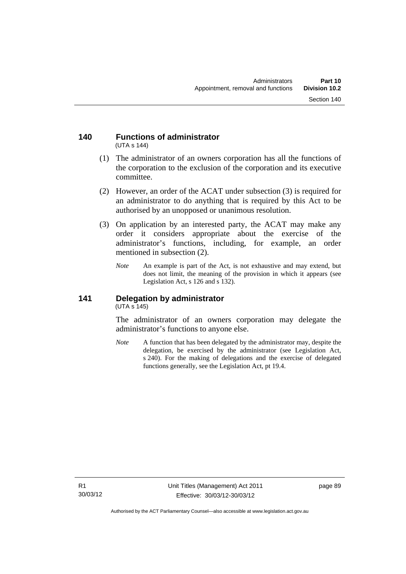#### **140 Functions of administrator**  (UTA s 144)

- (1) The administrator of an owners corporation has all the functions of the corporation to the exclusion of the corporation and its executive committee.
- (2) However, an order of the ACAT under subsection (3) is required for an administrator to do anything that is required by this Act to be authorised by an unopposed or unanimous resolution.
- (3) On application by an interested party, the ACAT may make any order it considers appropriate about the exercise of the administrator's functions, including, for example, an order mentioned in subsection (2).
	- *Note* An example is part of the Act, is not exhaustive and may extend, but does not limit, the meaning of the provision in which it appears (see Legislation Act, s 126 and s 132).

### **141 Delegation by administrator**  (UTA s 145)

The administrator of an owners corporation may delegate the administrator's functions to anyone else.

*Note* A function that has been delegated by the administrator may, despite the delegation, be exercised by the administrator (see Legislation Act, s 240). For the making of delegations and the exercise of delegated functions generally, see the Legislation Act, pt 19.4.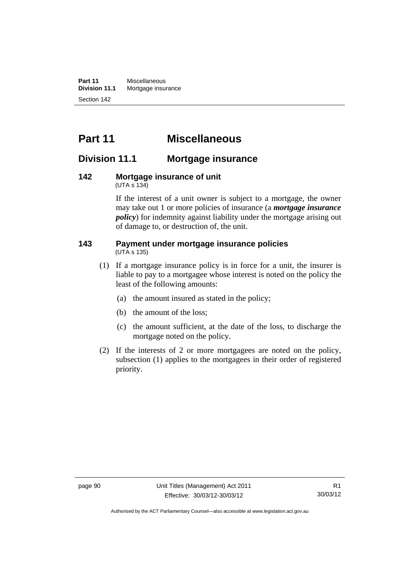**Part 11** Miscellaneous<br>**Division 11.1** Mortgage insur **Mortgage insurance** Section 142

# **Part 11 Miscellaneous**

# **Division 11.1 Mortgage insurance**

#### **142 Mortgage insurance of unit**  (UTA s 134)

If the interest of a unit owner is subject to a mortgage, the owner may take out 1 or more policies of insurance (a *mortgage insurance policy*) for indemnity against liability under the mortgage arising out of damage to, or destruction of, the unit.

#### **143 Payment under mortgage insurance policies**  (UTA s 135)

- (1) If a mortgage insurance policy is in force for a unit, the insurer is liable to pay to a mortgagee whose interest is noted on the policy the least of the following amounts:
	- (a) the amount insured as stated in the policy;
	- (b) the amount of the loss;
	- (c) the amount sufficient, at the date of the loss, to discharge the mortgage noted on the policy.
- (2) If the interests of 2 or more mortgagees are noted on the policy, subsection (1) applies to the mortgagees in their order of registered priority.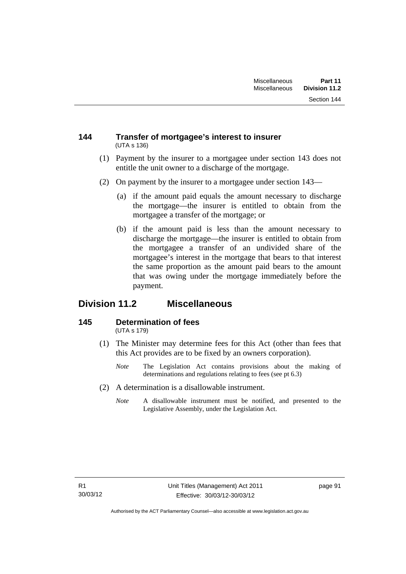### **144 Transfer of mortgagee's interest to insurer**  (UTA s 136)

- (1) Payment by the insurer to a mortgagee under section 143 does not entitle the unit owner to a discharge of the mortgage.
- (2) On payment by the insurer to a mortgagee under section 143—
	- (a) if the amount paid equals the amount necessary to discharge the mortgage—the insurer is entitled to obtain from the mortgagee a transfer of the mortgage; or
	- (b) if the amount paid is less than the amount necessary to discharge the mortgage—the insurer is entitled to obtain from the mortgagee a transfer of an undivided share of the mortgagee's interest in the mortgage that bears to that interest the same proportion as the amount paid bears to the amount that was owing under the mortgage immediately before the payment.

# **Division 11.2 Miscellaneous**

#### **145 Determination of fees**  (UTA s 179)

- (1) The Minister may determine fees for this Act (other than fees that this Act provides are to be fixed by an owners corporation).
	- *Note* The Legislation Act contains provisions about the making of determinations and regulations relating to fees (see pt 6.3)
- (2) A determination is a disallowable instrument.
	- *Note* A disallowable instrument must be notified, and presented to the Legislative Assembly, under the Legislation Act.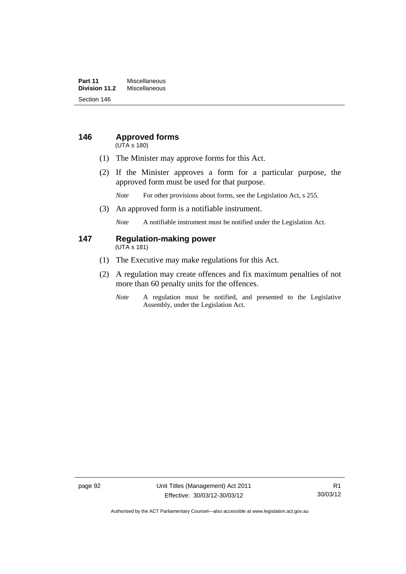### **Part 11** Miscellaneous<br>**Division 11.2** Miscellaneous **Division 11.2** Miscellaneous Section 146

# **146 Approved forms**

(UTA s 180)

- (1) The Minister may approve forms for this Act.
- (2) If the Minister approves a form for a particular purpose, the approved form must be used for that purpose.

*Note* For other provisions about forms, see the Legislation Act, s 255.

(3) An approved form is a notifiable instrument.

*Note* A notifiable instrument must be notified under the Legislation Act.

#### **147 Regulation-making power**  (UTA s 181)

- (1) The Executive may make regulations for this Act.
- (2) A regulation may create offences and fix maximum penalties of not more than 60 penalty units for the offences.
	- *Note* A regulation must be notified, and presented to the Legislative Assembly, under the Legislation Act.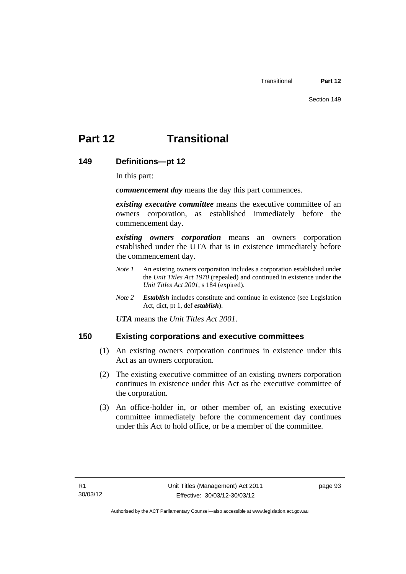# **Part 12 Transitional**

## **149 Definitions—pt 12**

In this part:

*commencement day* means the day this part commences.

*existing executive committee* means the executive committee of an owners corporation, as established immediately before the commencement day.

*existing owners corporation* means an owners corporation established under the UTA that is in existence immediately before the commencement day.

- *Note 1* An existing owners corporation includes a corporation established under the *Unit Titles Act 1970* (repealed) and continued in existence under the *Unit Titles Act 2001*, s 184 (expired).
- *Note 2 Establish* includes constitute and continue in existence (see Legislation Act, dict, pt 1, def *establish*).

*UTA* means the *Unit Titles Act 2001*.

## **150 Existing corporations and executive committees**

- (1) An existing owners corporation continues in existence under this Act as an owners corporation.
- (2) The existing executive committee of an existing owners corporation continues in existence under this Act as the executive committee of the corporation.
- (3) An office-holder in, or other member of, an existing executive committee immediately before the commencement day continues under this Act to hold office, or be a member of the committee.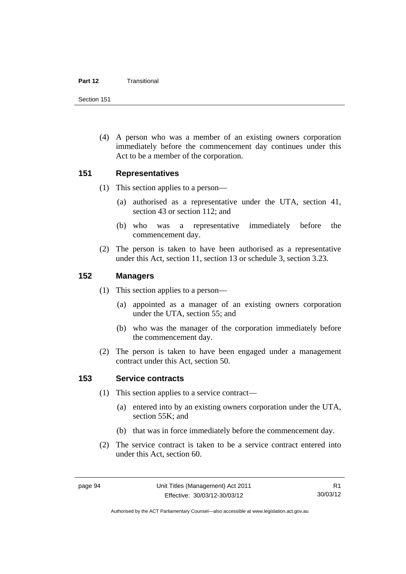#### **Part 12** Transitional

Section 151

 (4) A person who was a member of an existing owners corporation immediately before the commencement day continues under this Act to be a member of the corporation.

## **151 Representatives**

- (1) This section applies to a person—
	- (a) authorised as a representative under the UTA, section 41, section 43 or section 112; and
	- (b) who was a representative immediately before the commencement day.
- (2) The person is taken to have been authorised as a representative under this Act, section 11, section 13 or schedule 3, section 3.23.

## **152 Managers**

- (1) This section applies to a person—
	- (a) appointed as a manager of an existing owners corporation under the UTA, section 55; and
	- (b) who was the manager of the corporation immediately before the commencement day.
- (2) The person is taken to have been engaged under a management contract under this Act, section 50.

## **153 Service contracts**

- (1) This section applies to a service contract—
	- (a) entered into by an existing owners corporation under the UTA, section 55K; and
	- (b) that was in force immediately before the commencement day.
- (2) The service contract is taken to be a service contract entered into under this Act, section 60.

Authorised by the ACT Parliamentary Counsel—also accessible at www.legislation.act.gov.au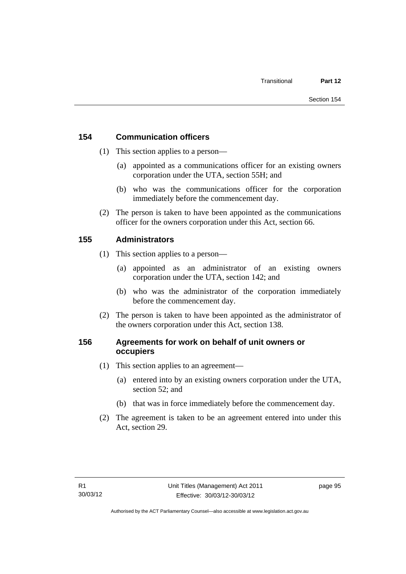## **154 Communication officers**

- (1) This section applies to a person—
	- (a) appointed as a communications officer for an existing owners corporation under the UTA, section 55H; and
	- (b) who was the communications officer for the corporation immediately before the commencement day.
- (2) The person is taken to have been appointed as the communications officer for the owners corporation under this Act, section 66.

## **155 Administrators**

- (1) This section applies to a person—
	- (a) appointed as an administrator of an existing owners corporation under the UTA, section 142; and
	- (b) who was the administrator of the corporation immediately before the commencement day.
- (2) The person is taken to have been appointed as the administrator of the owners corporation under this Act, section 138.

## **156 Agreements for work on behalf of unit owners or occupiers**

- (1) This section applies to an agreement—
	- (a) entered into by an existing owners corporation under the UTA, section 52; and
	- (b) that was in force immediately before the commencement day.
- (2) The agreement is taken to be an agreement entered into under this Act, section 29.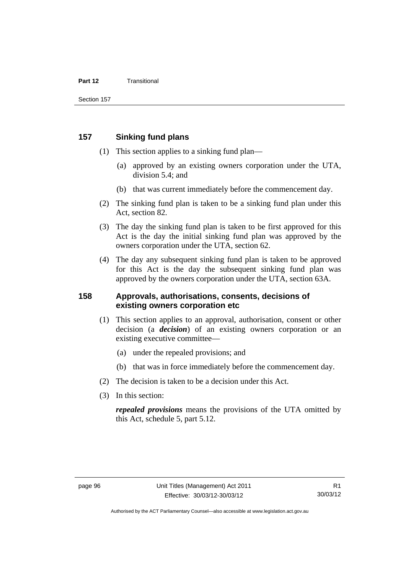#### **Part 12** Transitional

## **157 Sinking fund plans**

- (1) This section applies to a sinking fund plan—
	- (a) approved by an existing owners corporation under the UTA, division 5.4; and
	- (b) that was current immediately before the commencement day.
- (2) The sinking fund plan is taken to be a sinking fund plan under this Act, section 82.
- (3) The day the sinking fund plan is taken to be first approved for this Act is the day the initial sinking fund plan was approved by the owners corporation under the UTA, section 62.
- (4) The day any subsequent sinking fund plan is taken to be approved for this Act is the day the subsequent sinking fund plan was approved by the owners corporation under the UTA, section 63A.

## **158 Approvals, authorisations, consents, decisions of existing owners corporation etc**

- (1) This section applies to an approval, authorisation, consent or other decision (a *decision*) of an existing owners corporation or an existing executive committee—
	- (a) under the repealed provisions; and
	- (b) that was in force immediately before the commencement day.
- (2) The decision is taken to be a decision under this Act.
- (3) In this section:

*repealed provisions* means the provisions of the UTA omitted by this Act, schedule 5, part 5.12.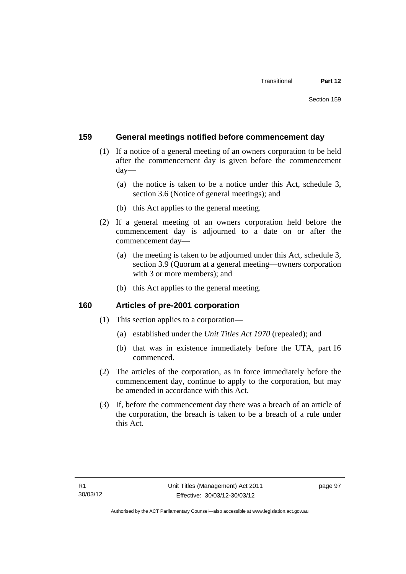## **159 General meetings notified before commencement day**

- (1) If a notice of a general meeting of an owners corporation to be held after the commencement day is given before the commencement day—
	- (a) the notice is taken to be a notice under this Act, schedule 3, section 3.6 (Notice of general meetings); and
	- (b) this Act applies to the general meeting.
- (2) If a general meeting of an owners corporation held before the commencement day is adjourned to a date on or after the commencement day—
	- (a) the meeting is taken to be adjourned under this Act, schedule 3, section 3.9 (Quorum at a general meeting—owners corporation with 3 or more members); and
	- (b) this Act applies to the general meeting.

## **160 Articles of pre-2001 corporation**

- (1) This section applies to a corporation—
	- (a) established under the *Unit Titles Act 1970* (repealed); and
	- (b) that was in existence immediately before the UTA, part 16 commenced.
- (2) The articles of the corporation, as in force immediately before the commencement day, continue to apply to the corporation, but may be amended in accordance with this Act.
- (3) If, before the commencement day there was a breach of an article of the corporation, the breach is taken to be a breach of a rule under this Act.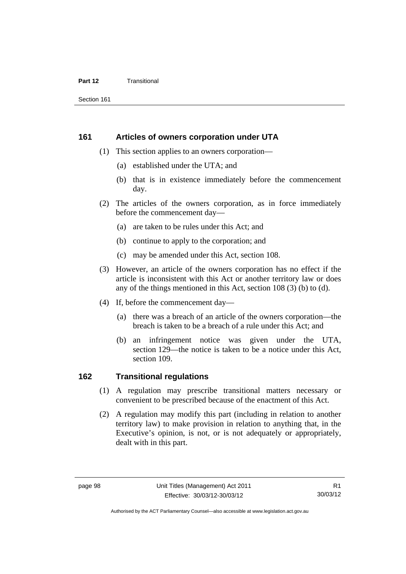#### **Part 12** Transitional

Section 161

#### **161 Articles of owners corporation under UTA**

- (1) This section applies to an owners corporation—
	- (a) established under the UTA; and
	- (b) that is in existence immediately before the commencement day.
- (2) The articles of the owners corporation, as in force immediately before the commencement day—
	- (a) are taken to be rules under this Act; and
	- (b) continue to apply to the corporation; and
	- (c) may be amended under this Act, section 108.
- (3) However, an article of the owners corporation has no effect if the article is inconsistent with this Act or another territory law or does any of the things mentioned in this Act, section 108 (3) (b) to (d).
- (4) If, before the commencement day—
	- (a) there was a breach of an article of the owners corporation—the breach is taken to be a breach of a rule under this Act; and
	- (b) an infringement notice was given under the UTA, section 129—the notice is taken to be a notice under this Act, section 109.

## **162 Transitional regulations**

- (1) A regulation may prescribe transitional matters necessary or convenient to be prescribed because of the enactment of this Act.
- (2) A regulation may modify this part (including in relation to another territory law) to make provision in relation to anything that, in the Executive's opinion, is not, or is not adequately or appropriately, dealt with in this part.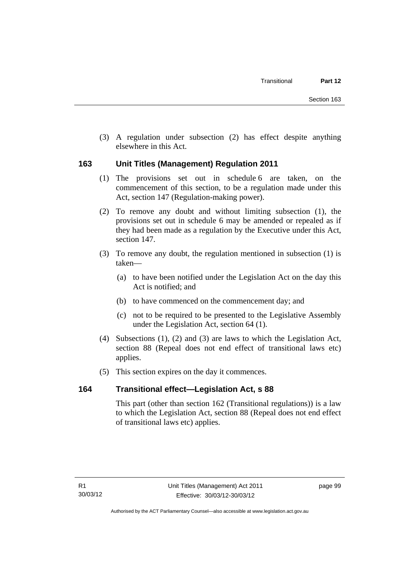(3) A regulation under subsection (2) has effect despite anything elsewhere in this Act.

## **163 Unit Titles (Management) Regulation 2011**

- (1) The provisions set out in schedule 6 are taken, on the commencement of this section, to be a regulation made under this Act, section 147 (Regulation-making power).
- (2) To remove any doubt and without limiting subsection (1), the provisions set out in schedule 6 may be amended or repealed as if they had been made as a regulation by the Executive under this Act, section 147.
- (3) To remove any doubt, the regulation mentioned in subsection (1) is taken—
	- (a) to have been notified under the Legislation Act on the day this Act is notified; and
	- (b) to have commenced on the commencement day; and
	- (c) not to be required to be presented to the Legislative Assembly under the Legislation Act, section 64 (1).
- (4) Subsections (1), (2) and (3) are laws to which the Legislation Act, section 88 (Repeal does not end effect of transitional laws etc) applies.
- (5) This section expires on the day it commences.

## **164 Transitional effect—Legislation Act, s 88**

This part (other than section 162 (Transitional regulations)) is a law to which the Legislation Act, section 88 (Repeal does not end effect of transitional laws etc) applies.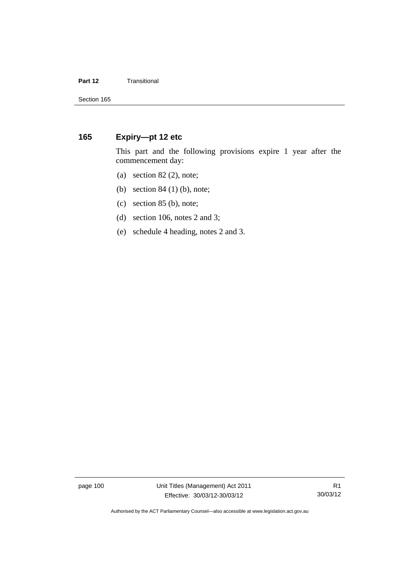#### **Part 12 Transitional**

## **165 Expiry—pt 12 etc**

This part and the following provisions expire 1 year after the commencement day:

- (a) section  $82$  (2), note;
- (b) section 84 (1) (b), note;
- (c) section 85 (b), note;
- (d) section 106, notes 2 and 3;
- (e) schedule 4 heading, notes 2 and 3.

page 100 Unit Titles (Management) Act 2011 Effective: 30/03/12-30/03/12

Authorised by the ACT Parliamentary Counsel—also accessible at www.legislation.act.gov.au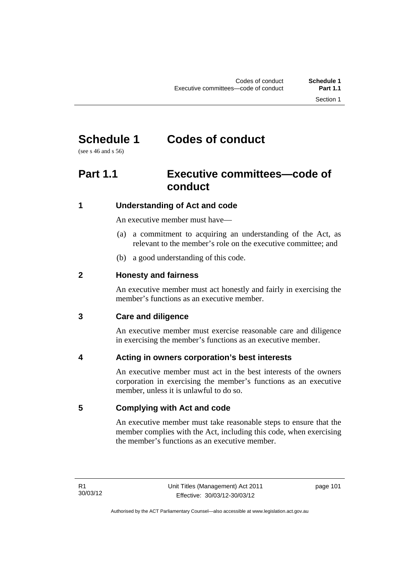# **Schedule 1 Codes of conduct**

(see s 46 and s 56)

# **Part 1.1 Executive committees—code of conduct**

## **1 Understanding of Act and code**

An executive member must have—

- (a) a commitment to acquiring an understanding of the Act, as relevant to the member's role on the executive committee; and
- (b) a good understanding of this code.

## **2 Honesty and fairness**

An executive member must act honestly and fairly in exercising the member's functions as an executive member.

## **3 Care and diligence**

An executive member must exercise reasonable care and diligence in exercising the member's functions as an executive member.

## **4 Acting in owners corporation's best interests**

An executive member must act in the best interests of the owners corporation in exercising the member's functions as an executive member, unless it is unlawful to do so.

## **5 Complying with Act and code**

An executive member must take reasonable steps to ensure that the member complies with the Act, including this code, when exercising the member's functions as an executive member.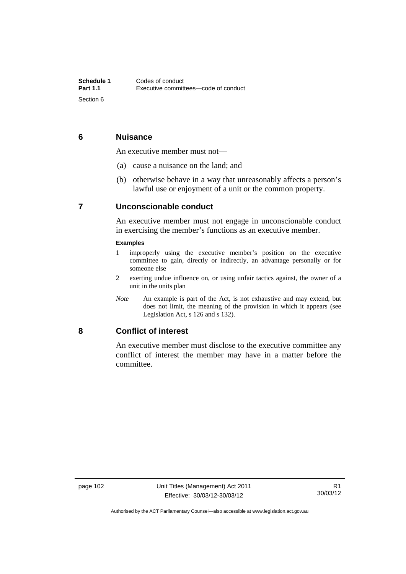## **6 Nuisance**

An executive member must not—

- (a) cause a nuisance on the land; and
- (b) otherwise behave in a way that unreasonably affects a person's lawful use or enjoyment of a unit or the common property.

## **7 Unconscionable conduct**

An executive member must not engage in unconscionable conduct in exercising the member's functions as an executive member.

#### **Examples**

- 1 improperly using the executive member's position on the executive committee to gain, directly or indirectly, an advantage personally or for someone else
- 2 exerting undue influence on, or using unfair tactics against, the owner of a unit in the units plan
- *Note* An example is part of the Act, is not exhaustive and may extend, but does not limit, the meaning of the provision in which it appears (see Legislation Act, s 126 and s 132).

#### **8 Conflict of interest**

An executive member must disclose to the executive committee any conflict of interest the member may have in a matter before the committee.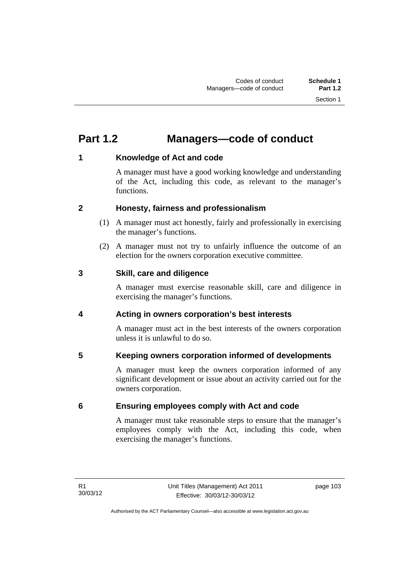# **Part 1.2 Managers—code of conduct**

## **1 Knowledge of Act and code**

A manager must have a good working knowledge and understanding of the Act, including this code, as relevant to the manager's functions.

## **2 Honesty, fairness and professionalism**

- (1) A manager must act honestly, fairly and professionally in exercising the manager's functions.
- (2) A manager must not try to unfairly influence the outcome of an election for the owners corporation executive committee.

## **3 Skill, care and diligence**

A manager must exercise reasonable skill, care and diligence in exercising the manager's functions.

## **4 Acting in owners corporation's best interests**

A manager must act in the best interests of the owners corporation unless it is unlawful to do so.

## **5 Keeping owners corporation informed of developments**

A manager must keep the owners corporation informed of any significant development or issue about an activity carried out for the owners corporation.

## **6 Ensuring employees comply with Act and code**

A manager must take reasonable steps to ensure that the manager's employees comply with the Act, including this code, when exercising the manager's functions.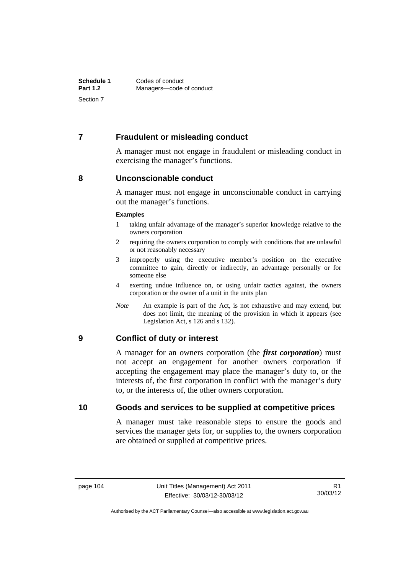## **7 Fraudulent or misleading conduct**

A manager must not engage in fraudulent or misleading conduct in exercising the manager's functions.

#### **8 Unconscionable conduct**

A manager must not engage in unconscionable conduct in carrying out the manager's functions.

#### **Examples**

- 1 taking unfair advantage of the manager's superior knowledge relative to the owners corporation
- 2 requiring the owners corporation to comply with conditions that are unlawful or not reasonably necessary
- 3 improperly using the executive member's position on the executive committee to gain, directly or indirectly, an advantage personally or for someone else
- 4 exerting undue influence on, or using unfair tactics against, the owners corporation or the owner of a unit in the units plan
- *Note* An example is part of the Act, is not exhaustive and may extend, but does not limit, the meaning of the provision in which it appears (see Legislation Act, s 126 and s 132).

## **9 Conflict of duty or interest**

A manager for an owners corporation (the *first corporation*) must not accept an engagement for another owners corporation if accepting the engagement may place the manager's duty to, or the interests of, the first corporation in conflict with the manager's duty to, or the interests of, the other owners corporation.

## **10 Goods and services to be supplied at competitive prices**

A manager must take reasonable steps to ensure the goods and services the manager gets for, or supplies to, the owners corporation are obtained or supplied at competitive prices.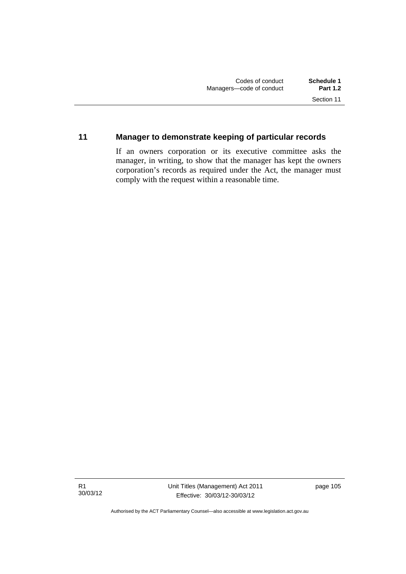## **11 Manager to demonstrate keeping of particular records**

If an owners corporation or its executive committee asks the manager, in writing, to show that the manager has kept the owners corporation's records as required under the Act, the manager must comply with the request within a reasonable time.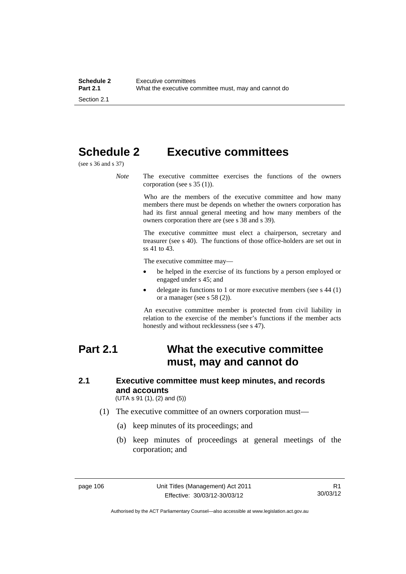# **Schedule 2 Executive committees**

(see s 36 and s 37)

*Note* The executive committee exercises the functions of the owners corporation (see s 35 (1)).

> Who are the members of the executive committee and how many members there must be depends on whether the owners corporation has had its first annual general meeting and how many members of the owners corporation there are (see s 38 and s 39).

> The executive committee must elect a chairperson, secretary and treasurer (see s 40). The functions of those office-holders are set out in ss 41 to 43.

The executive committee may—

- be helped in the exercise of its functions by a person employed or engaged under s 45; and
- delegate its functions to 1 or more executive members (see s 44 (1) or a manager (see s 58 (2)).

An executive committee member is protected from civil liability in relation to the exercise of the member's functions if the member acts honestly and without recklessness (see s 47).

## **Part 2.1 What the executive committee must, may and cannot do**

## **2.1 Executive committee must keep minutes, and records and accounts**

(UTA s 91 (1), (2) and (5))

- (1) The executive committee of an owners corporation must—
	- (a) keep minutes of its proceedings; and
	- (b) keep minutes of proceedings at general meetings of the corporation; and

Authorised by the ACT Parliamentary Counsel—also accessible at www.legislation.act.gov.au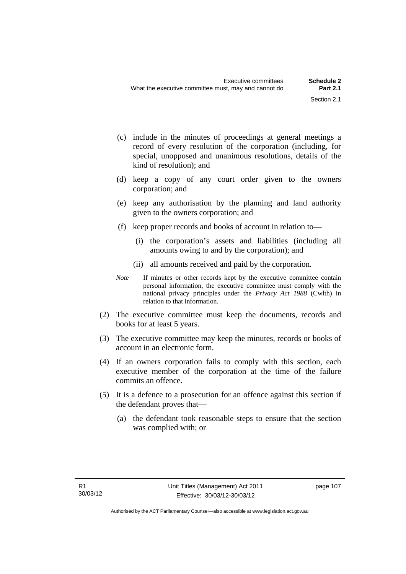- (c) include in the minutes of proceedings at general meetings a record of every resolution of the corporation (including, for special, unopposed and unanimous resolutions, details of the kind of resolution); and
- (d) keep a copy of any court order given to the owners corporation; and
- (e) keep any authorisation by the planning and land authority given to the owners corporation; and
- (f) keep proper records and books of account in relation to—
	- (i) the corporation's assets and liabilities (including all amounts owing to and by the corporation); and
	- (ii) all amounts received and paid by the corporation.
- *Note* If minutes or other records kept by the executive committee contain personal information, the executive committee must comply with the national privacy principles under the *Privacy Act 1988* (Cwlth) in relation to that information.
- (2) The executive committee must keep the documents, records and books for at least 5 years.
- (3) The executive committee may keep the minutes, records or books of account in an electronic form.
- (4) If an owners corporation fails to comply with this section, each executive member of the corporation at the time of the failure commits an offence.
- (5) It is a defence to a prosecution for an offence against this section if the defendant proves that—
	- (a) the defendant took reasonable steps to ensure that the section was complied with; or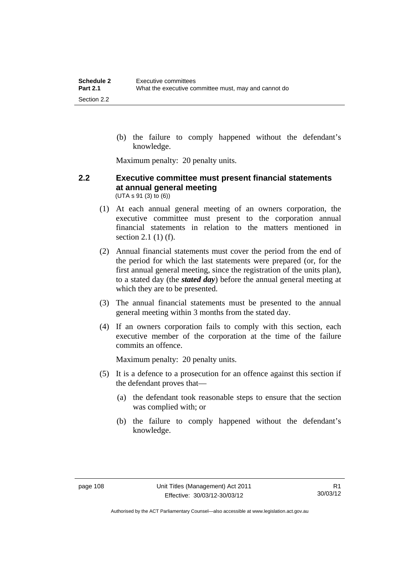(b) the failure to comply happened without the defendant's knowledge.

Maximum penalty: 20 penalty units.

#### **2.2 Executive committee must present financial statements at annual general meeting**  (UTA s 91 (3) to (6))

- (1) At each annual general meeting of an owners corporation, the executive committee must present to the corporation annual financial statements in relation to the matters mentioned in section 2.1 (1) (f).
- (2) Annual financial statements must cover the period from the end of the period for which the last statements were prepared (or, for the first annual general meeting, since the registration of the units plan), to a stated day (the *stated day*) before the annual general meeting at which they are to be presented.
- (3) The annual financial statements must be presented to the annual general meeting within 3 months from the stated day.
- (4) If an owners corporation fails to comply with this section, each executive member of the corporation at the time of the failure commits an offence.

Maximum penalty: 20 penalty units.

- (5) It is a defence to a prosecution for an offence against this section if the defendant proves that—
	- (a) the defendant took reasonable steps to ensure that the section was complied with; or
	- (b) the failure to comply happened without the defendant's knowledge.

Authorised by the ACT Parliamentary Counsel—also accessible at www.legislation.act.gov.au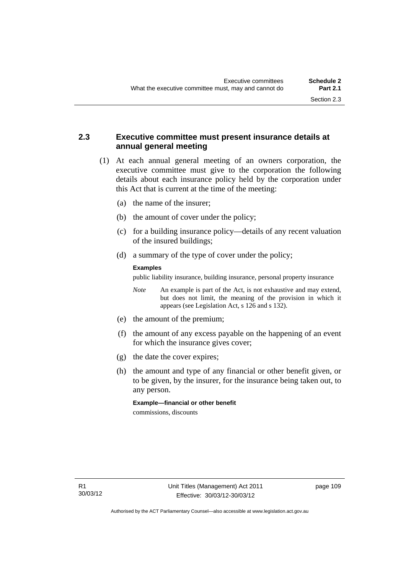## **2.3 Executive committee must present insurance details at annual general meeting**

- (1) At each annual general meeting of an owners corporation, the executive committee must give to the corporation the following details about each insurance policy held by the corporation under this Act that is current at the time of the meeting:
	- (a) the name of the insurer;
	- (b) the amount of cover under the policy;
	- (c) for a building insurance policy—details of any recent valuation of the insured buildings;
	- (d) a summary of the type of cover under the policy;

#### **Examples**

public liability insurance, building insurance, personal property insurance

- *Note* An example is part of the Act, is not exhaustive and may extend, but does not limit, the meaning of the provision in which it appears (see Legislation Act, s 126 and s 132).
- (e) the amount of the premium;
- (f) the amount of any excess payable on the happening of an event for which the insurance gives cover;
- (g) the date the cover expires;
- (h) the amount and type of any financial or other benefit given, or to be given, by the insurer, for the insurance being taken out, to any person.

**Example—financial or other benefit** 

commissions, discounts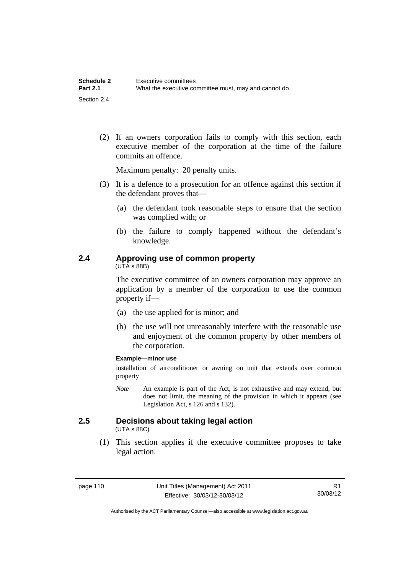(2) If an owners corporation fails to comply with this section, each executive member of the corporation at the time of the failure commits an offence.

Maximum penalty: 20 penalty units.

- (3) It is a defence to a prosecution for an offence against this section if the defendant proves that—
	- (a) the defendant took reasonable steps to ensure that the section was complied with; or
	- (b) the failure to comply happened without the defendant's knowledge.

## **2.4 Approving use of common property**

(UTA s 88B)

The executive committee of an owners corporation may approve an application by a member of the corporation to use the common property if—

- (a) the use applied for is minor; and
- (b) the use will not unreasonably interfere with the reasonable use and enjoyment of the common property by other members of the corporation.

#### **Example—minor use**

installation of airconditioner or awning on unit that extends over common property

*Note* An example is part of the Act, is not exhaustive and may extend, but does not limit, the meaning of the provision in which it appears (see Legislation Act, s 126 and s 132).

## **2.5 Decisions about taking legal action**

(UTA s 88C)

 (1) This section applies if the executive committee proposes to take legal action.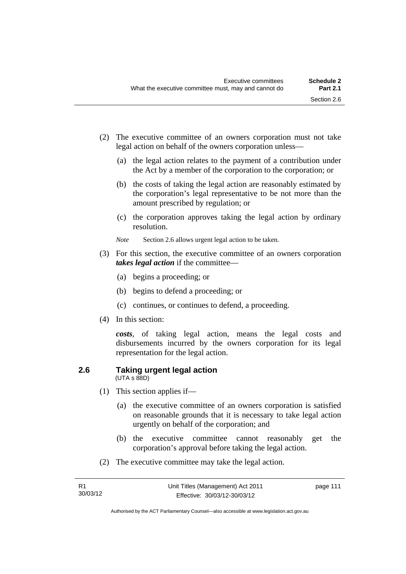- (2) The executive committee of an owners corporation must not take legal action on behalf of the owners corporation unless—
	- (a) the legal action relates to the payment of a contribution under the Act by a member of the corporation to the corporation; or
	- (b) the costs of taking the legal action are reasonably estimated by the corporation's legal representative to be not more than the amount prescribed by regulation; or
	- (c) the corporation approves taking the legal action by ordinary resolution.
	- *Note* Section 2.6 allows urgent legal action to be taken.
- (3) For this section, the executive committee of an owners corporation *takes legal action* if the committee—
	- (a) begins a proceeding; or
	- (b) begins to defend a proceeding; or
	- (c) continues, or continues to defend, a proceeding.
- (4) In this section:

*costs*, of taking legal action, means the legal costs and disbursements incurred by the owners corporation for its legal representation for the legal action.

#### **2.6 Taking urgent legal action**  (UTA s 88D)

- (1) This section applies if—
	- (a) the executive committee of an owners corporation is satisfied on reasonable grounds that it is necessary to take legal action urgently on behalf of the corporation; and
	- (b) the executive committee cannot reasonably get the corporation's approval before taking the legal action.
- (2) The executive committee may take the legal action.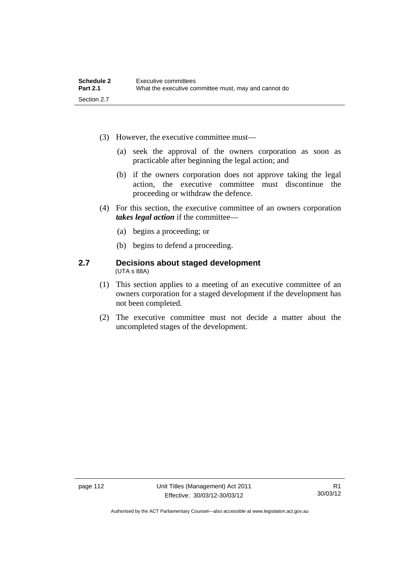- (3) However, the executive committee must—
	- (a) seek the approval of the owners corporation as soon as practicable after beginning the legal action; and
	- (b) if the owners corporation does not approve taking the legal action, the executive committee must discontinue the proceeding or withdraw the defence.
- (4) For this section, the executive committee of an owners corporation *takes legal action* if the committee—
	- (a) begins a proceeding; or
	- (b) begins to defend a proceeding.

#### **2.7 Decisions about staged development**  (UTA s 88A)

- (1) This section applies to a meeting of an executive committee of an owners corporation for a staged development if the development has not been completed.
- (2) The executive committee must not decide a matter about the uncompleted stages of the development.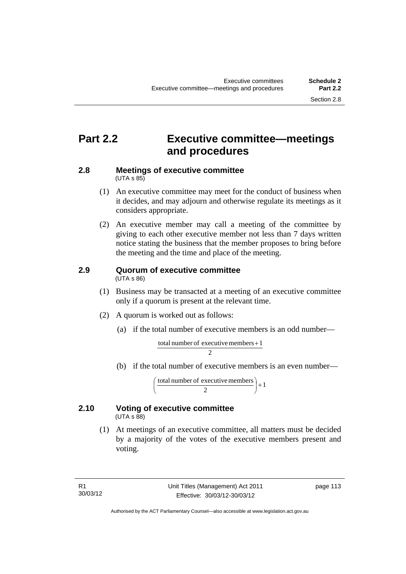# **Part 2.2 Executive committee—meetings and procedures**

#### **2.8 Meetings of executive committee**   $(UTA \, s \, 85)$

- (1) An executive committee may meet for the conduct of business when it decides, and may adjourn and otherwise regulate its meetings as it considers appropriate.
- (2) An executive member may call a meeting of the committee by giving to each other executive member not less than 7 days written notice stating the business that the member proposes to bring before the meeting and the time and place of the meeting.

# **2.9 Quorum of executive committee**

(UTA s 86)

- (1) Business may be transacted at a meeting of an executive committee only if a quorum is present at the relevant time.
- (2) A quorum is worked out as follows:
	- (a) if the total number of executive members is an odd number—

$$
\frac{\text{total number of executive members} + 1}{2}
$$

(b) if the total number of executive members is an even number—

total number of executive members  $\begin{pmatrix} 2 \end{pmatrix} + 1$ )  $\left(\frac{\text{total number of executive members}}{2}\right)$ l ſ

#### **2.10 Voting of executive committee**   $(UTA \s{5}88)$

 (1) At meetings of an executive committee, all matters must be decided by a majority of the votes of the executive members present and voting.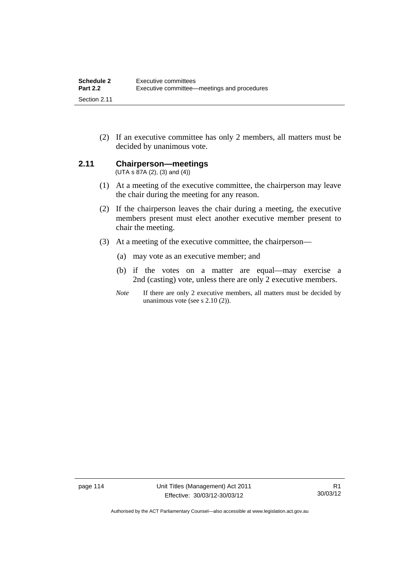(2) If an executive committee has only 2 members, all matters must be decided by unanimous vote.

## **2.11 Chairperson—meetings**

 $(UTA s 87A (2), (3) and (4))$ 

- (1) At a meeting of the executive committee, the chairperson may leave the chair during the meeting for any reason.
- (2) If the chairperson leaves the chair during a meeting, the executive members present must elect another executive member present to chair the meeting.
- (3) At a meeting of the executive committee, the chairperson—
	- (a) may vote as an executive member; and
	- (b) if the votes on a matter are equal—may exercise a 2nd (casting) vote, unless there are only 2 executive members.
	- *Note* If there are only 2 executive members, all matters must be decided by unanimous vote (see s 2.10 (2)).

page 114 Unit Titles (Management) Act 2011 Effective: 30/03/12-30/03/12

Authorised by the ACT Parliamentary Counsel—also accessible at www.legislation.act.gov.au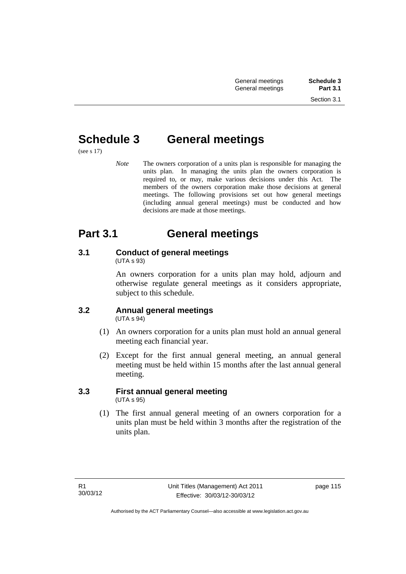# **Schedule 3 General meetings**

(see s 17)

*Note* The owners corporation of a units plan is responsible for managing the units plan. In managing the units plan the owners corporation is required to, or may, make various decisions under this Act. The members of the owners corporation make those decisions at general meetings. The following provisions set out how general meetings (including annual general meetings) must be conducted and how decisions are made at those meetings.

# **Part 3.1 General meetings**

# **3.1 Conduct of general meetings**

(UTA s 93)

An owners corporation for a units plan may hold, adjourn and otherwise regulate general meetings as it considers appropriate, subject to this schedule.

#### **3.2 Annual general meetings**  (UTA s 94)

- (1) An owners corporation for a units plan must hold an annual general meeting each financial year.
- (2) Except for the first annual general meeting, an annual general meeting must be held within 15 months after the last annual general meeting.

## **3.3 First annual general meeting**  (UTA s 95)

 (1) The first annual general meeting of an owners corporation for a units plan must be held within 3 months after the registration of the units plan.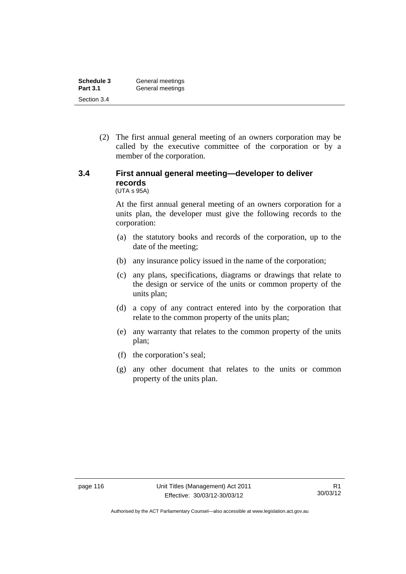| Schedule 3      | General meetings |
|-----------------|------------------|
| <b>Part 3.1</b> | General meetings |
| Section 3.4     |                  |

 (2) The first annual general meeting of an owners corporation may be called by the executive committee of the corporation or by a member of the corporation.

#### **3.4 First annual general meeting—developer to deliver records**  (UTA s 95A)

At the first annual general meeting of an owners corporation for a units plan, the developer must give the following records to the corporation:

- (a) the statutory books and records of the corporation, up to the date of the meeting;
- (b) any insurance policy issued in the name of the corporation;
- (c) any plans, specifications, diagrams or drawings that relate to the design or service of the units or common property of the units plan;
- (d) a copy of any contract entered into by the corporation that relate to the common property of the units plan;
- (e) any warranty that relates to the common property of the units plan;
- (f) the corporation's seal;
- (g) any other document that relates to the units or common property of the units plan.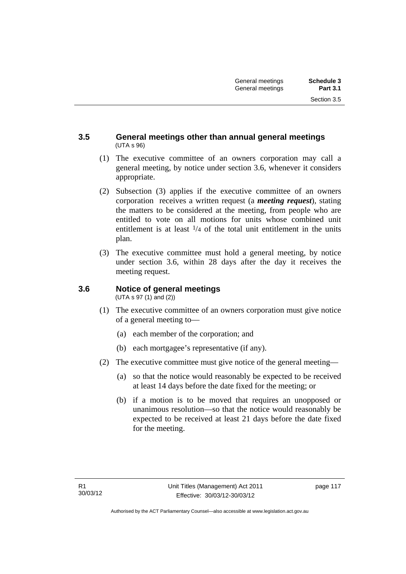## **3.5 General meetings other than annual general meetings**  (UTA s 96)

- (1) The executive committee of an owners corporation may call a general meeting, by notice under section 3.6, whenever it considers appropriate.
- (2) Subsection (3) applies if the executive committee of an owners corporation receives a written request (a *meeting request*), stating the matters to be considered at the meeting, from people who are entitled to vote on all motions for units whose combined unit entitlement is at least  $\frac{1}{4}$  of the total unit entitlement in the units plan.
- (3) The executive committee must hold a general meeting, by notice under section 3.6, within 28 days after the day it receives the meeting request.

## **3.6 Notice of general meetings**

(UTA s 97 (1) and (2))

- (1) The executive committee of an owners corporation must give notice of a general meeting to—
	- (a) each member of the corporation; and
	- (b) each mortgagee's representative (if any).
- (2) The executive committee must give notice of the general meeting—
	- (a) so that the notice would reasonably be expected to be received at least 14 days before the date fixed for the meeting; or
	- (b) if a motion is to be moved that requires an unopposed or unanimous resolution—so that the notice would reasonably be expected to be received at least 21 days before the date fixed for the meeting.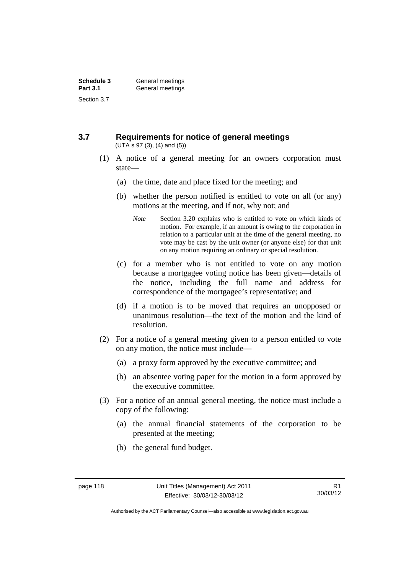#### **3.7 Requirements for notice of general meetings**  (UTA s 97 (3), (4) and (5))

- (1) A notice of a general meeting for an owners corporation must state—
	- (a) the time, date and place fixed for the meeting; and
	- (b) whether the person notified is entitled to vote on all (or any) motions at the meeting, and if not, why not; and
		- *Note* Section 3.20 explains who is entitled to vote on which kinds of motion. For example, if an amount is owing to the corporation in relation to a particular unit at the time of the general meeting, no vote may be cast by the unit owner (or anyone else) for that unit on any motion requiring an ordinary or special resolution.
	- (c) for a member who is not entitled to vote on any motion because a mortgagee voting notice has been given—details of the notice, including the full name and address for correspondence of the mortgagee's representative; and
	- (d) if a motion is to be moved that requires an unopposed or unanimous resolution—the text of the motion and the kind of resolution.
- (2) For a notice of a general meeting given to a person entitled to vote on any motion, the notice must include—
	- (a) a proxy form approved by the executive committee; and
	- (b) an absentee voting paper for the motion in a form approved by the executive committee.
- (3) For a notice of an annual general meeting, the notice must include a copy of the following:
	- (a) the annual financial statements of the corporation to be presented at the meeting;
	- (b) the general fund budget.

Authorised by the ACT Parliamentary Counsel—also accessible at www.legislation.act.gov.au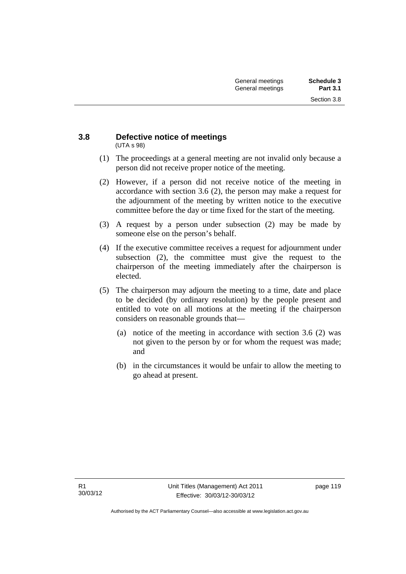#### **3.8 Defective notice of meetings**  (UTA s 98)

- (1) The proceedings at a general meeting are not invalid only because a person did not receive proper notice of the meeting.
- (2) However, if a person did not receive notice of the meeting in accordance with section 3.6 (2), the person may make a request for the adjournment of the meeting by written notice to the executive committee before the day or time fixed for the start of the meeting.
- (3) A request by a person under subsection (2) may be made by someone else on the person's behalf.
- (4) If the executive committee receives a request for adjournment under subsection (2), the committee must give the request to the chairperson of the meeting immediately after the chairperson is elected.
- (5) The chairperson may adjourn the meeting to a time, date and place to be decided (by ordinary resolution) by the people present and entitled to vote on all motions at the meeting if the chairperson considers on reasonable grounds that—
	- (a) notice of the meeting in accordance with section 3.6 (2) was not given to the person by or for whom the request was made; and
	- (b) in the circumstances it would be unfair to allow the meeting to go ahead at present.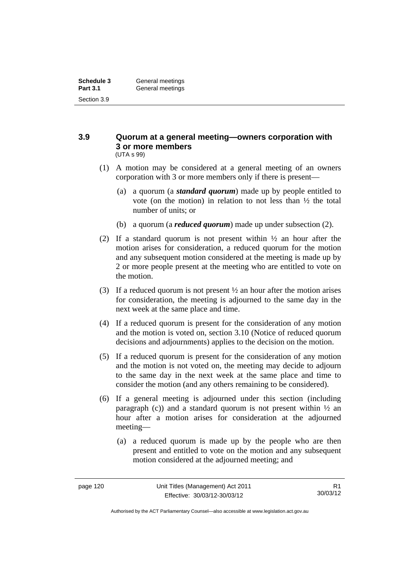#### **3.9 Quorum at a general meeting—owners corporation with 3 or more members**  (UTA s 99)

- (1) A motion may be considered at a general meeting of an owners corporation with 3 or more members only if there is present—
	- (a) a quorum (a *standard quorum*) made up by people entitled to vote (on the motion) in relation to not less than ½ the total number of units; or
	- (b) a quorum (a *reduced quorum*) made up under subsection (2).
- (2) If a standard quorum is not present within  $\frac{1}{2}$  an hour after the motion arises for consideration, a reduced quorum for the motion and any subsequent motion considered at the meeting is made up by 2 or more people present at the meeting who are entitled to vote on the motion.
- (3) If a reduced quorum is not present  $\frac{1}{2}$  an hour after the motion arises for consideration, the meeting is adjourned to the same day in the next week at the same place and time.
- (4) If a reduced quorum is present for the consideration of any motion and the motion is voted on, section 3.10 (Notice of reduced quorum decisions and adjournments) applies to the decision on the motion.
- (5) If a reduced quorum is present for the consideration of any motion and the motion is not voted on, the meeting may decide to adjourn to the same day in the next week at the same place and time to consider the motion (and any others remaining to be considered).
- (6) If a general meeting is adjourned under this section (including paragraph (c)) and a standard quorum is not present within  $\frac{1}{2}$  and hour after a motion arises for consideration at the adjourned meeting—
	- (a) a reduced quorum is made up by the people who are then present and entitled to vote on the motion and any subsequent motion considered at the adjourned meeting; and

Authorised by the ACT Parliamentary Counsel—also accessible at www.legislation.act.gov.au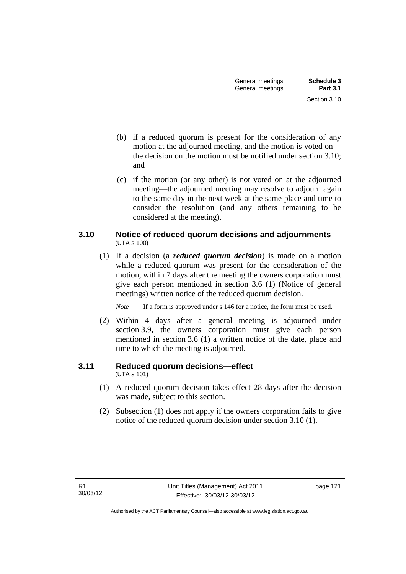- (b) if a reduced quorum is present for the consideration of any motion at the adjourned meeting, and the motion is voted on the decision on the motion must be notified under section 3.10; and
- (c) if the motion (or any other) is not voted on at the adjourned meeting—the adjourned meeting may resolve to adjourn again to the same day in the next week at the same place and time to consider the resolution (and any others remaining to be considered at the meeting).

## **3.10 Notice of reduced quorum decisions and adjournments**  (UTA s 100)

 (1) If a decision (a *reduced quorum decision*) is made on a motion while a reduced quorum was present for the consideration of the motion, within 7 days after the meeting the owners corporation must give each person mentioned in section 3.6 (1) (Notice of general meetings) written notice of the reduced quorum decision.

*Note* If a form is approved under s 146 for a notice, the form must be used.

 (2) Within 4 days after a general meeting is adjourned under section 3.9, the owners corporation must give each person mentioned in section 3.6 (1) a written notice of the date, place and time to which the meeting is adjourned.

## **3.11 Reduced quorum decisions—effect**

(UTA s 101)

- (1) A reduced quorum decision takes effect 28 days after the decision was made, subject to this section.
- (2) Subsection (1) does not apply if the owners corporation fails to give notice of the reduced quorum decision under section 3.10 (1).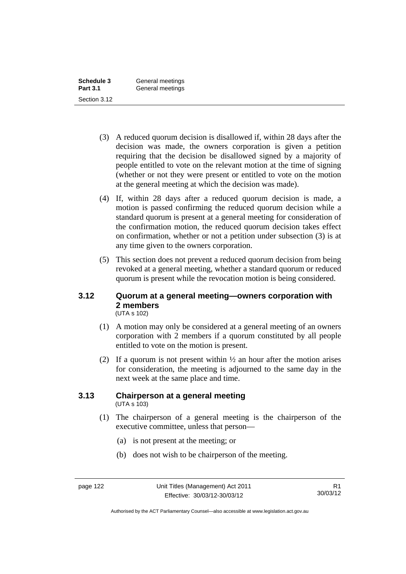| Schedule 3      | General meetings |
|-----------------|------------------|
| <b>Part 3.1</b> | General meetings |
| Section 3.12    |                  |

- (3) A reduced quorum decision is disallowed if, within 28 days after the decision was made, the owners corporation is given a petition requiring that the decision be disallowed signed by a majority of people entitled to vote on the relevant motion at the time of signing (whether or not they were present or entitled to vote on the motion at the general meeting at which the decision was made).
- (4) If, within 28 days after a reduced quorum decision is made, a motion is passed confirming the reduced quorum decision while a standard quorum is present at a general meeting for consideration of the confirmation motion, the reduced quorum decision takes effect on confirmation, whether or not a petition under subsection (3) is at any time given to the owners corporation.
- (5) This section does not prevent a reduced quorum decision from being revoked at a general meeting, whether a standard quorum or reduced quorum is present while the revocation motion is being considered.

#### **3.12 Quorum at a general meeting—owners corporation with 2 members**  (UTA s 102)

- (1) A motion may only be considered at a general meeting of an owners corporation with 2 members if a quorum constituted by all people entitled to vote on the motion is present.
- (2) If a quorum is not present within  $\frac{1}{2}$  an hour after the motion arises for consideration, the meeting is adjourned to the same day in the next week at the same place and time.

#### **3.13 Chairperson at a general meeting**  (UTA s 103)

- (1) The chairperson of a general meeting is the chairperson of the executive committee, unless that person—
	- (a) is not present at the meeting; or
	- (b) does not wish to be chairperson of the meeting.

Authorised by the ACT Parliamentary Counsel—also accessible at www.legislation.act.gov.au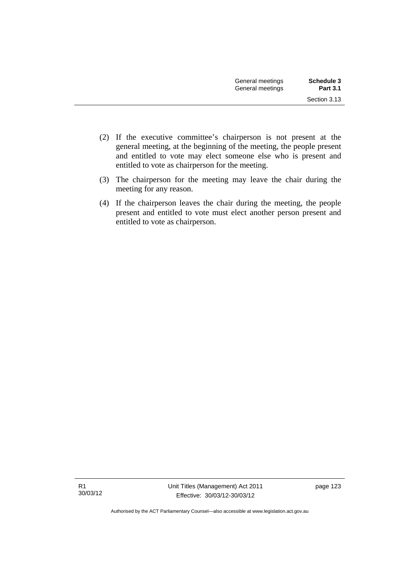- (2) If the executive committee's chairperson is not present at the general meeting, at the beginning of the meeting, the people present and entitled to vote may elect someone else who is present and entitled to vote as chairperson for the meeting.
- (3) The chairperson for the meeting may leave the chair during the meeting for any reason.
- (4) If the chairperson leaves the chair during the meeting, the people present and entitled to vote must elect another person present and entitled to vote as chairperson.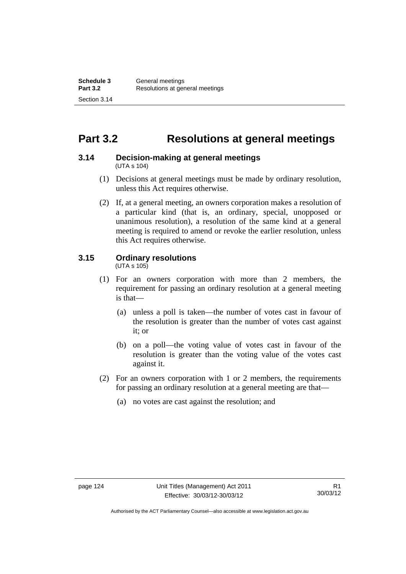# **Part 3.2 Resolutions at general meetings**

#### **3.14 Decision-making at general meetings**  (UTA s 104)

- (1) Decisions at general meetings must be made by ordinary resolution, unless this Act requires otherwise.
- (2) If, at a general meeting, an owners corporation makes a resolution of a particular kind (that is, an ordinary, special, unopposed or unanimous resolution), a resolution of the same kind at a general meeting is required to amend or revoke the earlier resolution, unless this Act requires otherwise.

## **3.15 Ordinary resolutions**

(UTA s 105)

- (1) For an owners corporation with more than 2 members, the requirement for passing an ordinary resolution at a general meeting is that—
	- (a) unless a poll is taken—the number of votes cast in favour of the resolution is greater than the number of votes cast against it; or
	- (b) on a poll—the voting value of votes cast in favour of the resolution is greater than the voting value of the votes cast against it.
- (2) For an owners corporation with 1 or 2 members, the requirements for passing an ordinary resolution at a general meeting are that—
	- (a) no votes are cast against the resolution; and

Authorised by the ACT Parliamentary Counsel—also accessible at www.legislation.act.gov.au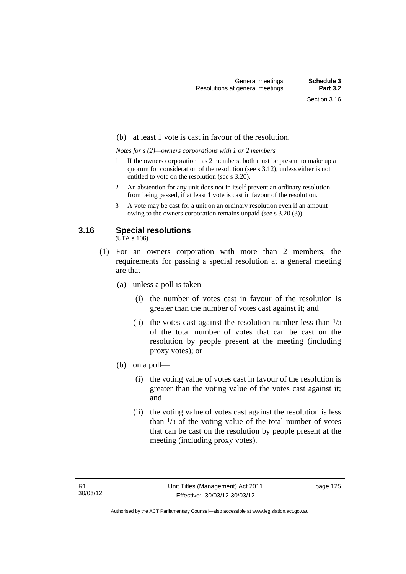#### (b) at least 1 vote is cast in favour of the resolution.

*Notes for s (2)—owners corporations with 1 or 2 members* 

- 1 If the owners corporation has 2 members, both must be present to make up a quorum for consideration of the resolution (see s 3.12), unless either is not entitled to vote on the resolution (see s 3.20).
- 2 An abstention for any unit does not in itself prevent an ordinary resolution from being passed, if at least 1 vote is cast in favour of the resolution.
- 3 A vote may be cast for a unit on an ordinary resolution even if an amount owing to the owners corporation remains unpaid (see s 3.20 (3)).

## **3.16 Special resolutions**

(UTA s 106)

- (1) For an owners corporation with more than 2 members, the requirements for passing a special resolution at a general meeting are that—
	- (a) unless a poll is taken—
		- (i) the number of votes cast in favour of the resolution is greater than the number of votes cast against it; and
		- (ii) the votes cast against the resolution number less than  $\frac{1}{3}$ of the total number of votes that can be cast on the resolution by people present at the meeting (including proxy votes); or
	- (b) on a poll—
		- (i) the voting value of votes cast in favour of the resolution is greater than the voting value of the votes cast against it; and
		- (ii) the voting value of votes cast against the resolution is less than  $\frac{1}{3}$  of the voting value of the total number of votes that can be cast on the resolution by people present at the meeting (including proxy votes).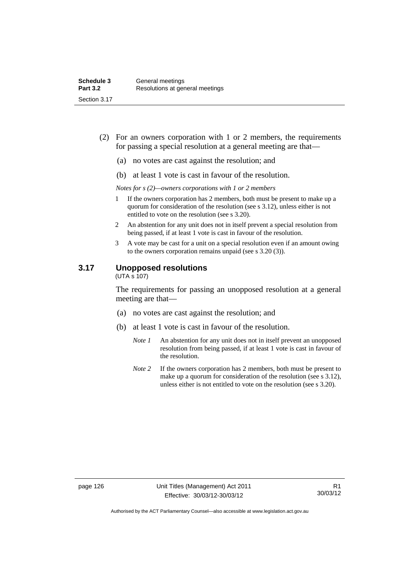- (2) For an owners corporation with 1 or 2 members, the requirements for passing a special resolution at a general meeting are that—
	- (a) no votes are cast against the resolution; and
	- (b) at least 1 vote is cast in favour of the resolution.

*Notes for s (2)—owners corporations with 1 or 2 members* 

- 1 If the owners corporation has 2 members, both must be present to make up a quorum for consideration of the resolution (see s 3.12), unless either is not entitled to vote on the resolution (see s 3.20).
- 2 An abstention for any unit does not in itself prevent a special resolution from being passed, if at least 1 vote is cast in favour of the resolution.
- 3 A vote may be cast for a unit on a special resolution even if an amount owing to the owners corporation remains unpaid (see s 3.20 (3)).

#### **3.17 Unopposed resolutions**

 $(UTA \overline{s} 107)$ 

The requirements for passing an unopposed resolution at a general meeting are that—

- (a) no votes are cast against the resolution; and
- (b) at least 1 vote is cast in favour of the resolution.
	- *Note 1* An abstention for any unit does not in itself prevent an unopposed resolution from being passed, if at least 1 vote is cast in favour of the resolution.
	- *Note* 2 If the owners corporation has 2 members, both must be present to make up a quorum for consideration of the resolution (see s 3.12), unless either is not entitled to vote on the resolution (see s 3.20).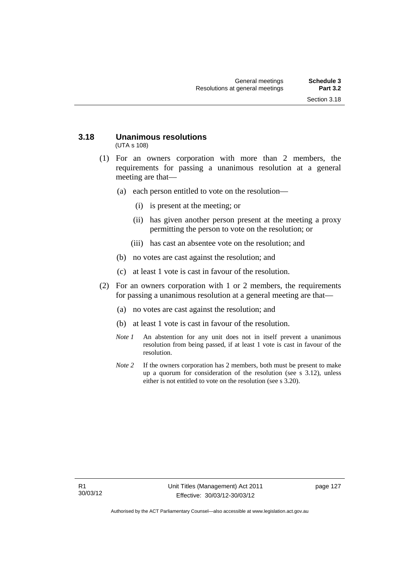#### **3.18 Unanimous resolutions**  (UTA s 108)

- (1) For an owners corporation with more than 2 members, the requirements for passing a unanimous resolution at a general meeting are that—
	- (a) each person entitled to vote on the resolution—
		- (i) is present at the meeting; or
		- (ii) has given another person present at the meeting a proxy permitting the person to vote on the resolution; or
		- (iii) has cast an absentee vote on the resolution; and
	- (b) no votes are cast against the resolution; and
	- (c) at least 1 vote is cast in favour of the resolution.
- (2) For an owners corporation with 1 or 2 members, the requirements for passing a unanimous resolution at a general meeting are that—
	- (a) no votes are cast against the resolution; and
	- (b) at least 1 vote is cast in favour of the resolution.
	- *Note 1* An abstention for any unit does not in itself prevent a unanimous resolution from being passed, if at least 1 vote is cast in favour of the resolution.
	- *Note* 2 If the owners corporation has 2 members, both must be present to make up a quorum for consideration of the resolution (see s 3.12), unless either is not entitled to vote on the resolution (see s 3.20).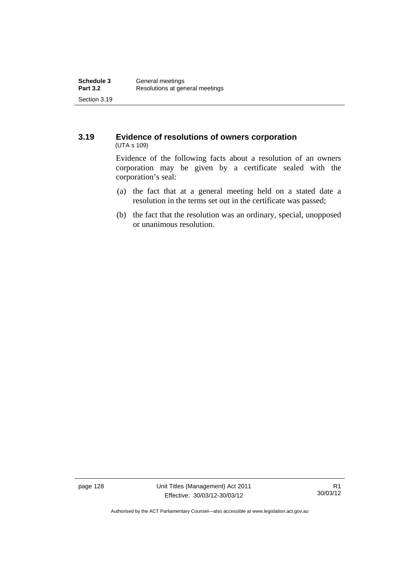#### **3.19 Evidence of resolutions of owners corporation**  (UTA s 109)

Evidence of the following facts about a resolution of an owners corporation may be given by a certificate sealed with the corporation's seal:

- (a) the fact that at a general meeting held on a stated date a resolution in the terms set out in the certificate was passed;
- (b) the fact that the resolution was an ordinary, special, unopposed or unanimous resolution.

page 128 Unit Titles (Management) Act 2011 Effective: 30/03/12-30/03/12

R1 30/03/12

Authorised by the ACT Parliamentary Counsel—also accessible at www.legislation.act.gov.au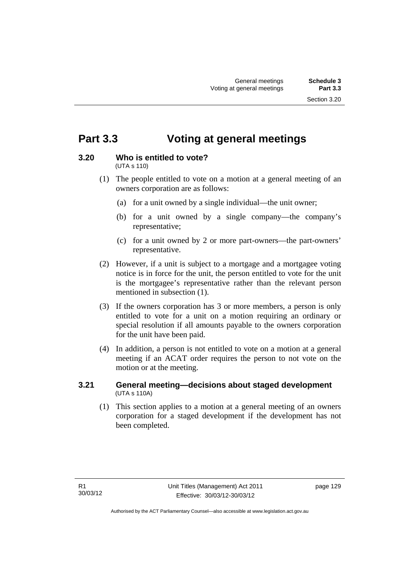# **Part 3.3 Voting at general meetings**

## **3.20 Who is entitled to vote?**

(UTA s 110)

- (1) The people entitled to vote on a motion at a general meeting of an owners corporation are as follows:
	- (a) for a unit owned by a single individual—the unit owner;
	- (b) for a unit owned by a single company—the company's representative;
	- (c) for a unit owned by 2 or more part-owners—the part-owners' representative.
- (2) However, if a unit is subject to a mortgage and a mortgagee voting notice is in force for the unit, the person entitled to vote for the unit is the mortgagee's representative rather than the relevant person mentioned in subsection (1).
- (3) If the owners corporation has 3 or more members, a person is only entitled to vote for a unit on a motion requiring an ordinary or special resolution if all amounts payable to the owners corporation for the unit have been paid.
- (4) In addition, a person is not entitled to vote on a motion at a general meeting if an ACAT order requires the person to not vote on the motion or at the meeting.

## **3.21 General meeting—decisions about staged development**  (UTA s 110A)

 (1) This section applies to a motion at a general meeting of an owners corporation for a staged development if the development has not been completed.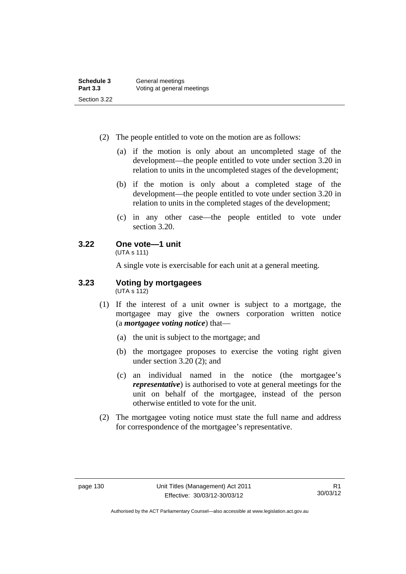- (2) The people entitled to vote on the motion are as follows:
	- (a) if the motion is only about an uncompleted stage of the development—the people entitled to vote under section 3.20 in relation to units in the uncompleted stages of the development;
	- (b) if the motion is only about a completed stage of the development—the people entitled to vote under section 3.20 in relation to units in the completed stages of the development;
	- (c) in any other case—the people entitled to vote under section 3.20.

## **3.22 One vote—1 unit**

(UTA s 111)

A single vote is exercisable for each unit at a general meeting.

#### **3.23 Voting by mortgagees**   $(UTA \ s \ 112)$

- (1) If the interest of a unit owner is subject to a mortgage, the mortgagee may give the owners corporation written notice (a *mortgagee voting notice*) that—
	- (a) the unit is subject to the mortgage; and
	- (b) the mortgagee proposes to exercise the voting right given under section 3.20 (2); and
	- (c) an individual named in the notice (the mortgagee's *representative*) is authorised to vote at general meetings for the unit on behalf of the mortgagee, instead of the person otherwise entitled to vote for the unit.
- (2) The mortgagee voting notice must state the full name and address for correspondence of the mortgagee's representative.

Authorised by the ACT Parliamentary Counsel—also accessible at www.legislation.act.gov.au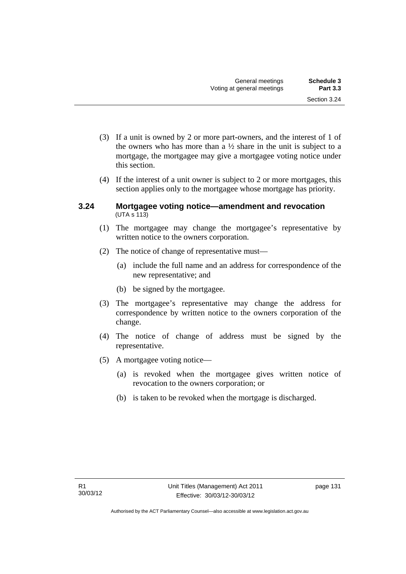- (3) If a unit is owned by 2 or more part-owners, and the interest of 1 of the owners who has more than a  $\frac{1}{2}$  share in the unit is subject to a mortgage, the mortgagee may give a mortgagee voting notice under this section.
- (4) If the interest of a unit owner is subject to 2 or more mortgages, this section applies only to the mortgagee whose mortgage has priority.

#### **3.24 Mortgagee voting notice—amendment and revocation**   $(UTA S 113)$

- (1) The mortgagee may change the mortgagee's representative by written notice to the owners corporation.
- (2) The notice of change of representative must—
	- (a) include the full name and an address for correspondence of the new representative; and
	- (b) be signed by the mortgagee.
- (3) The mortgagee's representative may change the address for correspondence by written notice to the owners corporation of the change.
- (4) The notice of change of address must be signed by the representative.
- (5) A mortgagee voting notice—
	- (a) is revoked when the mortgagee gives written notice of revocation to the owners corporation; or
	- (b) is taken to be revoked when the mortgage is discharged.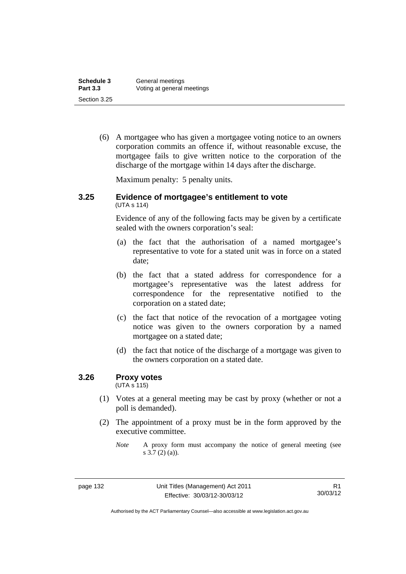| Schedule 3      | General meetings           |
|-----------------|----------------------------|
| <b>Part 3.3</b> | Voting at general meetings |
| Section 3.25    |                            |

 (6) A mortgagee who has given a mortgagee voting notice to an owners corporation commits an offence if, without reasonable excuse, the mortgagee fails to give written notice to the corporation of the discharge of the mortgage within 14 days after the discharge.

Maximum penalty: 5 penalty units.

#### **3.25 Evidence of mortgagee's entitlement to vote**  (UTA s 114)

Evidence of any of the following facts may be given by a certificate sealed with the owners corporation's seal:

- (a) the fact that the authorisation of a named mortgagee's representative to vote for a stated unit was in force on a stated date;
- (b) the fact that a stated address for correspondence for a mortgagee's representative was the latest address for correspondence for the representative notified to the corporation on a stated date;
- (c) the fact that notice of the revocation of a mortgagee voting notice was given to the owners corporation by a named mortgagee on a stated date;
- (d) the fact that notice of the discharge of a mortgage was given to the owners corporation on a stated date.

## **3.26 Proxy votes**

(UTA s 115)

- (1) Votes at a general meeting may be cast by proxy (whether or not a poll is demanded).
- (2) The appointment of a proxy must be in the form approved by the executive committee.

*Note* A proxy form must accompany the notice of general meeting (see s 3.7 (2) (a)).

Authorised by the ACT Parliamentary Counsel—also accessible at www.legislation.act.gov.au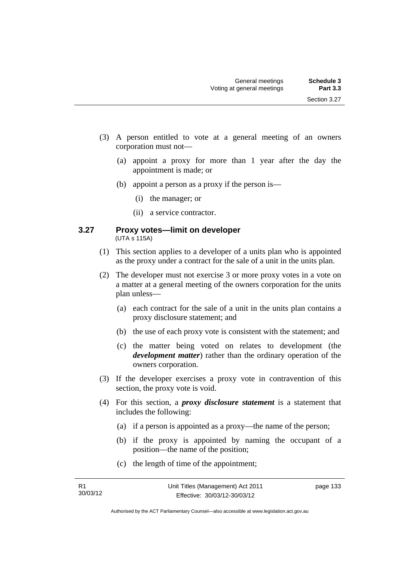- (3) A person entitled to vote at a general meeting of an owners corporation must not—
	- (a) appoint a proxy for more than 1 year after the day the appointment is made; or
	- (b) appoint a person as a proxy if the person is—
		- (i) the manager; or
		- (ii) a service contractor.

### **3.27 Proxy votes—limit on developer**  (UTA s 115A)

- (1) This section applies to a developer of a units plan who is appointed as the proxy under a contract for the sale of a unit in the units plan.
- (2) The developer must not exercise 3 or more proxy votes in a vote on a matter at a general meeting of the owners corporation for the units plan unless—
	- (a) each contract for the sale of a unit in the units plan contains a proxy disclosure statement; and
	- (b) the use of each proxy vote is consistent with the statement; and
	- (c) the matter being voted on relates to development (the *development matter*) rather than the ordinary operation of the owners corporation.
- (3) If the developer exercises a proxy vote in contravention of this section, the proxy vote is void.
- (4) For this section, a *proxy disclosure statement* is a statement that includes the following:
	- (a) if a person is appointed as a proxy—the name of the person;
	- (b) if the proxy is appointed by naming the occupant of a position—the name of the position;
	- (c) the length of time of the appointment;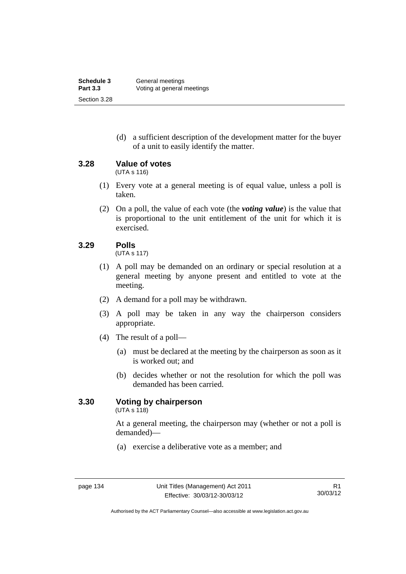(d) a sufficient description of the development matter for the buyer of a unit to easily identify the matter.

**3.28 Value of votes** 

(UTA s 116)

- (1) Every vote at a general meeting is of equal value, unless a poll is taken.
- (2) On a poll, the value of each vote (the *voting value*) is the value that is proportional to the unit entitlement of the unit for which it is exercised.

# **3.29 Polls**

(UTA s 117)

- (1) A poll may be demanded on an ordinary or special resolution at a general meeting by anyone present and entitled to vote at the meeting.
- (2) A demand for a poll may be withdrawn.
- (3) A poll may be taken in any way the chairperson considers appropriate.
- (4) The result of a poll—
	- (a) must be declared at the meeting by the chairperson as soon as it is worked out; and
	- (b) decides whether or not the resolution for which the poll was demanded has been carried.

# **3.30 Voting by chairperson**

 $(UTA s 118)$ 

At a general meeting, the chairperson may (whether or not a poll is demanded)—

(a) exercise a deliberative vote as a member; and

Authorised by the ACT Parliamentary Counsel—also accessible at www.legislation.act.gov.au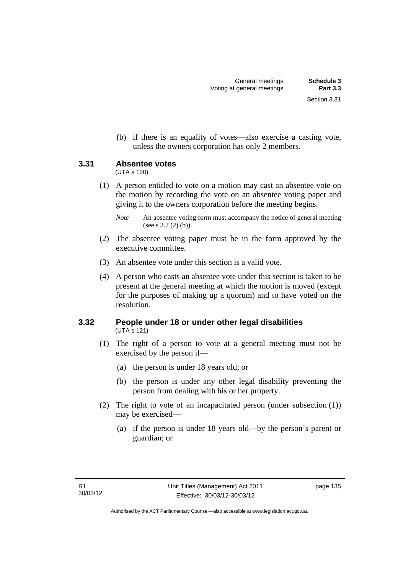(b) if there is an equality of votes—also exercise a casting vote, unless the owners corporation has only 2 members.

# **3.31 Absentee votes**

(UTA s 120)

 (1) A person entitled to vote on a motion may cast an absentee vote on the motion by recording the vote on an absentee voting paper and giving it to the owners corporation before the meeting begins.

- (2) The absentee voting paper must be in the form approved by the executive committee.
- (3) An absentee vote under this section is a valid vote.
- (4) A person who casts an absentee vote under this section is taken to be present at the general meeting at which the motion is moved (except for the purposes of making up a quorum) and to have voted on the resolution.

# **3.32 People under 18 or under other legal disabilities**  (UTA s 121)

- (1) The right of a person to vote at a general meeting must not be exercised by the person if—
	- (a) the person is under 18 years old; or
	- (b) the person is under any other legal disability preventing the person from dealing with his or her property.
- (2) The right to vote of an incapacitated person (under subsection (1)) may be exercised—
	- (a) if the person is under 18 years old—by the person's parent or guardian; or

*Note* An absentee voting form must accompany the notice of general meeting (see s 3.7 (2) (b)).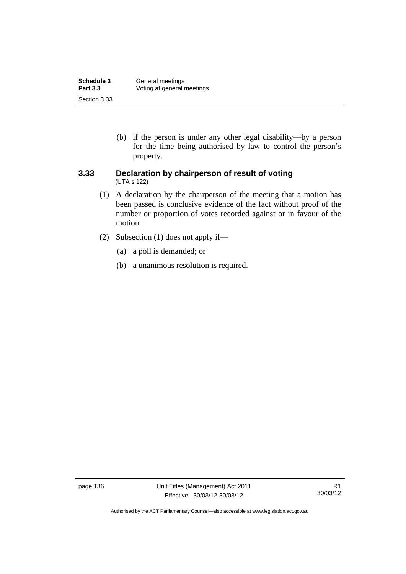| Schedule 3      | General meetings           |  |
|-----------------|----------------------------|--|
| <b>Part 3.3</b> | Voting at general meetings |  |
| Section 3.33    |                            |  |

 (b) if the person is under any other legal disability—by a person for the time being authorised by law to control the person's property.

### **3.33 Declaration by chairperson of result of voting**  (UTA s 122)

- (1) A declaration by the chairperson of the meeting that a motion has been passed is conclusive evidence of the fact without proof of the number or proportion of votes recorded against or in favour of the motion.
- (2) Subsection (1) does not apply if—
	- (a) a poll is demanded; or
	- (b) a unanimous resolution is required.

page 136 Unit Titles (Management) Act 2011 Effective: 30/03/12-30/03/12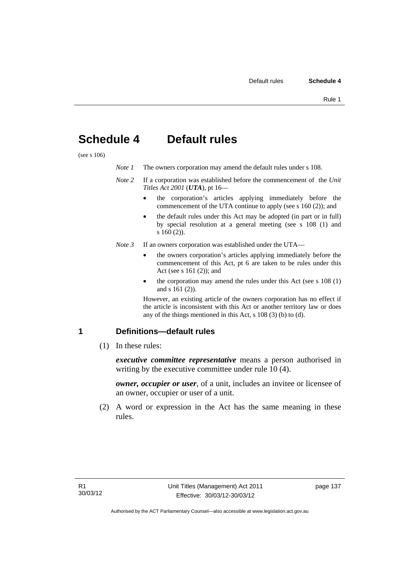# **Schedule 4 Default rules**

(see s 106)

| Note 1 | The owners corporation may amend the default rules under s 108. |
|--------|-----------------------------------------------------------------|
|--------|-----------------------------------------------------------------|

- *Note 2* If a corporation was established before the commencement of the *Unit Titles Act 2001* (*UTA*), pt 16
	- the corporation's articles applying immediately before the commencement of the UTA continue to apply (see s 160 (2)); and
	- the default rules under this Act may be adopted (in part or in full) by special resolution at a general meeting (see s 108 (1) and s 160 (2)).
- *Note 3* If an owners corporation was established under the UTA
	- the owners corporation's articles applying immediately before the commencement of this Act, pt 6 are taken to be rules under this Act (see s 161 (2)); and
	- the corporation may amend the rules under this Act (see s 108 (1) and s 161 (2)).

However, an existing article of the owners corporation has no effect if the article is inconsistent with this Act or another territory law or does any of the things mentioned in this Act, s 108 (3) (b) to (d).

### **1 Definitions—default rules**

(1) In these rules:

*executive committee representative* means a person authorised in writing by the executive committee under rule 10 (4).

*owner, occupier or user*, of a unit, includes an invitee or licensee of an owner, occupier or user of a unit.

 (2) A word or expression in the Act has the same meaning in these rules.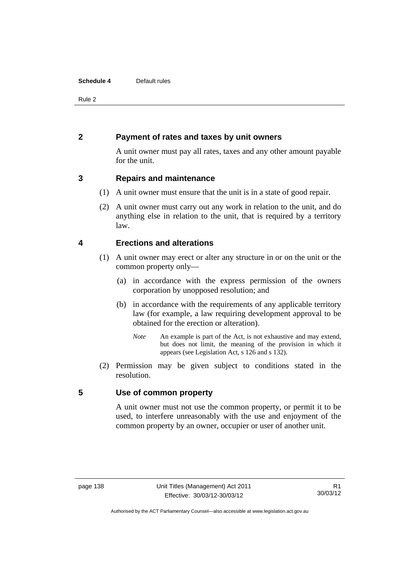### **Schedule 4** Default rules

Rule 2

# **2 Payment of rates and taxes by unit owners**

A unit owner must pay all rates, taxes and any other amount payable for the unit.

# **3 Repairs and maintenance**

- (1) A unit owner must ensure that the unit is in a state of good repair.
- (2) A unit owner must carry out any work in relation to the unit, and do anything else in relation to the unit, that is required by a territory law.

# **4 Erections and alterations**

- (1) A unit owner may erect or alter any structure in or on the unit or the common property only—
	- (a) in accordance with the express permission of the owners corporation by unopposed resolution; and
	- (b) in accordance with the requirements of any applicable territory law (for example, a law requiring development approval to be obtained for the erection or alteration).
		- *Note* An example is part of the Act, is not exhaustive and may extend, but does not limit, the meaning of the provision in which it appears (see Legislation Act, s 126 and s 132).
- (2) Permission may be given subject to conditions stated in the resolution.

# **5 Use of common property**

A unit owner must not use the common property, or permit it to be used, to interfere unreasonably with the use and enjoyment of the common property by an owner, occupier or user of another unit.

Authorised by the ACT Parliamentary Counsel—also accessible at www.legislation.act.gov.au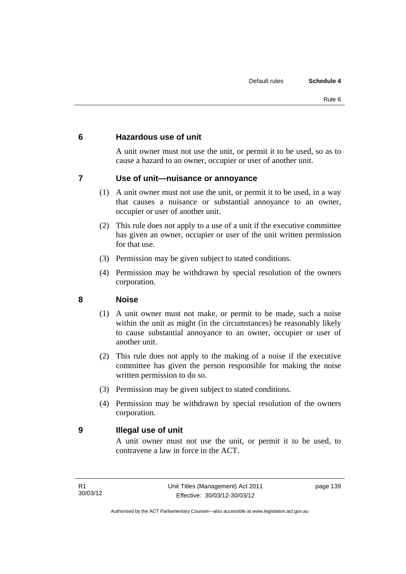# **6 Hazardous use of unit**

A unit owner must not use the unit, or permit it to be used, so as to cause a hazard to an owner, occupier or user of another unit.

# **7 Use of unit—nuisance or annoyance**

- (1) A unit owner must not use the unit, or permit it to be used, in a way that causes a nuisance or substantial annoyance to an owner, occupier or user of another unit.
- (2) This rule does not apply to a use of a unit if the executive committee has given an owner, occupier or user of the unit written permission for that use.
- (3) Permission may be given subject to stated conditions.
- (4) Permission may be withdrawn by special resolution of the owners corporation.

# **8 Noise**

- (1) A unit owner must not make, or permit to be made, such a noise within the unit as might (in the circumstances) be reasonably likely to cause substantial annoyance to an owner, occupier or user of another unit.
- (2) This rule does not apply to the making of a noise if the executive committee has given the person responsible for making the noise written permission to do so.
- (3) Permission may be given subject to stated conditions.
- (4) Permission may be withdrawn by special resolution of the owners corporation.

# **9 Illegal use of unit**

A unit owner must not use the unit, or permit it to be used, to contravene a law in force in the ACT.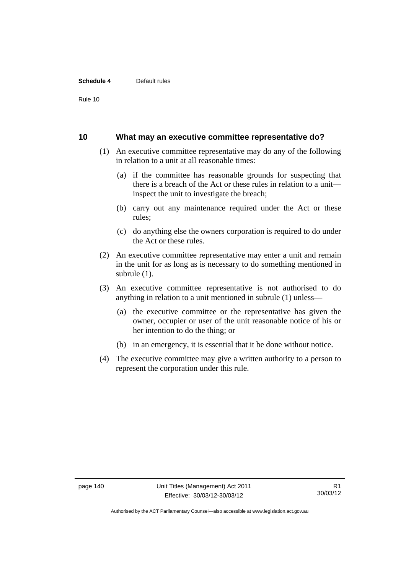### **Schedule 4** Default rules

Rule 10

### **10 What may an executive committee representative do?**

- (1) An executive committee representative may do any of the following in relation to a unit at all reasonable times:
	- (a) if the committee has reasonable grounds for suspecting that there is a breach of the Act or these rules in relation to a unit inspect the unit to investigate the breach;
	- (b) carry out any maintenance required under the Act or these rules;
	- (c) do anything else the owners corporation is required to do under the Act or these rules.
- (2) An executive committee representative may enter a unit and remain in the unit for as long as is necessary to do something mentioned in subrule (1).
- (3) An executive committee representative is not authorised to do anything in relation to a unit mentioned in subrule (1) unless—
	- (a) the executive committee or the representative has given the owner, occupier or user of the unit reasonable notice of his or her intention to do the thing; or
	- (b) in an emergency, it is essential that it be done without notice.
- (4) The executive committee may give a written authority to a person to represent the corporation under this rule.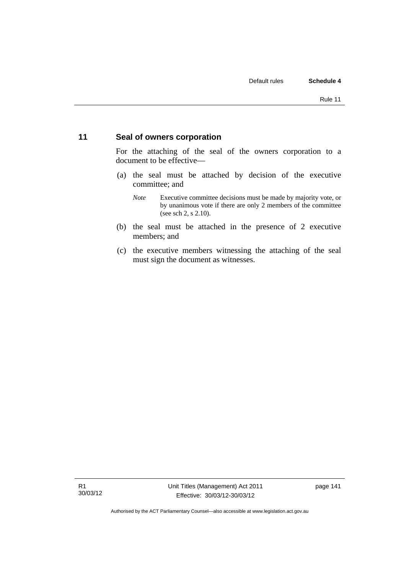# **11 Seal of owners corporation**

For the attaching of the seal of the owners corporation to a document to be effective—

- (a) the seal must be attached by decision of the executive committee; and
	- *Note* Executive committee decisions must be made by majority vote, or by unanimous vote if there are only 2 members of the committee (see sch 2, s 2.10).
- (b) the seal must be attached in the presence of 2 executive members; and
- (c) the executive members witnessing the attaching of the seal must sign the document as witnesses.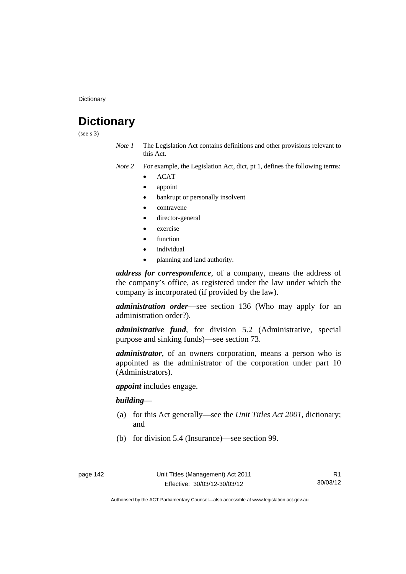**Dictionary** 

# **Dictionary**

(see s 3)

- *Note 1* The Legislation Act contains definitions and other provisions relevant to this Act.
- *Note 2* For example, the Legislation Act, dict, pt 1, defines the following terms:
	- ACAT
	- appoint
	- bankrupt or personally insolvent
	- contravene
	- director-general
	- exercise
	- function
	- individual
	- planning and land authority.

*address for correspondence*, of a company, means the address of the company's office, as registered under the law under which the company is incorporated (if provided by the law).

*administration order*—see section 136 (Who may apply for an administration order?).

*administrative fund*, for division 5.2 (Administrative, special purpose and sinking funds)—see section 73.

*administrator*, of an owners corporation, means a person who is appointed as the administrator of the corporation under part 10 (Administrators).

*appoint* includes engage.

### *building*—

- (a) for this Act generally—see the *Unit Titles Act 2001*, dictionary; and
- (b) for division 5.4 (Insurance)—see section 99.

R1 30/03/12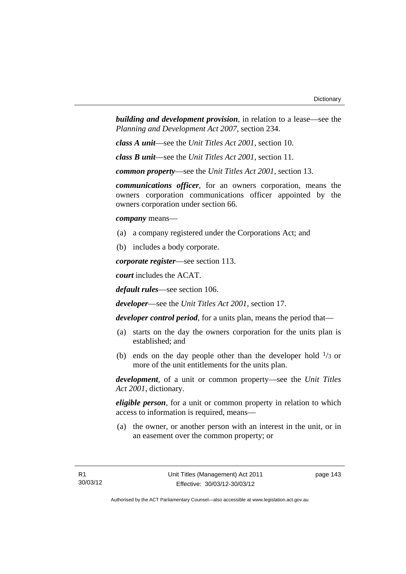*building and development provision*, in relation to a lease—see the *Planning and Development Act 2007*, section 234.

*class A unit*—see the *Unit Titles Act 2001*, section 10.

*class B unit*—see the *Unit Titles Act 2001*, section 11.

*common property*—see the *Unit Titles Act 2001*, section 13.

*communications officer*, for an owners corporation, means the owners corporation communications officer appointed by the owners corporation under section 66.

*company* means—

- (a) a company registered under the Corporations Act; and
- (b) includes a body corporate.

*corporate register*—see section 113.

*court* includes the ACAT.

*default rules*—see section 106.

*developer*—see the *Unit Titles Act 2001*, section 17.

*developer control period*, for a units plan, means the period that—

- (a) starts on the day the owners corporation for the units plan is established; and
- (b) ends on the day people other than the developer hold  $\frac{1}{3}$  or more of the unit entitlements for the units plan.

*development*, of a unit or common property—see the *Unit Titles Act 2001*, dictionary.

*eligible person*, for a unit or common property in relation to which access to information is required, means—

 (a) the owner, or another person with an interest in the unit, or in an easement over the common property; or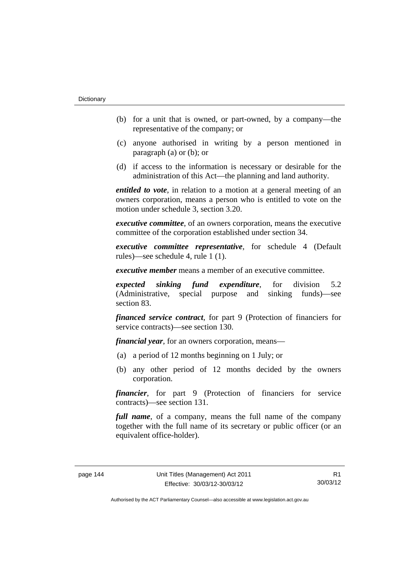- (b) for a unit that is owned, or part-owned, by a company—the representative of the company; or
- (c) anyone authorised in writing by a person mentioned in paragraph (a) or (b); or
- (d) if access to the information is necessary or desirable for the administration of this Act—the planning and land authority.

*entitled to vote*, in relation to a motion at a general meeting of an owners corporation, means a person who is entitled to vote on the motion under schedule 3, section 3.20.

*executive committee*, of an owners corporation, means the executive committee of the corporation established under section 34.

*executive committee representative*, for schedule 4 (Default rules)—see schedule 4, rule 1 (1).

*executive member* means a member of an executive committee.

*expected sinking fund expenditure*, for division 5.2 (Administrative, special purpose and sinking funds)—see section 83.

*financed service contract*, for part 9 (Protection of financiers for service contracts)—see section 130.

*financial year*, for an owners corporation, means—

- (a) a period of 12 months beginning on 1 July; or
- (b) any other period of 12 months decided by the owners corporation.

*financier*, for part 9 (Protection of financiers for service contracts)—see section 131.

*full name*, of a company, means the full name of the company together with the full name of its secretary or public officer (or an equivalent office-holder).

R1 30/03/12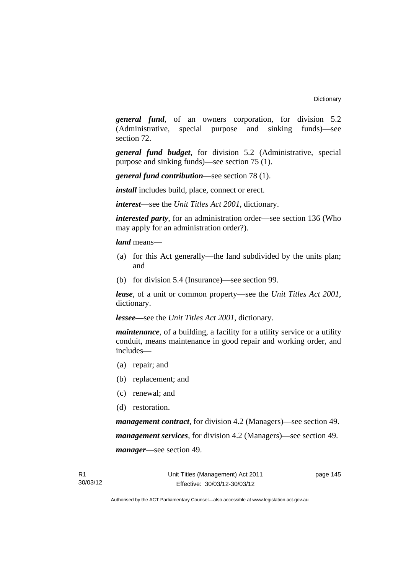*general fund*, of an owners corporation, for division 5.2 (Administrative, special purpose and sinking funds)—see section 72.

*general fund budget*, for division 5.2 (Administrative, special purpose and sinking funds)—see section 75 (1).

*general fund contribution*—see section 78 (1).

*install* includes build, place, connect or erect.

*interest*—see the *Unit Titles Act 2001*, dictionary.

*interested party*, for an administration order—see section 136 (Who may apply for an administration order?).

*land* means—

- (a) for this Act generally—the land subdivided by the units plan; and
- (b) for division 5.4 (Insurance)—see section 99.

*lease*, of a unit or common property—see the *Unit Titles Act 2001*, dictionary.

*lessee—*see the *Unit Titles Act 2001*, dictionary.

*maintenance*, of a building, a facility for a utility service or a utility conduit, means maintenance in good repair and working order, and includes—

- (a) repair; and
- (b) replacement; and
- (c) renewal; and
- (d) restoration.

*management contract*, for division 4.2 (Managers)—see section 49. *management services*, for division 4.2 (Managers)—see section 49. *manager*—see section 49.

page 145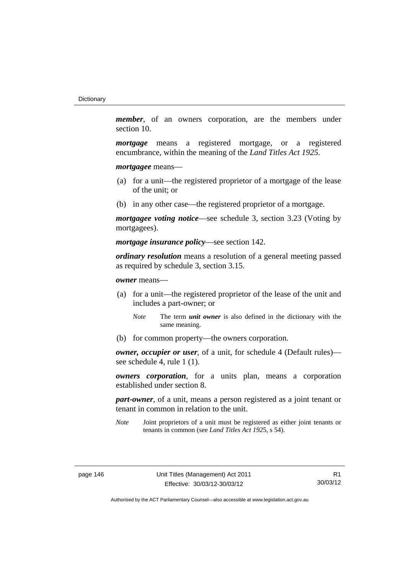*member*, of an owners corporation, are the members under section 10.

*mortgage* means a registered mortgage, or a registered encumbrance, within the meaning of the *Land Titles Act 1925*.

*mortgagee* means—

- (a) for a unit—the registered proprietor of a mortgage of the lease of the unit; or
- (b) in any other case—the registered proprietor of a mortgage.

*mortgagee voting notice*—see schedule 3, section 3.23 (Voting by mortgagees).

*mortgage insurance policy*—see section 142.

*ordinary resolution* means a resolution of a general meeting passed as required by schedule 3, section 3.15.

*owner* means—

- (a) for a unit—the registered proprietor of the lease of the unit and includes a part-owner; or
	- *Note* The term *unit owner* is also defined in the dictionary with the same meaning.
- (b) for common property—the owners corporation.

*owner, occupier or user*, of a unit, for schedule 4 (Default rules) see schedule 4, rule 1 (1).

*owners corporation*, for a units plan, means a corporation established under section 8.

*part-owner*, of a unit, means a person registered as a joint tenant or tenant in common in relation to the unit.

*Note* Joint proprietors of a unit must be registered as either joint tenants or tenants in common (see *Land Titles Act 192*5, s 54).

R1 30/03/12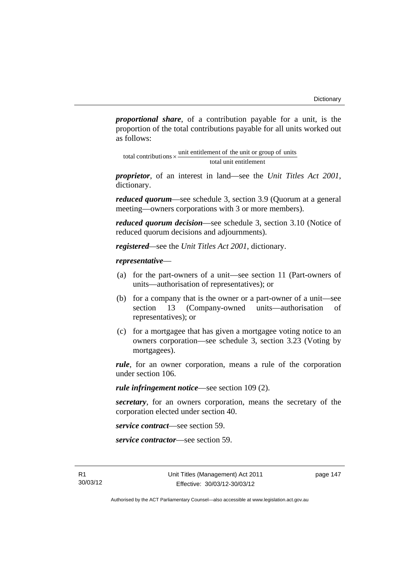*proportional share*, of a contribution payable for a unit, is the proportion of the total contributions payable for all units worked out as follows:

total unit entitlement total contributions  $\times$  unit entitlement of the unit or group of units

*proprietor*, of an interest in land—see the *Unit Titles Act 2001*, dictionary.

*reduced quorum*—see schedule 3, section 3.9 (Quorum at a general meeting—owners corporations with 3 or more members).

*reduced quorum decision*—see schedule 3, section 3.10 (Notice of reduced quorum decisions and adjournments).

*registered—*see the *Unit Titles Act 2001*, dictionary.

### *representative*—

- (a) for the part-owners of a unit—see section 11 (Part-owners of units—authorisation of representatives); or
- (b) for a company that is the owner or a part-owner of a unit—see section 13 (Company-owned units—authorisation of representatives); or
- (c) for a mortgagee that has given a mortgagee voting notice to an owners corporation—see schedule 3, section 3.23 (Voting by mortgagees).

*rule*, for an owner corporation, means a rule of the corporation under section 106.

*rule infringement notice*—see section 109 (2).

*secretary*, for an owners corporation, means the secretary of the corporation elected under section 40.

*service contract*—see section 59.

*service contractor*—see section 59.

page 147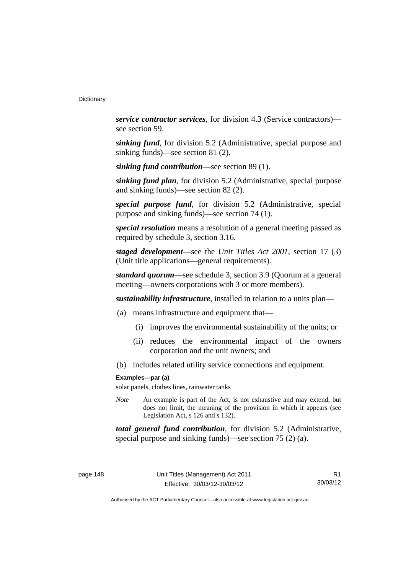*service contractor services*, for division 4.3 (Service contractors) see section 59.

*sinking fund*, for division 5.2 (Administrative, special purpose and sinking funds)—see section 81 (2).

*sinking fund contribution*—see section 89 (1).

*sinking fund plan*, for division 5.2 (Administrative, special purpose and sinking funds)—see section 82 (2).

*special purpose fund*, for division 5.2 (Administrative, special purpose and sinking funds)—see section 74 (1).

*special resolution* means a resolution of a general meeting passed as required by schedule 3, section 3.16.

*staged development*—see the *Unit Titles Act 2001*, section 17 (3) (Unit title applications—general requirements).

*standard quorum*—see schedule 3, section 3.9 (Quorum at a general meeting—owners corporations with 3 or more members).

*sustainability infrastructure*, installed in relation to a units plan—

- (a) means infrastructure and equipment that—
	- (i) improves the environmental sustainability of the units; or
	- (ii) reduces the environmental impact of the owners corporation and the unit owners; and
- (b) includes related utility service connections and equipment.

#### **Examples—par (a)**

solar panels, clothes lines, rainwater tanks

*Note* An example is part of the Act, is not exhaustive and may extend, but does not limit, the meaning of the provision in which it appears (see Legislation Act, s 126 and s 132).

*total general fund contribution*, for division 5.2 (Administrative, special purpose and sinking funds)—see section 75 (2) (a).

R1 30/03/12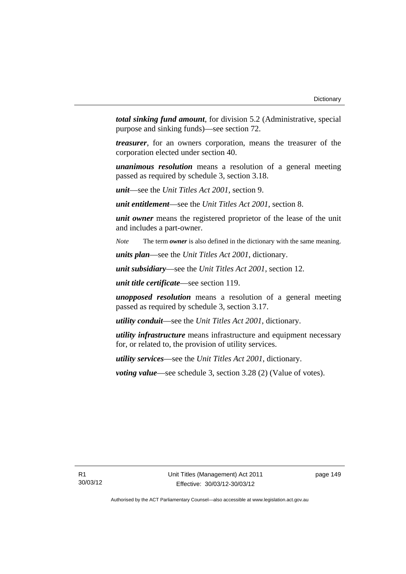*total sinking fund amount*, for division 5.2 (Administrative, special purpose and sinking funds)—see section 72.

*treasurer*, for an owners corporation, means the treasurer of the corporation elected under section 40.

*unanimous resolution* means a resolution of a general meeting passed as required by schedule 3, section 3.18.

*unit*—see the *Unit Titles Act 2001*, section 9.

*unit entitlement*—see the *Unit Titles Act 2001*, section 8.

*unit owner* means the registered proprietor of the lease of the unit and includes a part-owner.

*Note* The term *owner* is also defined in the dictionary with the same meaning.

*units plan*—see the *Unit Titles Act 2001*, dictionary.

*unit subsidiary*—see the *Unit Titles Act 2001*, section 12.

*unit title certificate*—see section 119.

*unopposed resolution* means a resolution of a general meeting passed as required by schedule 3, section 3.17.

*utility conduit*—see the *Unit Titles Act 2001*, dictionary.

*utility infrastructure* means infrastructure and equipment necessary for, or related to, the provision of utility services.

*utility services*—see the *Unit Titles Act 2001*, dictionary.

*voting value*—see schedule 3, section 3.28 (2) (Value of votes).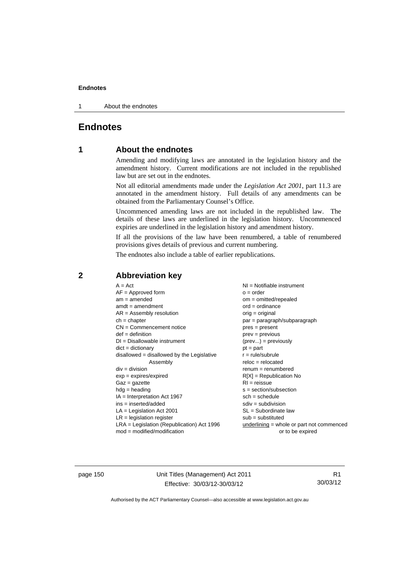1 About the endnotes

# **Endnotes**

# **1 About the endnotes**

Amending and modifying laws are annotated in the legislation history and the amendment history. Current modifications are not included in the republished law but are set out in the endnotes.

Not all editorial amendments made under the *Legislation Act 2001*, part 11.3 are annotated in the amendment history. Full details of any amendments can be obtained from the Parliamentary Counsel's Office.

Uncommenced amending laws are not included in the republished law. The details of these laws are underlined in the legislation history. Uncommenced expiries are underlined in the legislation history and amendment history.

If all the provisions of the law have been renumbered, a table of renumbered provisions gives details of previous and current numbering.

The endnotes also include a table of earlier republications.

## **2 Abbreviation key**

page 150 Unit Titles (Management) Act 2011 Effective: 30/03/12-30/03/12

R1 30/03/12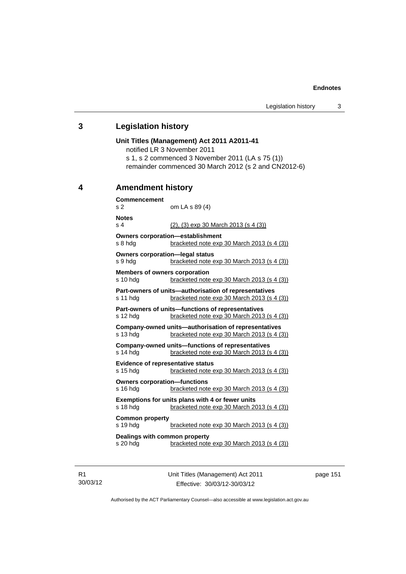### **3 Legislation history**

# **Unit Titles (Management) Act 2011 A2011-41**  notified LR 3 November 2011 s 1, s 2 commenced 3 November 2011 (LA s 75 (1)) remainder commenced 30 March 2012 (s 2 and CN2012-6) **4 Amendment history Commencement**  s 2 om LA s 89 (4) **Notes**  s 4 (2), (3) exp 30 March 2013 (s 4 (3)) **Owners corporation—establishment**  s 8 hdg bracketed note exp 30 March 2013 (s 4 (3)) **Owners corporation—legal status**  s 9 hdg bracketed note exp 30 March 2013 (s 4 (3)) **Members of owners corporation**  s 10 hdg bracketed note exp 30 March 2013 (s 4 (3)) **Part-owners of units—authorisation of representatives**  s 11 hdg bracketed note exp 30 March 2013 (s 4 (3)) **Part-owners of units—functions of representatives**  s 12 hdg bracketed note exp 30 March 2013 (s 4 (3)) **Company-owned units—authorisation of representatives**  s 13 hdg bracketed note exp 30 March 2013 (s 4 (3)) **Company-owned units—functions of representatives**  s 14 hdg bracketed note exp 30 March 2013 (s 4 (3)) **Evidence of representative status**  s 15 hdg bracketed note exp 30 March 2013 (s 4 (3)) **Owners corporation—functions**  s 16 hdg bracketed note exp 30 March 2013 (s 4 (3)) **Exemptions for units plans with 4 or fewer units**  s 18 hdg bracketed note exp 30 March 2013 (s 4 (3)) **Common property**  s 19 hdg bracketed note exp 30 March 2013 (s 4 (3)) **Dealings with common property**  s 20 hdg bracketed note exp 30 March 2013 (s 4 (3))

R1 30/03/12 Unit Titles (Management) Act 2011 Effective: 30/03/12-30/03/12

page 151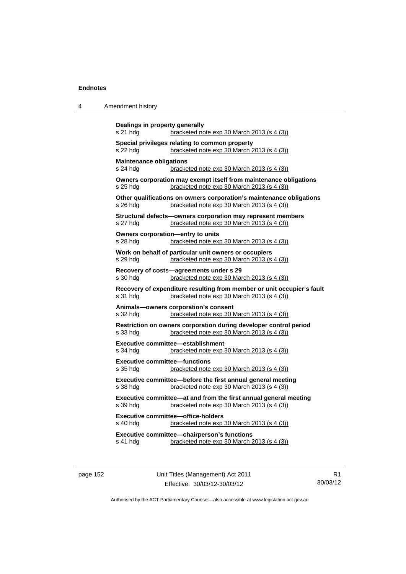| 4 | Amendment history |
|---|-------------------|
|---|-------------------|

| Dealings in property generally<br>s 21 hda                                                               | bracketed note exp 30 March 2013 (s 4 (3))                                                                           |  |  |
|----------------------------------------------------------------------------------------------------------|----------------------------------------------------------------------------------------------------------------------|--|--|
| Special privileges relating to common property<br>bracketed note exp 30 March 2013 (s 4 (3))<br>s 22 hda |                                                                                                                      |  |  |
| <b>Maintenance obligations</b><br>s 24 hdg<br>bracketed note exp 30 March 2013 (s 4 (3))                 |                                                                                                                      |  |  |
| s 25 hdg                                                                                                 | Owners corporation may exempt itself from maintenance obligations<br>bracketed note exp 30 March 2013 (s 4 (3))      |  |  |
| s 26 hdg                                                                                                 | Other qualifications on owners corporation's maintenance obligations<br>bracketed note exp 30 March 2013 (s 4 (3))   |  |  |
| s 27 hdg                                                                                                 | Structural defects-owners corporation may represent members<br>bracketed note exp 30 March 2013 (s 4 (3))            |  |  |
| Owners corporation-entry to units<br>s 28 hdg                                                            | bracketed note exp 30 March 2013 (s 4 (3))                                                                           |  |  |
| s 29 hdg                                                                                                 | Work on behalf of particular unit owners or occupiers<br>bracketed note exp 30 March 2013 (s 4 (3))                  |  |  |
| s 30 hdg                                                                                                 | Recovery of costs-agreements under s 29<br>bracketed note exp 30 March 2013 (s 4 (3))                                |  |  |
| s 31 hdg                                                                                                 | Recovery of expenditure resulting from member or unit occupier's fault<br>bracketed note exp 30 March 2013 (s 4 (3)) |  |  |
| s 32 hdg                                                                                                 | Animals-owners corporation's consent<br>bracketed note exp 30 March 2013 (s 4 (3))                                   |  |  |
| s 33 hdg                                                                                                 | Restriction on owners corporation during developer control period<br>bracketed note exp 30 March 2013 (s 4 (3))      |  |  |
| s 34 hdg                                                                                                 | Executive committee-establishment<br>bracketed note exp 30 March 2013 (s 4 (3))                                      |  |  |
| <b>Executive committee-functions</b><br>s 35 hda                                                         | bracketed note exp 30 March 2013 (s 4 (3))                                                                           |  |  |
| s 38 hdg                                                                                                 | Executive committee-before the first annual general meeting<br>bracketed note exp 30 March 2013 (s 4 (3))            |  |  |
| s 39 hdg                                                                                                 | Executive committee-at and from the first annual general meeting<br>bracketed note exp 30 March 2013 (s 4 (3))       |  |  |
| s 40 hdg                                                                                                 | <b>Executive committee-office-holders</b><br>bracketed note exp 30 March 2013 (s 4 (3))                              |  |  |
| s 41 hdg                                                                                                 | Executive committee-chairperson's functions<br>bracketed note exp 30 March 2013 (s 4 (3))                            |  |  |
|                                                                                                          |                                                                                                                      |  |  |

page 152 Unit Titles (Management) Act 2011 Effective: 30/03/12-30/03/12

R1 30/03/12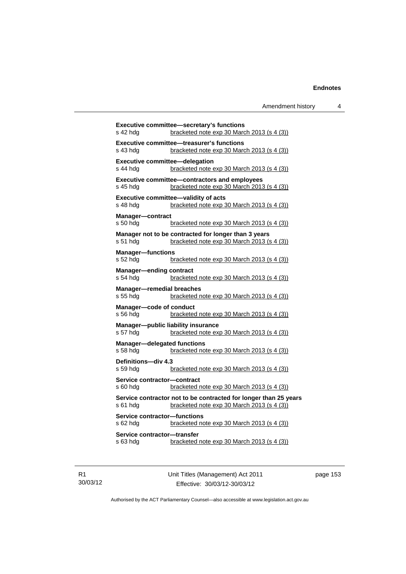|                                                   | Executive committee-secretary's functions                                                          |
|---------------------------------------------------|----------------------------------------------------------------------------------------------------|
| s 42 hdg                                          | bracketed note exp 30 March 2013 (s 4 (3))                                                         |
|                                                   | Executive committee-treasurer's functions                                                          |
| s 43 hdg                                          | bracketed note exp 30 March 2013 (s 4 (3))                                                         |
| <b>Executive committee-delegation</b><br>s 44 hdg | bracketed note exp 30 March 2013 (s 4 (3))                                                         |
|                                                   |                                                                                                    |
| s 45 hda                                          | <b>Executive committee-contractors and employees</b><br>bracketed note exp 30 March 2013 (s 4 (3)) |
|                                                   |                                                                                                    |
| s 48 hdg                                          | Executive committee-validity of acts<br>bracketed note exp 30 March 2013 (s 4 (3))                 |
|                                                   |                                                                                                    |
| <b>Manager-contract</b><br>s 50 hdg               | bracketed note $exp 30$ March 2013 (s 4 (3))                                                       |
|                                                   |                                                                                                    |
| s 51 hda                                          | Manager not to be contracted for longer than 3 years<br>bracketed note exp 30 March 2013 (s 4 (3)) |
|                                                   |                                                                                                    |
| <b>Manager-functions</b><br>s 52 hdg              | bracketed note exp 30 March 2013 (s 4 (3))                                                         |
|                                                   |                                                                                                    |
| <b>Manager-ending contract</b><br>s 54 hdg        | bracketed note exp 30 March 2013 (s 4 (3))                                                         |
|                                                   |                                                                                                    |
| <b>Manager-remedial breaches</b><br>s 55 hdg      | bracketed note exp 30 March 2013 (s 4 (3))                                                         |
| Manager-code of conduct                           |                                                                                                    |
| s 56 hdg                                          | bracketed note $exp 30$ March 2013 (s 4 (3))                                                       |
|                                                   | Manager-public liability insurance                                                                 |
| s 57 hdg                                          | bracketed note exp 30 March 2013 (s 4 (3))                                                         |
| <b>Manager-delegated functions</b>                |                                                                                                    |
| s 58 hdg                                          | bracketed note exp 30 March 2013 (s 4 (3))                                                         |
| Definitions-div 4.3                               |                                                                                                    |
| s 59 hdg                                          | bracketed note exp 30 March 2013 (s 4 (3))                                                         |
| Service contractor-contract                       |                                                                                                    |
| s 60 hdg                                          | bracketed note exp 30 March 2013 (s 4 (3))                                                         |
|                                                   | Service contractor not to be contracted for longer than 25 years                                   |
| s 61 hda                                          | bracketed note exp 30 March 2013 (s 4 (3))                                                         |
| Service contractor-functions                      |                                                                                                    |
| s 62 hdg                                          | bracketed note exp 30 March 2013 (s 4 (3))                                                         |
| Service contractor-transfer                       |                                                                                                    |
| s 63 hdg                                          | bracketed note exp 30 March 2013 (s 4 (3))                                                         |
|                                                   |                                                                                                    |

R1 30/03/12 Unit Titles (Management) Act 2011 Effective: 30/03/12-30/03/12

page 153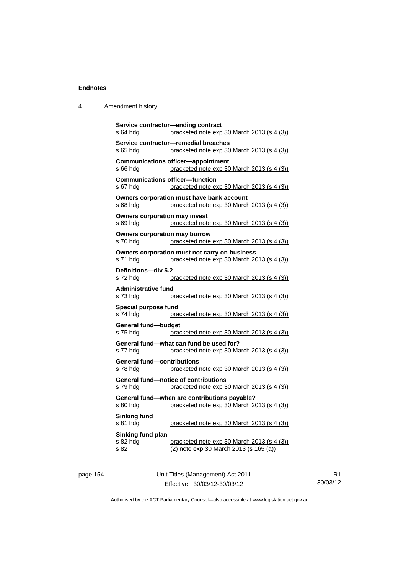| 4 | Amendment history |
|---|-------------------|
|---|-------------------|

| Service contractor-ending contract<br>s 64 hdg<br>bracketed note exp 30 March 2013 (s 4 (3))                                  |
|-------------------------------------------------------------------------------------------------------------------------------|
| Service contractor-remedial breaches<br>bracketed note exp 30 March 2013 (s 4 (3))<br>s 65 hda                                |
| <b>Communications officer-appointment</b><br>s 66 hdg<br>bracketed note exp 30 March 2013 (s 4 (3))                           |
| <b>Communications officer-function</b><br>s 67 hdg<br>bracketed note exp 30 March 2013 (s 4 (3))                              |
| Owners corporation must have bank account<br>s 68 hdg<br>bracketed note exp 30 March 2013 (s 4 (3))                           |
| <b>Owners corporation may invest</b><br>s 69 hdg<br>bracketed note exp 30 March 2013 (s 4 (3))                                |
| <b>Owners corporation may borrow</b><br>s 70 hdg<br>bracketed note exp 30 March 2013 (s 4 (3))                                |
| Owners corporation must not carry on business<br>s 71 hdg<br>bracketed note exp 30 March 2013 (s 4 (3))                       |
| Definitions-div 5.2<br>s 72 hdg<br>bracketed note exp 30 March 2013 (s 4 (3))                                                 |
| <b>Administrative fund</b><br>s 73 hdg<br>bracketed note exp 30 March 2013 (s 4 (3))                                          |
| Special purpose fund<br>s 74 hdg<br>bracketed note exp 30 March 2013 (s 4 (3))                                                |
| <b>General fund-budget</b><br>s 75 hda<br>bracketed note exp 30 March 2013 (s 4 (3))                                          |
| General fund—what can fund be used for?<br>bracketed note exp 30 March 2013 (s 4 (3))<br>s 77 hda                             |
| <b>General fund-contributions</b><br>s 78 hda<br>bracketed note exp 30 March 2013 (s 4 (3))                                   |
| <b>General fund-notice of contributions</b><br>s 79 hda<br>bracketed note exp 30 March 2013 (s 4 (3))                         |
| General fund-when are contributions payable?<br>s 80 hdg<br>bracketed note exp 30 March 2013 (s 4 (3))                        |
| <b>Sinking fund</b><br>s 81 hdg<br>bracketed note exp 30 March 2013 (s 4 (3))                                                 |
| Sinking fund plan<br>bracketed note exp 30 March 2013 (s 4 (3))<br>s 82 hdg<br>(2) note exp 30 March 2013 (s 165 (a))<br>s 82 |

page 154 Unit Titles (Management) Act 2011 Effective: 30/03/12-30/03/12

R1 30/03/12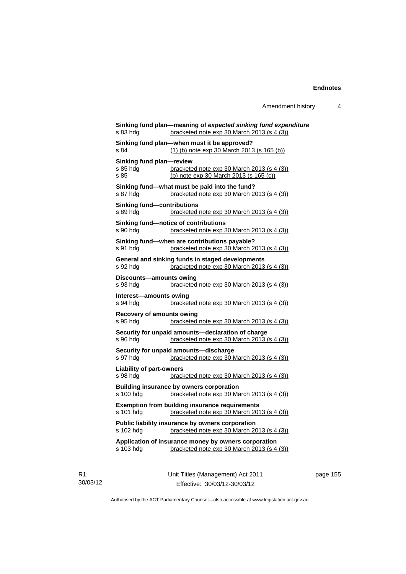| s 83 hdg                                      | Sinking fund plan—meaning of expected sinking fund expenditure<br>bracketed note exp 30 March 2013 (s 4 (3)) |
|-----------------------------------------------|--------------------------------------------------------------------------------------------------------------|
| s 84                                          | Sinking fund plan-when must it be approved?<br>(1) (b) note exp 30 March 2013 (s 165 (b))                    |
| Sinking fund plan-review<br>s 85 hdg<br>s.85  | bracketed note exp 30 March 2013 (s 4 (3))<br>(b) note exp 30 March 2013 (s 165 (c))                         |
| s 87 hdg                                      | Sinking fund-what must be paid into the fund?<br>bracketed note exp 30 March 2013 (s 4 (3))                  |
| <b>Sinking fund-contributions</b><br>s 89 hda | bracketed note exp 30 March 2013 (s 4 (3))                                                                   |
| s 90 hda                                      | Sinking fund-notice of contributions<br>bracketed note exp 30 March 2013 (s 4 (3))                           |
| s 91 hdg                                      | Sinking fund-when are contributions payable?<br>bracketed note exp 30 March 2013 (s 4 (3))                   |
| s 92 hdg                                      | General and sinking funds in staged developments<br>bracketed note exp 30 March 2013 (s 4 (3))               |
| Discounts-amounts owing<br>s 93 hdg           | bracketed note exp 30 March 2013 (s 4 (3))                                                                   |
| Interest-amounts owing<br>s 94 hdg            | bracketed note exp 30 March 2013 (s 4 (3))                                                                   |
| <b>Recovery of amounts owing</b><br>s 95 hda  | bracketed note exp 30 March 2013 (s 4 (3))                                                                   |
| s 96 hda                                      | Security for unpaid amounts-declaration of charge<br>bracketed note exp 30 March 2013 (s 4 (3))              |
| s 97 hda                                      | Security for unpaid amounts-discharge<br>bracketed note exp 30 March 2013 (s 4 (3))                          |
| <b>Liability of part-owners</b><br>s 98 hda   | bracketed note exp 30 March 2013 (s 4 (3))                                                                   |
| s 100 hdg                                     | Building insurance by owners corporation<br>bracketed note exp 30 March 2013 (s 4 (3))                       |
| s 101 hdg                                     | <b>Exemption from building insurance requirements</b><br>bracketed note exp 30 March 2013 (s 4 (3))          |
| s 102 hdg                                     | Public liability insurance by owners corporation<br>bracketed note exp 30 March 2013 (s 4 (3))               |
|                                               | Application of insurance money by owners corporation<br>bracketed note exp 30 March 2013 (s 4 (3))           |
| s 103 hdg                                     |                                                                                                              |

R1 30/03/12 Unit Titles (Management) Act 2011 Effective: 30/03/12-30/03/12

page 155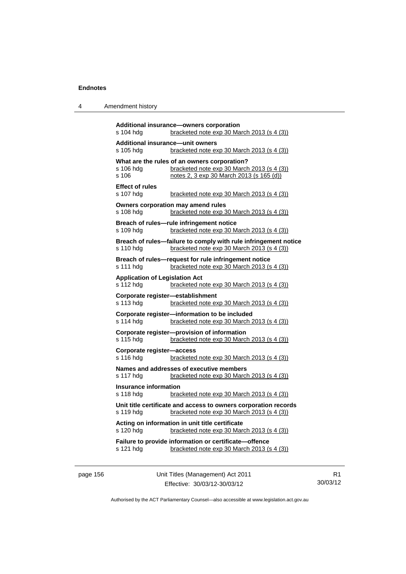| 4 | Amendment history |
|---|-------------------|
|---|-------------------|

```
Additional insurance—owners corporation 
s 104 hdg bracketed note exp 30 March 2013 (s 4 (3))
Additional insurance—unit owners 
s 105 hdg bracketed note exp 30 March 2013 (s 4 (3))
What are the rules of an owners corporation?<br>s 106 hdg bracketed note exp 30 March
                 bracketed note exp 30 March 2013 (s 4 (3))
s 106 notes 2, 3 exp 30 March 2013 (s 165 (d))
Effect of rules 
s 107 hdg bracketed note exp 30 March 2013 (s 4 (3))
Owners corporation may amend rules 
s 108 hdg bracketed note exp 30 March 2013 (s 4 (3))
Breach of rules—rule infringement notice 
s 109 hdg bracketed note exp 30 March 2013 (s 4 (3))
Breach of rules—failure to comply with rule infringement notice 
s 110 hdg bracketed note exp 30 March 2013 (s 4 (3))
Breach of rules—request for rule infringement notice 
s 111 hdg bracketed note exp 30 March 2013 (s 4 (3))
Application of Legislation Act 
s 112 hdg bracketed note exp 30 March 2013 (s 4 (3))
Corporate register—establishment 
s 113 hdg bracketed note exp 30 March 2013 (s 4 (3))
Corporate register—information to be included 
s 114 hdg bracketed note exp 30 March 2013 (s 4 (3))
Corporate register—provision of information 
                  bracketed note exp 30 March 2013 (s 4 (3))
Corporate register—access 
s 116 hdg bracketed note exp 30 March 2013 (s 4 (3))
Names and addresses of executive members 
s 117 hdg bracketed note exp 30 March 2013 (s 4 (3))
Insurance information 
s 118 hdg bracketed note exp 30 March 2013 (s 4 (3))
Unit title certificate and access to owners corporation records 
s 119 hdg bracketed note exp 30 March 2013 (s 4 (3))
Acting on information in unit title certificate 
s 120 hdg bracketed note exp 30 March 2013 (s 4 (3))
Failure to provide information or certificate—offence 
s 121 hdg bracketed note exp 30 March 2013 (s 4 (3))
```
page 156 Unit Titles (Management) Act 2011 Effective: 30/03/12-30/03/12

R1 30/03/12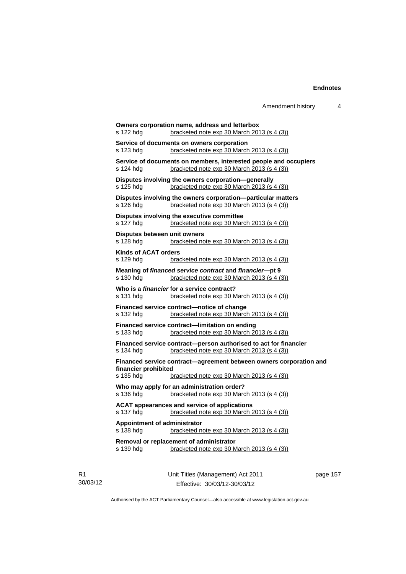| s 122 hdg                    | Owners corporation name, address and letterbox<br>bracketed note exp 30 March 2013 (s 4 (3))                     |
|------------------------------|------------------------------------------------------------------------------------------------------------------|
|                              |                                                                                                                  |
| s 123 hdg                    | Service of documents on owners corporation<br>bracketed note $exp 30$ March 2013 (s 4 (3))                       |
|                              |                                                                                                                  |
| s 124 hdg                    | Service of documents on members, interested people and occupiers<br>bracketed note $exp 30$ March 2013 (s 4 (3)) |
|                              |                                                                                                                  |
| s 125 hdg                    | Disputes involving the owners corporation-generally<br>bracketed note exp 30 March 2013 (s 4 (3))                |
|                              |                                                                                                                  |
| s 126 hdg                    | Disputes involving the owners corporation-particular matters<br>bracketed note exp 30 March 2013 (s 4 (3))       |
|                              |                                                                                                                  |
|                              | Disputes involving the executive committee<br>bracketed note exp 30 March 2013 (s 4 (3))                         |
| s 127 hdg                    |                                                                                                                  |
|                              | Disputes between unit owners                                                                                     |
| s 128 hdg                    | bracketed note exp 30 March 2013 (s 4 (3))                                                                       |
| <b>Kinds of ACAT orders</b>  |                                                                                                                  |
| s 129 hdg                    | bracketed note exp 30 March 2013 (s 4 (3))                                                                       |
|                              | Meaning of financed service contract and financier-pt 9                                                          |
| s 130 hdg                    | bracketed note exp 30 March 2013 (s 4 (3))                                                                       |
|                              | Who is a <i>financier</i> for a service contract?                                                                |
| s 131 hdg                    | bracketed note exp 30 March 2013 (s 4 (3))                                                                       |
|                              | Financed service contract-notice of change                                                                       |
| s 132 hdg                    | bracketed note $exp 30$ March 2013 (s 4 (3))                                                                     |
|                              | Financed service contract-limitation on ending                                                                   |
| s 133 hdg                    | bracketed note exp 30 March 2013 (s 4 (3))                                                                       |
|                              | Financed service contract-person authorised to act for financier                                                 |
| s 134 hdg                    | bracketed note exp 30 March 2013 (s 4 (3))                                                                       |
|                              | Financed service contract-agreement between owners corporation and                                               |
| financier prohibited         |                                                                                                                  |
| s 135 hdg                    | bracketed note $\exp 30$ March 2013 (s 4 (3))                                                                    |
|                              | Who may apply for an administration order?                                                                       |
| s 136 hdg                    | bracketed note exp 30 March 2013 (s 4 (3))                                                                       |
|                              | <b>ACAT appearances and service of applications</b>                                                              |
| s 137 hdg                    | bracketed note exp 30 March 2013 (s 4 (3))                                                                       |
| Appointment of administrator |                                                                                                                  |
| s 138 hdg                    | bracketed note exp 30 March 2013 (s 4 (3))                                                                       |
|                              | Removal or replacement of administrator                                                                          |
| s 139 hdg                    | bracketed note exp 30 March 2013 (s 4 (3))                                                                       |

R1 30/03/12 Unit Titles (Management) Act 2011 Effective: 30/03/12-30/03/12

page 157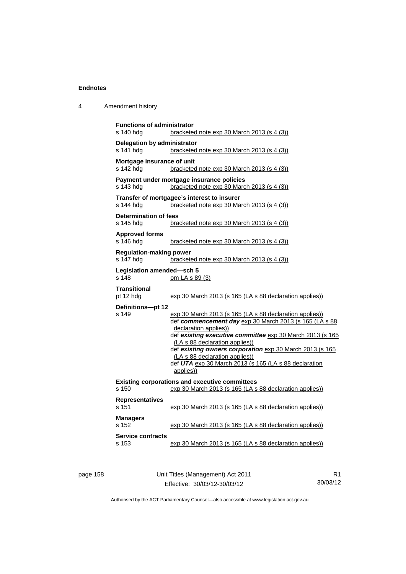| 4 | Amendment history |  |
|---|-------------------|--|
|---|-------------------|--|

| <b>Functions of administrator</b><br>s 140 hdg<br>bracketed note exp 30 March 2013 (s 4 (3)) |                                                                                                                                                                                                                                                                                                                                                                                                               |  |  |
|----------------------------------------------------------------------------------------------|---------------------------------------------------------------------------------------------------------------------------------------------------------------------------------------------------------------------------------------------------------------------------------------------------------------------------------------------------------------------------------------------------------------|--|--|
| Delegation by administrator<br>s 141 hdg<br>bracketed note exp 30 March 2013 (s 4 (3))       |                                                                                                                                                                                                                                                                                                                                                                                                               |  |  |
| Mortgage insurance of unit<br>s 142 hdg<br>bracketed note exp 30 March 2013 (s 4 (3))        |                                                                                                                                                                                                                                                                                                                                                                                                               |  |  |
| s 143 hdg                                                                                    | Payment under mortgage insurance policies<br>bracketed note exp 30 March 2013 (s 4 (3))                                                                                                                                                                                                                                                                                                                       |  |  |
| s 144 hdg                                                                                    | Transfer of mortgagee's interest to insurer<br>bracketed note exp 30 March 2013 (s 4 (3))                                                                                                                                                                                                                                                                                                                     |  |  |
| <b>Determination of fees</b><br>s 145 hda                                                    | bracketed note exp 30 March 2013 (s 4 (3))                                                                                                                                                                                                                                                                                                                                                                    |  |  |
| <b>Approved forms</b><br>s 146 hdg                                                           | bracketed note exp 30 March 2013 (s 4 (3))                                                                                                                                                                                                                                                                                                                                                                    |  |  |
| <b>Regulation-making power</b><br>s 147 hdg                                                  | bracketed note exp 30 March 2013 (s 4 (3))                                                                                                                                                                                                                                                                                                                                                                    |  |  |
| Legislation amended-sch 5<br>s 148                                                           | om LA s 89 (3)                                                                                                                                                                                                                                                                                                                                                                                                |  |  |
| <b>Transitional</b><br>pt 12 hdg                                                             | exp 30 March 2013 (s 165 (LA s 88 declaration applies))                                                                                                                                                                                                                                                                                                                                                       |  |  |
| Definitions-pt 12<br>s 149                                                                   | exp 30 March 2013 (s 165 (LA s 88 declaration applies))<br>def commencement day exp 30 March 2013 (s 165 (LA s 88<br>declaration applies))<br>def existing executive committee exp 30 March 2013 (s 165<br>(LA s 88 declaration applies))<br>def existing owners corporation exp 30 March 2013 (s 165<br>(LA s 88 declaration applies))<br>def UTA exp 30 March 2013 (s 165 (LA s 88 declaration<br>applies)) |  |  |
| s 150                                                                                        | <b>Existing corporations and executive committees</b><br>exp 30 March 2013 (s 165 (LA s 88 declaration applies))                                                                                                                                                                                                                                                                                              |  |  |
| Representatives<br>s 151                                                                     | exp 30 March 2013 (s 165 (LA s 88 declaration applies))                                                                                                                                                                                                                                                                                                                                                       |  |  |
| <b>Managers</b><br>s 152                                                                     | exp 30 March 2013 (s 165 (LA s 88 declaration applies))                                                                                                                                                                                                                                                                                                                                                       |  |  |
| <b>Service contracts</b><br>s 153                                                            | exp 30 March 2013 (s 165 (LA s 88 declaration applies))                                                                                                                                                                                                                                                                                                                                                       |  |  |

page 158 Unit Titles (Management) Act 2011 Effective: 30/03/12-30/03/12

R1 30/03/12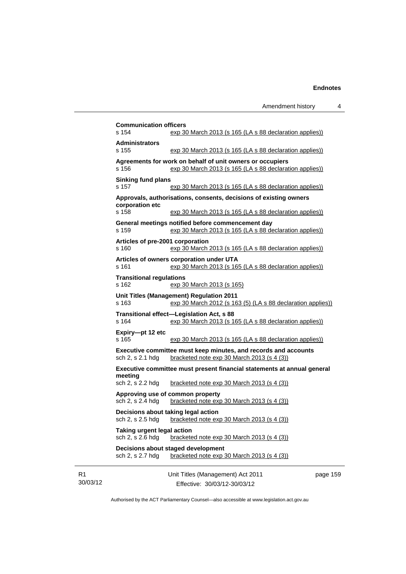|                                        | Amendment history                                                                                                    | 4 |
|----------------------------------------|----------------------------------------------------------------------------------------------------------------------|---|
| <b>Communication officers</b><br>s 154 | exp 30 March 2013 (s 165 (LA s 88 declaration applies))                                                              |   |
| <b>Administrators</b><br>s 155         | exp 30 March 2013 (s 165 (LA s 88 declaration applies))                                                              |   |
| s 156                                  | Agreements for work on behalf of unit owners or occupiers<br>exp 30 March 2013 (s 165 (LA s 88 declaration applies)) |   |
| <b>Sinking fund plans</b><br>s 157     | exp 30 March 2013 (s 165 (LA s 88 declaration applies))                                                              |   |
|                                        | Approvals, authorisations, consents, decisions of existing owners                                                    |   |
| corporation etc<br>s 158               | exp 30 March 2013 (s 165 (LA s 88 declaration applies))                                                              |   |

**Agreements for work on behalf of unit of** s 156 exp 30 March 2013 (s **Sinking fund plans**  s 157 exp 30 March 2013 (s **Approvals, authorisations, consents, denote a corporation etc**  s 158 exp 30 March 2013 (s **General meetings notified before commencement day**  s 159 exp 30 March 2013 (s 165 (LA s 88 declaration applies)) **Articles of pre-2001 corporation**  s 160 exp 30 March 2013 (s 165 (LA s 88 declaration applies)) **Articles of owners corporation under UTA**  s 161 exp 30 March 2013 (s 165 (LA s 88 declaration applies)) **Transitional regulations**  s 162 exp 30 March 2013 (s 165) **Unit Titles (Management) Regulation 2011**  s 163 exp 30 March 2012 (s 163 (5) (LA s 88 declaration applies)) **Transitional effect—Legislation Act, s 88**  s 164 exp 30 March 2013 (s 165 (LA s 88 declaration applies)) **Expiry—pt 12 etc**  s 165 exp 30 March 2013 (s 165 (LA s 88 declaration applies)) **Executive committee must keep minutes, and records and accounts**  sch 2, s 2.1 hdg bracketed note exp 30 March 2013 (s 4 (3)) **Executive committee must present financial statements at annual general meeting**  sch 2, s 2.2 hdg bracketed note exp 30 March 2013 (s 4 (3)) **Approving use of common property**  sch 2, s 2.4 hdg bracketed note exp 30 March 2013 (s 4 (3)) **Decisions about taking legal action**  sch 2, s 2.5 hdg bracketed note exp 30 March 2013 (s 4 (3)) **Taking urgent legal action**  sch 2, s 2.6 hdg bracketed note exp 30 March 2013 (s 4 (3)) **Decisions about staged development**  sch 2, s 2.7 hdg bracketed note exp 30 March 2013 (s 4 (3))

R1 30/03/12 Unit Titles (Management) Act 2011 Effective: 30/03/12-30/03/12

page 159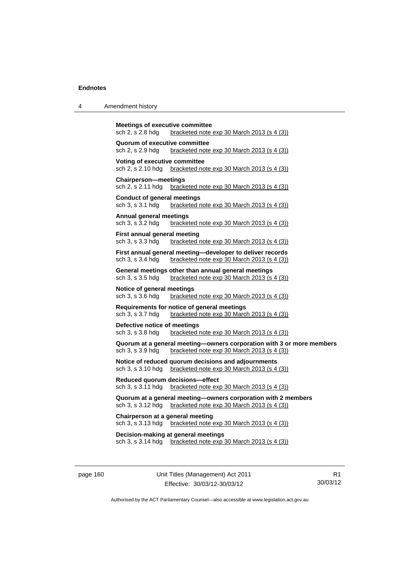| Amendment history |
|-------------------|
|                   |

```
Meetings of executive committee 
sch 2, s 2.8 hdg bracketed note exp 30 March 2013 (s 4 (3))
Quorum of executive committee 
sch 2, s 2.9 hdg bracketed note exp 30 March 2013 (s 4 (3))
Voting of executive committee 
sch 2, s 2.10 hdg bracketed note exp 30 March 2013 (s 4 (3))
Chairperson—meetings 
sch 2, s 2.11 hdg bracketed note exp 30 March 2013 (s 4 (3))
Conduct of general meetings 
sch 3, s 3.1 hdg bracketed note exp 30 March 2013 (s 4 (3))
Annual general meetings 
sch 3, s 3.2 hdg bracketed note exp 30 March 2013 (s 4 (3))
First annual general meeting 
sch 3, s 3.3 hdg bracketed note exp 30 March 2013 (s 4 (3))
First annual general meeting—developer to deliver records 
sch 3, s 3.4 hdg bracketed note exp 30 March 2013 (s 4 (3))
General meetings other than annual general meetings 
sch 3, s 3.5 hdg bracketed note exp 30 March 2013 (s 4 (3))
Notice of general meetings 
sch 3, s 3.6 hdg bracketed note exp 30 March 2013 (s 4 (3))
Requirements for notice of general meetings 
sch 3, s 3.7 hdg bracketed note exp 30 March 2013 (s 4 (3))
Defective notice of meetings 
sch 3, s 3.8 hdg bracketed note exp 30 March 2013 (s 4 (3))
Quorum at a general meeting—owners corporation with 3 or more members 
sch 3, s 3.9 hdg bracketed note exp 30 March 2013 (s 4 (3))
Notice of reduced quorum decisions and adjournments 
sch 3, s 3.10 hdg bracketed note exp 30 March 2013 (s 4 (3))
Reduced quorum decisions—effect 
sch 3, s 3.11 hdg bracketed note exp 30 March 2013 (s 4 (3))
Quorum at a general meeting—owners corporation with 2 members 
sch 3, s 3.12 hdg bracketed note exp 30 March 2013 (s 4 (3))
Chairperson at a general meeting 
sch 3, s 3.13 hdg bracketed note exp 30 March 2013 (s 4(3))
Decision-making at general meetings 
sch 3, s 3.14 hdg bracketed note exp 30 March 2013 (s 4 (3))
```
page 160 Unit Titles (Management) Act 2011 Effective: 30/03/12-30/03/12

R1 30/03/12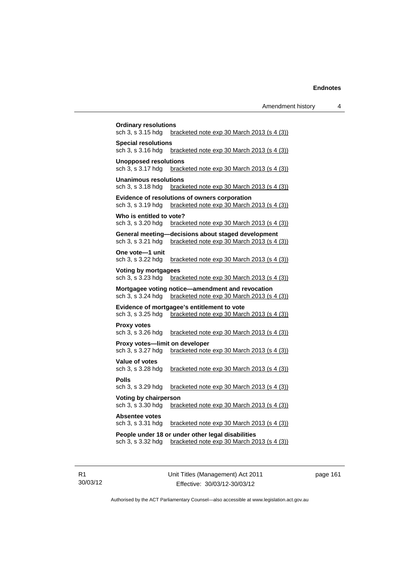| <b>Ordinary resolutions</b><br>sch 3, s 3.15 hdg    | bracketed note $\exp 30$ March 2013 (s 4 (3))                                                    |
|-----------------------------------------------------|--------------------------------------------------------------------------------------------------|
| <b>Special resolutions</b><br>sch 3, s 3.16 hdg     | <u>bracketed note exp 30 March 2013 (s 4 (3)</u>                                                 |
| <b>Unopposed resolutions</b><br>sch 3, s 3.17 hdg   | bracketed note exp 30 March 2013 (s 4 (3))                                                       |
| <b>Unanimous resolutions</b><br>sch 3, s 3.18 hdg   | bracketed note $\exp 30$ March 2013 (s 4 (3))                                                    |
| sch 3, s 3.19 hdg                                   | Evidence of resolutions of owners corporation<br>bracketed note exp 30 March 2013 (s 4 (3))      |
| Who is entitled to vote?<br>sch 3, s 3.20 hdg       | bracketed note $exp 30$ March 2013 (s 4 (3))                                                     |
| sch 3, s 3.21 hdg                                   | General meeting-decisions about staged development<br>bracketed note exp 30 March 2013 (s 4 (3)) |
| One vote-1 unit<br>sch 3, s 3.22 hdg                | bracketed note $exp 30$ March 2013 (s 4 (3))                                                     |
| <b>Voting by mortgagees</b><br>sch 3, s 3.23 hdg    | bracketed note $exp 30$ March 2013 (s 4 (3))                                                     |
| sch 3, s 3.24 hdg                                   | Mortgagee voting notice-amendment and revocation<br>bracketed note exp 30 March 2013 (s 4 (3))   |
| sch 3, s 3.25 hdg                                   | Evidence of mortgagee's entitlement to vote<br>bracketed note exp 30 March 2013 (s 4 (3))        |
| <b>Proxy votes</b><br>sch 3, s 3.26 hdg             | bracketed note exp 30 March 2013 (s 4 (3))                                                       |
| Proxy votes—limit on developer<br>sch 3, s 3.27 hdg | bracketed note exp 30 March 2013 (s 4 (3))                                                       |
| <b>Value of votes</b><br>sch 3, s 3.28 hdg          | bracketed note $\exp 30$ March 2013 (s 4 (3))                                                    |
| <b>Polls</b><br>sch 3, s 3.29 hdg                   | bracketed note exp 30 March 2013 (s 4 (3))                                                       |
| Voting by chairperson<br>sch 3, s 3.30 hdg          | bracketed note $exp 30$ March 2013 (s 4 (3))                                                     |
| <b>Absentee votes</b><br>sch 3, s 3.31 hdg          | bracketed note $exp 30$ March 2013 (s 4 (3))                                                     |
|                                                     | People under 18 or under other legal disabilities                                                |
| sch 3, s 3.32 hdg                                   | bracketed note exp 30 March 2013 (s 4 (3))                                                       |

R1 30/03/12 Unit Titles (Management) Act 2011 Effective: 30/03/12-30/03/12

page 161